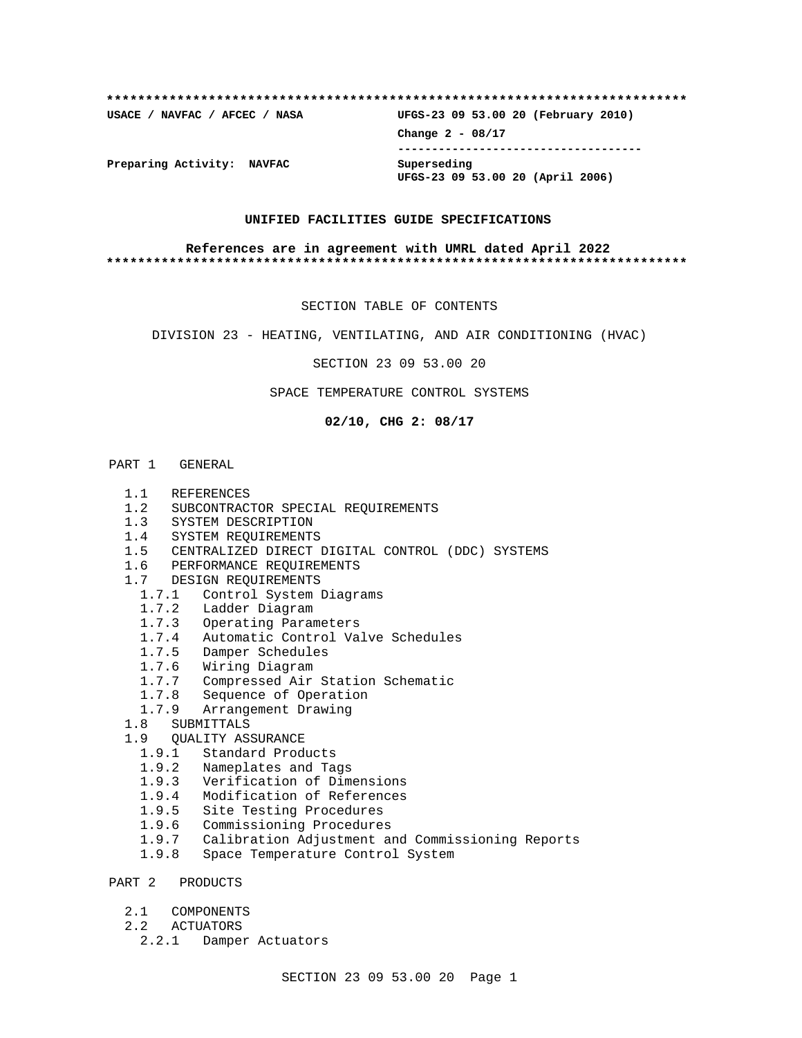| USACE / NAVFAC / AFCEC / NASA | UFGS-23 09 53.00 20 (February 2010)             |
|-------------------------------|-------------------------------------------------|
|                               | Change $2 - 08/17$                              |
| Preparing Activity: NAVFAC    | Superseding<br>UFGS-23 09 53.00 20 (April 2006) |

### **UNIFIED FACILITIES GUIDE SPECIFICATIONS**

### **References are in agreement with UMRL dated April 2022 \*\*\*\*\*\*\*\*\*\*\*\*\*\*\*\*\*\*\*\*\*\*\*\*\*\*\*\*\*\*\*\*\*\*\*\*\*\*\*\*\*\*\*\*\*\*\*\*\*\*\*\*\*\*\*\*\*\*\*\*\*\*\*\*\*\*\*\*\*\*\*\*\*\***

### SECTION TABLE OF CONTENTS

DIVISION 23 - HEATING, VENTILATING, AND AIR CONDITIONING (HVAC)

SECTION 23 09 53.00 20

SPACE TEMPERATURE CONTROL SYSTEMS

### **02/10, CHG 2: 08/17**

# PART 1 GENERAL

- 1.1 REFERENCES
- 1.2 SUBCONTRACTOR SPECIAL REQUIREMENTS
- 1.3 SYSTEM DESCRIPTION
- 1.4 SYSTEM REQUIREMENTS
- 1.5 CENTRALIZED DIRECT DIGITAL CONTROL (DDC) SYSTEMS
- 1.6 PERFORMANCE REQUIREMENTS
- 1.7 DESIGN REQUIREMENTS
	- 1.7.1 Control System Diagrams
	- 1.7.2 Ladder Diagram
	- 1.7.3 Operating Parameters
	- 1.7.4 Automatic Control Valve Schedules
	- 1.7.5 Damper Schedules
	- 1.7.6 Wiring Diagram
	- 1.7.7 Compressed Air Station Schematic
	- 1.7.8 Sequence of Operation
	- 1.7.9 Arrangement Drawing
- 1.8 SUBMITTALS
- 1.9 QUALITY ASSURANCE
	- 1.9.1 Standard Products
	- 1.9.2 Nameplates and Tags
	- 1.9.3 Verification of Dimensions
	- 1.9.4 Modification of References
	- 1.9.5 Site Testing Procedures
	- 1.9.6 Commissioning Procedures
	- 1.9.7 Calibration Adjustment and Commissioning Reports
	- 1.9.8 Space Temperature Control System
- PART 2 PRODUCTS
	- 2.1 COMPONENTS
	- 2.2 ACTUATORS
		- 2.2.1 Damper Actuators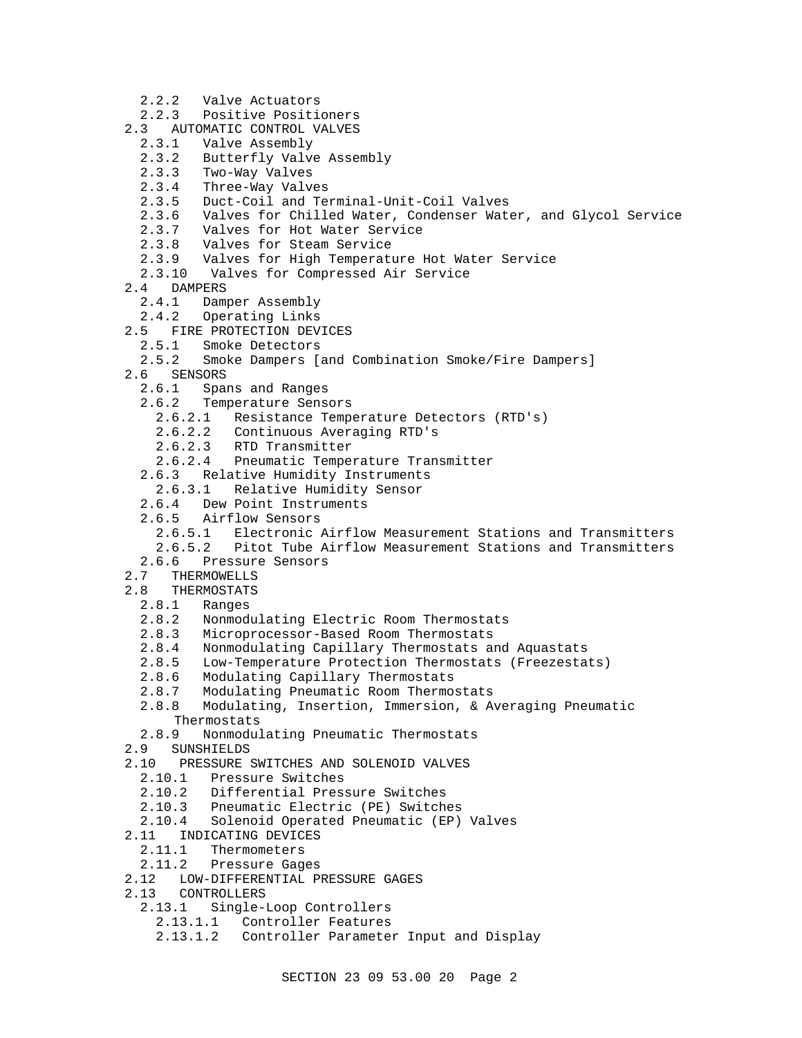- 2.2.2 Valve Actuators
- 2.2.3 Positive Positioners
- 2.3 AUTOMATIC CONTROL VALVES
	- 2.3.1 Valve Assembly
	- 2.3.2 Butterfly Valve Assembly
	- 2.3.3 Two-Way Valves
	- 2.3.4 Three-Way Valves
	- 2.3.5 Duct-Coil and Terminal-Unit-Coil Valves
	- 2.3.6 Valves for Chilled Water, Condenser Water, and Glycol Service
	- 2.3.7 Valves for Hot Water Service
	- 2.3.8 Valves for Steam Service
	- 2.3.9 Valves for High Temperature Hot Water Service
	- 2.3.10 Valves for Compressed Air Service
- 2.4 DAMPERS
	- 2.4.1 Damper Assembly
	- 2.4.2 Operating Links
- 2.5 FIRE PROTECTION DEVICES
	- 2.5.1 Smoke Detectors
	- 2.5.2 Smoke Dampers [and Combination Smoke/Fire Dampers]
- 2.6 SENSORS
	- 2.6.1 Spans and Ranges
	- 2.6.2 Temperature Sensors
		- 2.6.2.1 Resistance Temperature Detectors (RTD's)
		- 2.6.2.2 Continuous Averaging RTD's
		- 2.6.2.3 RTD Transmitter
		- 2.6.2.4 Pneumatic Temperature Transmitter
	- 2.6.3 Relative Humidity Instruments
	- 2.6.3.1 Relative Humidity Sensor
	- 2.6.4 Dew Point Instruments
	- 2.6.5 Airflow Sensors
		- 2.6.5.1 Electronic Airflow Measurement Stations and Transmitters
	- 2.6.5.2 Pitot Tube Airflow Measurement Stations and Transmitters<br>2.6.6 Pressure Sensors
	- 2.6.6 Pressure Sensors
- 2.7 THERMOWELLS
- 2.8 THERMOSTATS
	- 2.8.1 Ranges
	- 2.8.2 Nonmodulating Electric Room Thermostats
	- 2.8.3 Microprocessor-Based Room Thermostats
	- 2.8.4 Nonmodulating Capillary Thermostats and Aquastats
	- 2.8.5 Low-Temperature Protection Thermostats (Freezestats)
	- 2.8.6 Modulating Capillary Thermostats
	- 2.8.7 Modulating Pneumatic Room Thermostats
	- 2.8.8 Modulating, Insertion, Immersion, & Averaging Pneumatic Thermostats
- 2.8.9 Nonmodulating Pneumatic Thermostats<br>2.9 SUNSHIELDS
- SUNSHIELDS
- 2.10 PRESSURE SWITCHES AND SOLENOID VALVES
	- 2.10.1 Pressure Switches
	- 2.10.2 Differential Pressure Switches
	- 2.10.3 Pneumatic Electric (PE) Switches
	- 2.10.4 Solenoid Operated Pneumatic (EP) Valves
- 2.11 INDICATING DEVICES
	- 2.11.1 Thermometers
- 2.11.2 Pressure Gages
- 2.12 LOW-DIFFERENTIAL PRESSURE GAGES
- 2.13 CONTROLLERS
	- 2.13.1 Single-Loop Controllers
		- 2.13.1.1 Controller Features
		- 2.13.1.2 Controller Parameter Input and Display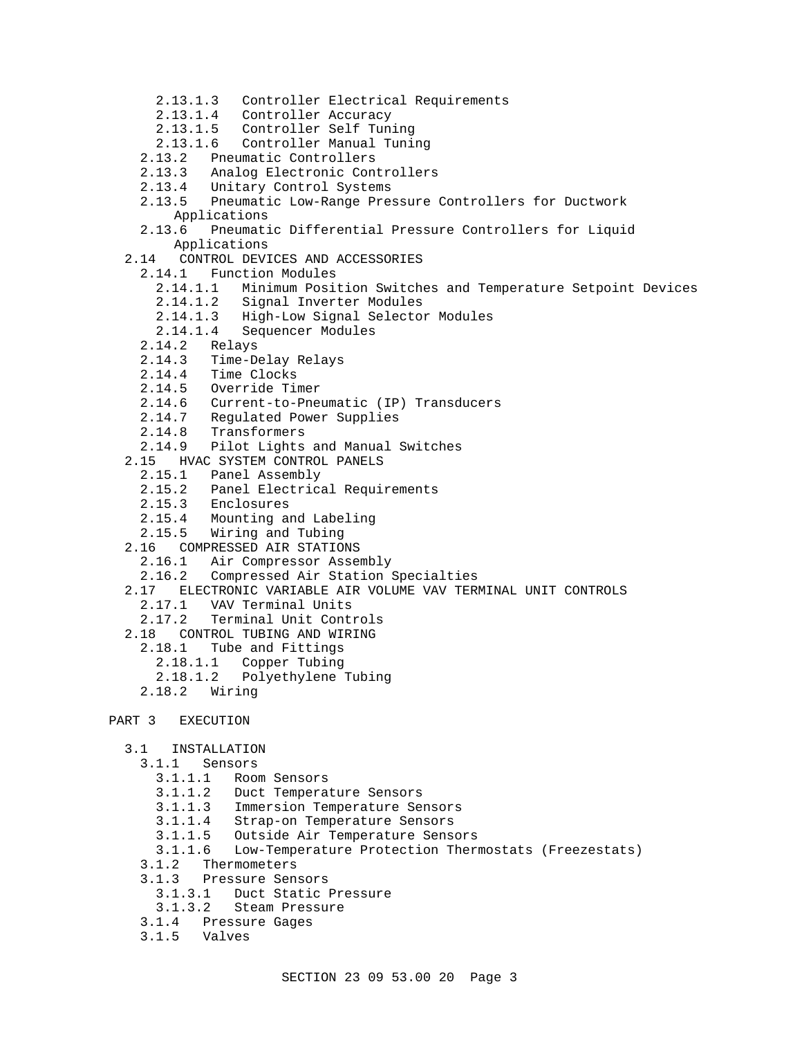- 2.13.1.3 Controller Electrical Requirements
- 2.13.1.4 Controller Accuracy
- 2.13.1.5 Controller Self Tuning
- 2.13.1.6 Controller Manual Tuning
- 2.13.2 Pneumatic Controllers
- 2.13.3 Analog Electronic Controllers<br>2.13.4 Initary Control Systems
- 2.13.4 Unitary Control Systems
- 2.13.5 Pneumatic Low-Range Pressure Controllers for Ductwork Applications
- 2.13.6 Pneumatic Differential Pressure Controllers for Liquid Applications
- 2.14 CONTROL DEVICES AND ACCESSORIES
	- 2.14.1 Function Modules
		- 2.14.1.1 Minimum Position Switches and Temperature Setpoint Devices
		- 2.14.1.2 Signal Inverter Modules
		- 2.14.1.3 High-Low Signal Selector Modules
		- 2.14.1.4 Sequencer Modules
	- 2.14.2 Relays
	- 2.14.3 Time-Delay Relays<br>2.14.4 Time Clocks
	- Time Clocks
	- 2.14.5 Override Timer
	- 2.14.6 Current-to-Pneumatic (IP) Transducers
	- 2.14.7 Regulated Power Supplies
	- 2.14.8 Transformers
	- 2.14.9 Pilot Lights and Manual Switches
- 2.15 HVAC SYSTEM CONTROL PANELS
	- 2.15.1 Panel Assembly
	- 2.15.2 Panel Electrical Requirements
	- 2.15.3 Enclosures
- 2.15.4 Mounting and Labeling
- 2.15.5 Wiring and Tubing
	- 2.16 COMPRESSED AIR STATIONS
		- 2.16.1 Air Compressor Assembly
		- 2.16.2 Compressed Air Station Specialties
	- 2.17 ELECTRONIC VARIABLE AIR VOLUME VAV TERMINAL UNIT CONTROLS
		- 2.17.1 VAV Terminal Units
		- 2.17.2 Terminal Unit Controls
	- 2.18 CONTROL TUBING AND WIRING
		- 2.18.1 Tube and Fittings
			- 2.18.1.1 Copper Tubing
			- 2.18.1.2 Polyethylene Tubing
		- 2.18.2 Wiring

## PART 3 EXECUTION

## 3.1 INSTALLATION

- 3.1.1 Sensors
	- 3.1.1.1 Room Sensors
	- 3.1.1.2 Duct Temperature Sensors
	- 3.1.1.3 Immersion Temperature Sensors
	- 3.1.1.4 Strap-on Temperature Sensors
	- 3.1.1.5 Outside Air Temperature Sensors
	- 3.1.1.6 Low-Temperature Protection Thermostats (Freezestats)
- 3.1.2 Thermometers
- 3.1.3 Pressure Sensors
	- 3.1.3.1 Duct Static Pressure
	- 3.1.3.2 Steam Pressure
	- 3.1.4 Pressure Gages
	- 3.1.5 Valves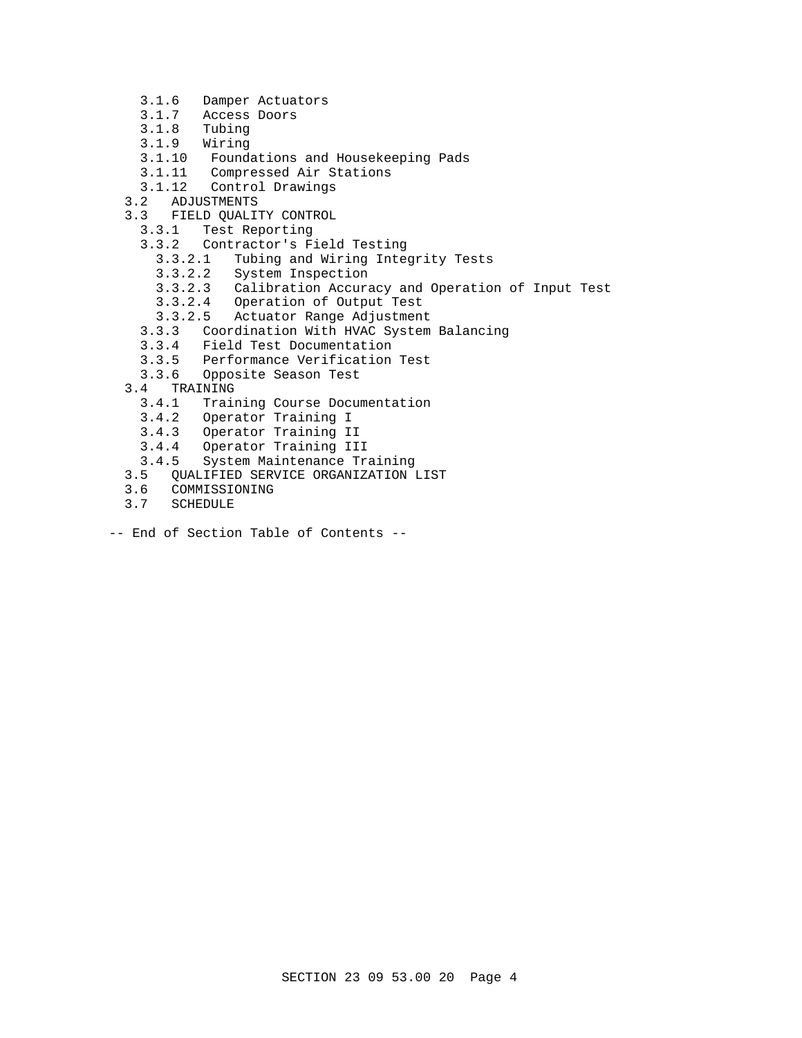- 3.1.6 Damper Actuators
- 3.1.7 Access Doors
- 3.1.8 Tubing<br>3.1.9 Wiring
- Wiring
- 3.1.10 Foundations and Housekeeping Pads
- 3.1.11 Compressed Air Stations
- 3.1.12 Control Drawings
	- 3.2 ADJUSTMENTS
	- 3.3 FIELD QUALITY CONTROL
		- 3.3.1 Test Reporting
		- 3.3.2 Contractor's Field Testing
			- 3.3.2.1 Tubing and Wiring Integrity Tests
			- 3.3.2.2 System Inspection
			- 3.3.2.3 Calibration Accuracy and Operation of Input Test
			- 3.3.2.4 Operation of Output Test
			- 3.3.2.5 Actuator Range Adjustment
- 3.3.3 Coordination With HVAC System Balancing
- 3.3.4 Field Test Documentation
	- 3.3.5 Performance Verification Test
	- 3.3.6 Opposite Season Test
	- 3.4 TRAINING
		- 3.4.1 Training Course Documentation
		- 3.4.2 Operator Training I
		- 3.4.3 Operator Training II
		- 3.4.4 Operator Training III
		- 3.4.5 System Maintenance Training
	- 3.5 QUALIFIED SERVICE ORGANIZATION LIST
	- 3.6 COMMISSIONING
	- 3.7 SCHEDULE
- -- End of Section Table of Contents --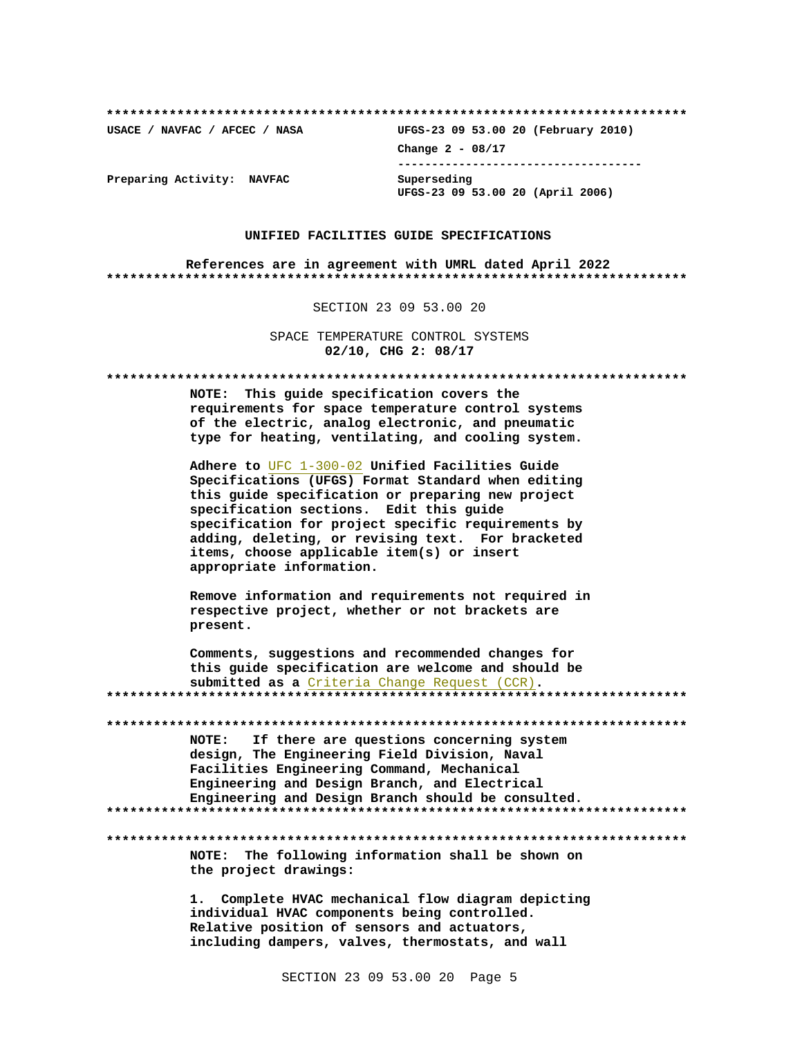USACE / NAVFAC / AFCEC / NASA

UFGS-23 09 53.00 20 (February 2010) Change  $2 - 08/17$ ------------------------------------Superseding

UFGS-23 09 53.00 20 (April 2006)

Preparing Activity: NAVFAC

### UNIFIED FACILITIES GUIDE SPECIFICATIONS

References are in agreement with UMRL dated April 2022 

SECTION 23 09 53.00 20

SPACE TEMPERATURE CONTROL SYSTEMS 02/10, CHG 2: 08/17

NOTE: This guide specification covers the requirements for space temperature control systems of the electric, analog electronic, and pneumatic type for heating, ventilating, and cooling system.

Adhere to UFC 1-300-02 Unified Facilities Guide Specifications (UFGS) Format Standard when editing this guide specification or preparing new project specification sections. Edit this guide specification for project specific requirements by adding, deleting, or revising text. For bracketed items, choose applicable item(s) or insert appropriate information.

Remove information and requirements not required in respective project, whether or not brackets are present.

Comments, suggestions and recommended changes for this guide specification are welcome and should be submitted as a Criteria Change Request (CCR). 

NOTE: If there are questions concerning system design, The Engineering Field Division, Naval Facilities Engineering Command, Mechanical Engineering and Design Branch, and Electrical Engineering and Design Branch should be consulted. 

NOTE: The following information shall be shown on the project drawings:

1. Complete HVAC mechanical flow diagram depicting individual HVAC components being controlled. Relative position of sensors and actuators, including dampers, valves, thermostats, and wall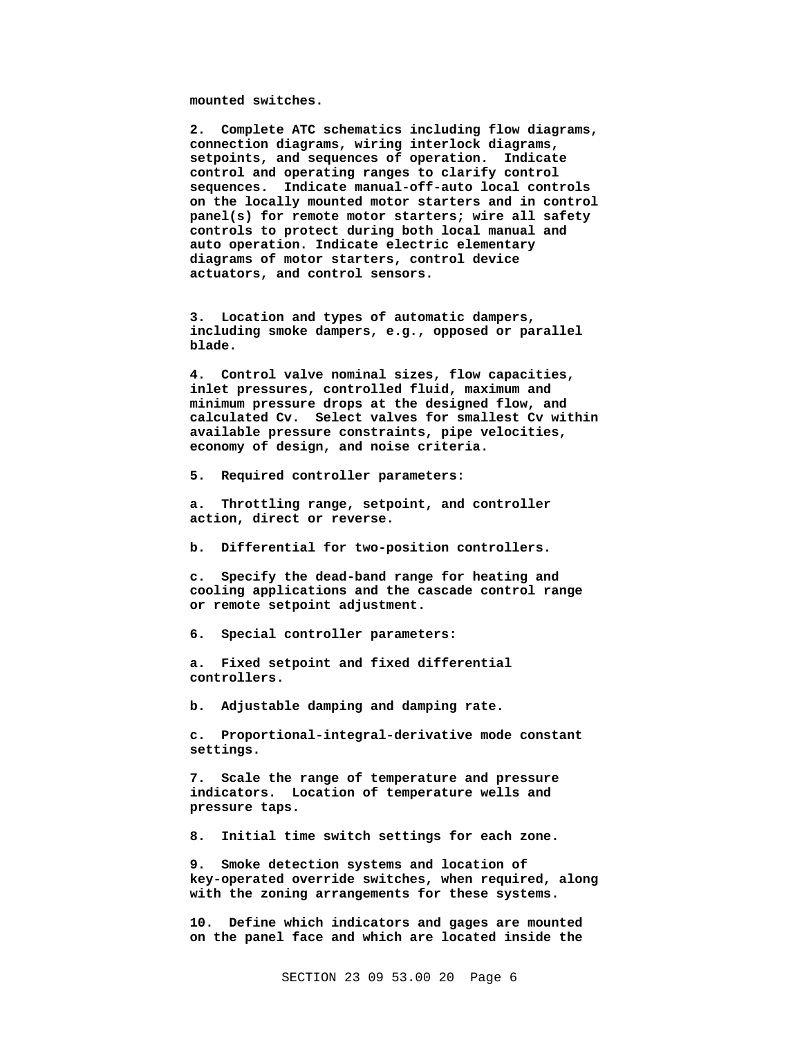**mounted switches.**

**2. Complete ATC schematics including flow diagrams, connection diagrams, wiring interlock diagrams, setpoints, and sequences of operation. Indicate control and operating ranges to clarify control sequences. Indicate manual-off-auto local controls on the locally mounted motor starters and in control panel(s) for remote motor starters; wire all safety controls to protect during both local manual and auto operation. Indicate electric elementary diagrams of motor starters, control device actuators, and control sensors.**

**3. Location and types of automatic dampers, including smoke dampers, e.g., opposed or parallel blade.**

**4. Control valve nominal sizes, flow capacities, inlet pressures, controlled fluid, maximum and minimum pressure drops at the designed flow, and calculated Cv. Select valves for smallest Cv within available pressure constraints, pipe velocities, economy of design, and noise criteria.**

**5. Required controller parameters:**

**a. Throttling range, setpoint, and controller action, direct or reverse.**

**b. Differential for two-position controllers.**

**c. Specify the dead-band range for heating and cooling applications and the cascade control range or remote setpoint adjustment.**

**6. Special controller parameters:**

**a. Fixed setpoint and fixed differential controllers.**

**b. Adjustable damping and damping rate.**

**c. Proportional-integral-derivative mode constant settings.**

**7. Scale the range of temperature and pressure indicators. Location of temperature wells and pressure taps.**

**8. Initial time switch settings for each zone.**

**9. Smoke detection systems and location of key-operated override switches, when required, along with the zoning arrangements for these systems.**

**10. Define which indicators and gages are mounted on the panel face and which are located inside the**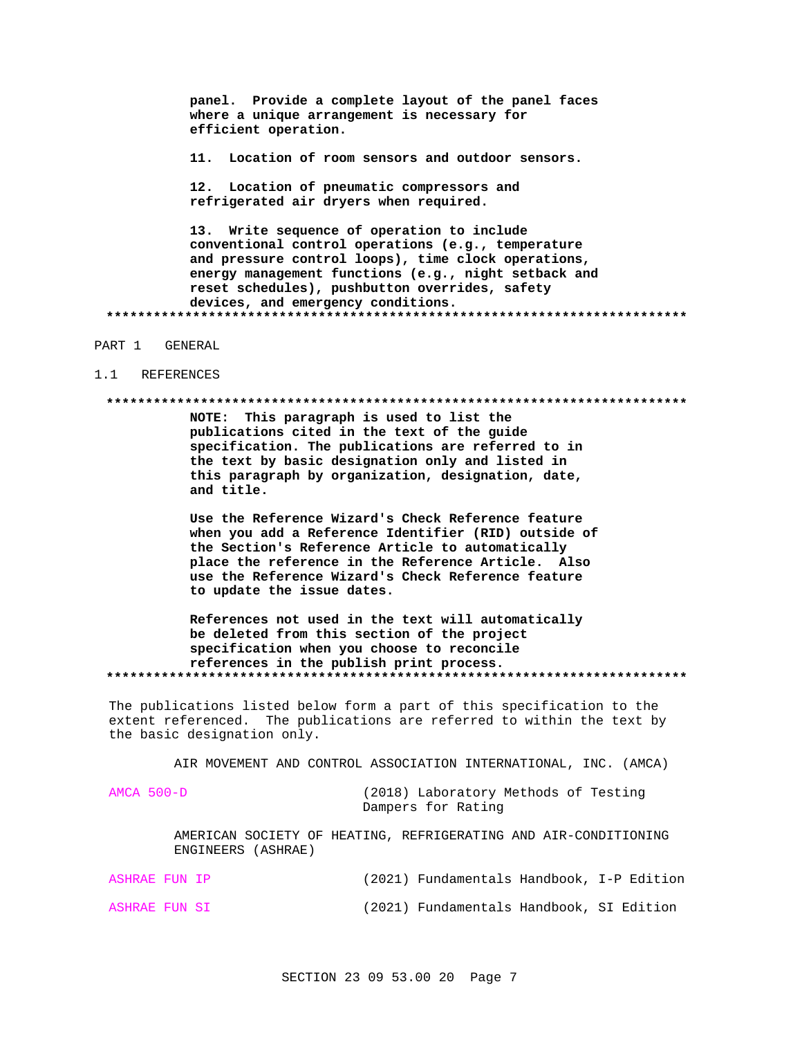panel. Provide a complete layout of the panel faces where a unique arrangement is necessary for efficient operation.

11. Location of room sensors and outdoor sensors.

12. Location of pneumatic compressors and refrigerated air dryers when required.

13. Write sequence of operation to include conventional control operations (e.g., temperature and pressure control loops), time clock operations, energy management functions (e.g., night setback and reset schedules), pushbutton overrides, safety devices, and emergency conditions. 

PART 1 GENERAL

#### $1.1$ REFERENCES

### 

NOTE: This paragraph is used to list the publications cited in the text of the guide specification. The publications are referred to in the text by basic designation only and listed in this paragraph by organization, designation, date, and title.

Use the Reference Wizard's Check Reference feature when you add a Reference Identifier (RID) outside of the Section's Reference Article to automatically place the reference in the Reference Article. Also use the Reference Wizard's Check Reference feature to update the issue dates.

References not used in the text will automatically be deleted from this section of the project specification when you choose to reconcile references in the publish print process. 

The publications listed below form a part of this specification to the extent referenced. The publications are referred to within the text by the basic designation only.

AIR MOVEMENT AND CONTROL ASSOCIATION INTERNATIONAL, INC. (AMCA)

AMCA 500-D

(2018) Laboratory Methods of Testing Dampers for Rating

AMERICAN SOCIETY OF HEATING, REFRIGERATING AND AIR-CONDITIONING ENGINEERS (ASHRAE)

| ASHRAE FUN IP |  | (2021) Fundamentals Handbook, I-P Edition |  |
|---------------|--|-------------------------------------------|--|
| ASHRAE FUN SI |  | (2021) Fundamentals Handbook, SI Edition  |  |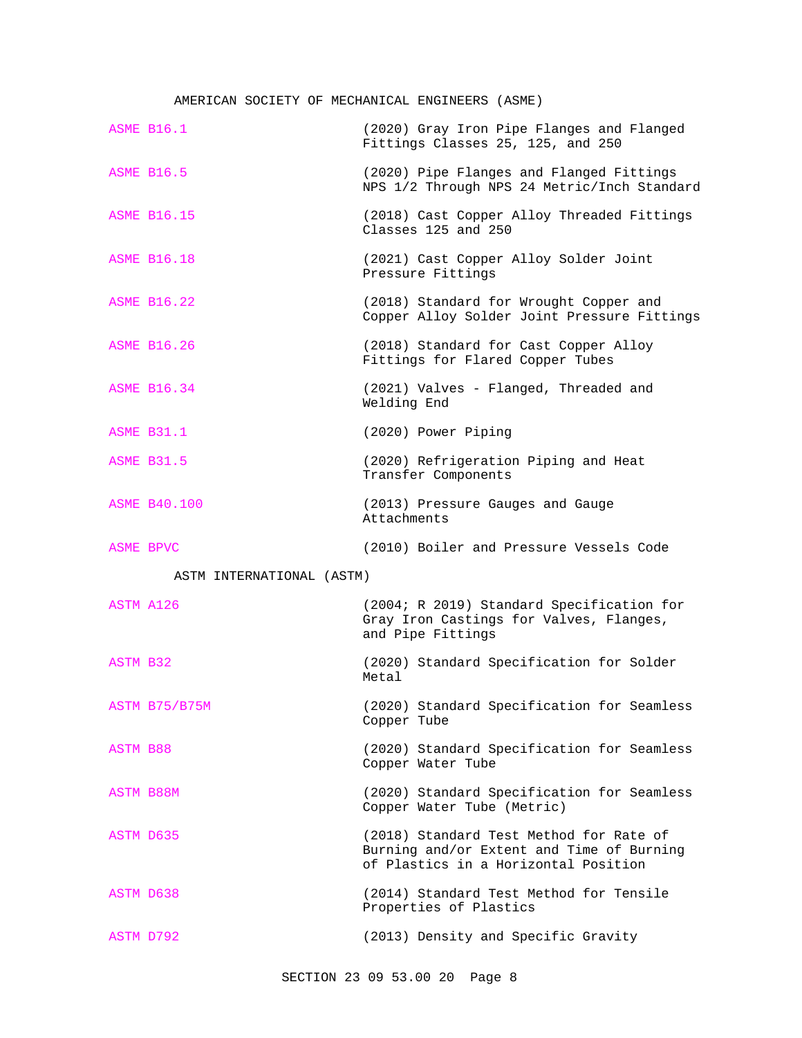# AMERICAN SOCIETY OF MECHANICAL ENGINEERS (ASME)

|          | <b>ASME B16.1</b>         | (2020) Gray Iron Pipe Flanges and Flanged<br>Fittings Classes 25, 125, and 250                                               |
|----------|---------------------------|------------------------------------------------------------------------------------------------------------------------------|
|          | <b>ASME B16.5</b>         | (2020) Pipe Flanges and Flanged Fittings<br>NPS 1/2 Through NPS 24 Metric/Inch Standard                                      |
|          | <b>ASME B16.15</b>        | (2018) Cast Copper Alloy Threaded Fittings<br>Classes 125 and 250                                                            |
|          | <b>ASME B16.18</b>        | (2021) Cast Copper Alloy Solder Joint<br>Pressure Fittings                                                                   |
|          | <b>ASME B16.22</b>        | (2018) Standard for Wrought Copper and<br>Copper Alloy Solder Joint Pressure Fittings                                        |
|          | <b>ASME B16.26</b>        | (2018) Standard for Cast Copper Alloy<br>Fittings for Flared Copper Tubes                                                    |
|          | <b>ASME B16.34</b>        | (2021) Valves - Flanged, Threaded and<br>Welding End                                                                         |
|          | <b>ASME B31.1</b>         | (2020) Power Piping                                                                                                          |
|          | <b>ASME B31.5</b>         | (2020) Refrigeration Piping and Heat<br>Transfer Components                                                                  |
|          | <b>ASME B40.100</b>       | (2013) Pressure Gauges and Gauge<br>Attachments                                                                              |
|          |                           |                                                                                                                              |
|          | <b>ASME BPVC</b>          | (2010) Boiler and Pressure Vessels Code                                                                                      |
|          | ASTM INTERNATIONAL (ASTM) |                                                                                                                              |
|          | ASTM A126                 | (2004; R 2019) Standard Specification for<br>Gray Iron Castings for Valves, Flanges,<br>and Pipe Fittings                    |
| ASTM B32 |                           | (2020) Standard Specification for Solder<br>Metal                                                                            |
|          | ASTM B75/B75M             | (2020) Standard Specification for Seamless<br>Copper Tube                                                                    |
| ASTM B88 |                           | (2020) Standard Specification for Seamless<br>Copper Water Tube                                                              |
|          | <b>ASTM B88M</b>          | (2020) Standard Specification for Seamless<br>Copper Water Tube (Metric)                                                     |
|          | ASTM D635                 | (2018) Standard Test Method for Rate of<br>Burning and/or Extent and Time of Burning<br>of Plastics in a Horizontal Position |
|          | ASTM D638                 | (2014) Standard Test Method for Tensile<br>Properties of Plastics                                                            |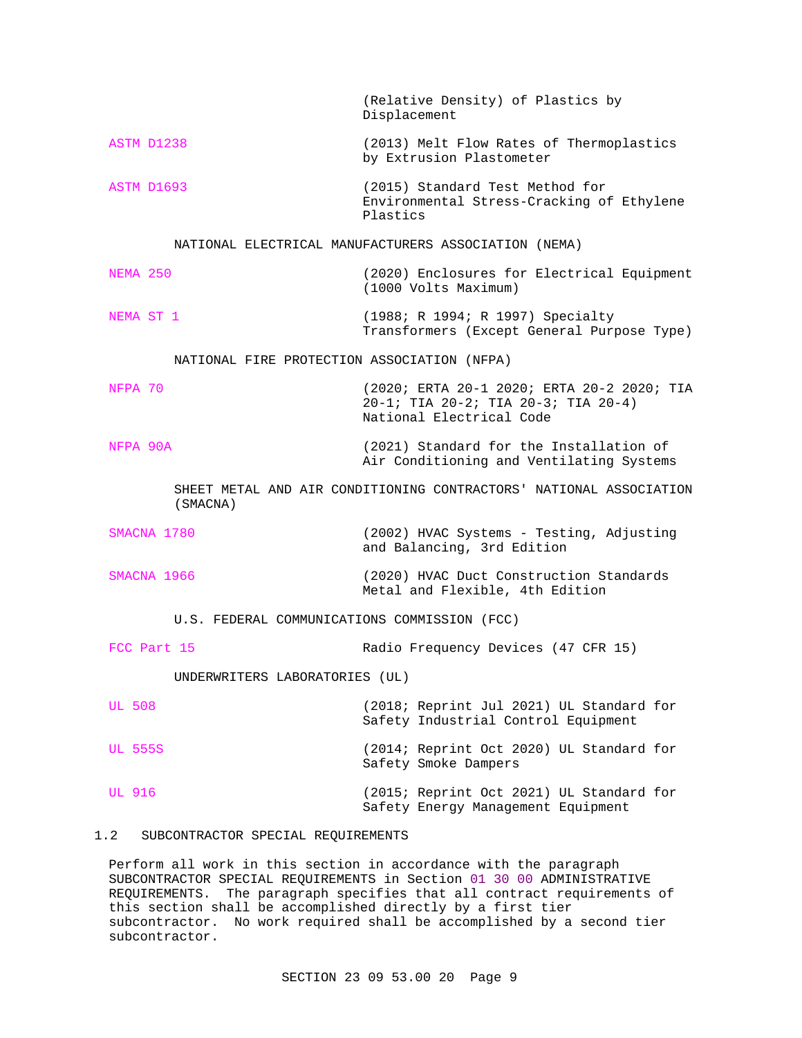|                                                      | (Relative Density) of Plastics by<br>Displacement                                                                     |  |  |  |  |  |  |
|------------------------------------------------------|-----------------------------------------------------------------------------------------------------------------------|--|--|--|--|--|--|
| ASTM D1238                                           | (2013) Melt Flow Rates of Thermoplastics<br>by Extrusion Plastometer                                                  |  |  |  |  |  |  |
| ASTM D1693                                           | (2015) Standard Test Method for<br>Environmental Stress-Cracking of Ethylene<br>Plastics                              |  |  |  |  |  |  |
| NATIONAL ELECTRICAL MANUFACTURERS ASSOCIATION (NEMA) |                                                                                                                       |  |  |  |  |  |  |
| NEMA 250                                             | (2020) Enclosures for Electrical Equipment<br>(1000 Volts Maximum)                                                    |  |  |  |  |  |  |
| NEMA ST 1                                            | (1988; R 1994; R 1997) Specialty<br>Transformers (Except General Purpose Type)                                        |  |  |  |  |  |  |
| NATIONAL FIRE PROTECTION ASSOCIATION (NFPA)          |                                                                                                                       |  |  |  |  |  |  |
| NFPA 70                                              | (2020; ERTA 20-1 2020; ERTA 20-2 2020; TIA<br>$20-1;$ TIA $20-2;$ TIA $20-3;$ TIA $20-4)$<br>National Electrical Code |  |  |  |  |  |  |
| NFPA 90A                                             | (2021) Standard for the Installation of<br>Air Conditioning and Ventilating Systems                                   |  |  |  |  |  |  |
| (SMACNA)                                             | SHEET METAL AND AIR CONDITIONING CONTRACTORS' NATIONAL ASSOCIATION                                                    |  |  |  |  |  |  |
| SMACNA 1780                                          | (2002) HVAC Systems - Testing, Adjusting<br>and Balancing, 3rd Edition                                                |  |  |  |  |  |  |
| SMACNA 1966                                          | (2020) HVAC Duct Construction Standards<br>Metal and Flexible, 4th Edition                                            |  |  |  |  |  |  |
| U.S. FEDERAL COMMUNICATIONS COMMISSION (FCC)         |                                                                                                                       |  |  |  |  |  |  |
| FCC Part 15                                          | Radio Frequency Devices (47 CFR 15)                                                                                   |  |  |  |  |  |  |
| UNDERWRITERS LABORATORIES (UL)                       |                                                                                                                       |  |  |  |  |  |  |
| <b>UL 508</b>                                        | (2018; Reprint Jul 2021) UL Standard for<br>Safety Industrial Control Equipment                                       |  |  |  |  |  |  |
| UL 555S                                              | (2014; Reprint Oct 2020) UL Standard for<br>Safety Smoke Dampers                                                      |  |  |  |  |  |  |
| <b>UL 916</b>                                        | (2015; Reprint Oct 2021) UL Standard for<br>Safety Energy Management Equipment                                        |  |  |  |  |  |  |
|                                                      |                                                                                                                       |  |  |  |  |  |  |

# 1.2 SUBCONTRACTOR SPECIAL REQUIREMENTS

Perform all work in this section in accordance with the paragraph SUBCONTRACTOR SPECIAL REQUIREMENTS in Section 01 30 00 ADMINISTRATIVE REQUIREMENTS. The paragraph specifies that all contract requirements of this section shall be accomplished directly by a first tier subcontractor. No work required shall be accomplished by a second tier subcontractor.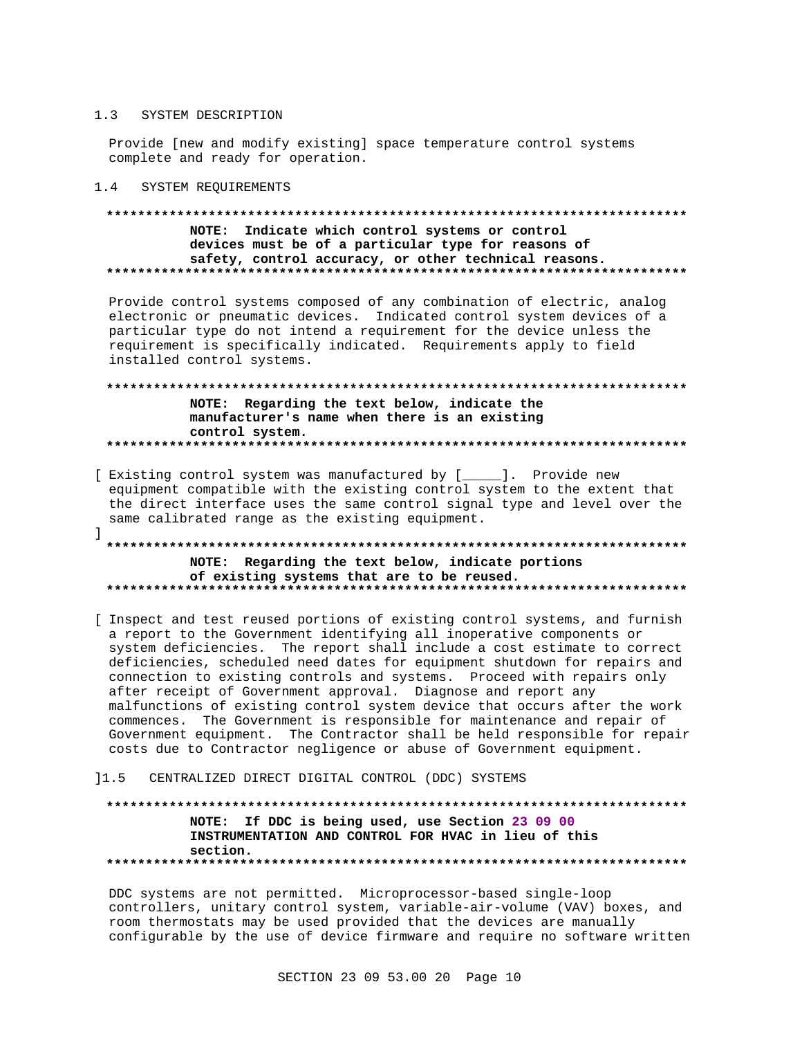#### $1.3$ SYSTEM DESCRIPTION

Provide [new and modify existing] space temperature control systems complete and ready for operation.

#### SYSTEM REOUIREMENTS  $1\quad 4$

# NOTE: Indicate which control systems or control devices must be of a particular type for reasons of safety, control accuracy, or other technical reasons.

Provide control systems composed of any combination of electric, analog electronic or pneumatic devices. Indicated control system devices of a particular type do not intend a requirement for the device unless the requirement is specifically indicated. Requirements apply to field installed control systems.

## NOTE: Regarding the text below, indicate the manufacturer's name when there is an existing control system.

[ Existing control system was manufactured by [\_\_\_\_]. Provide new equipment compatible with the existing control system to the extent that the direct interface uses the same control signal type and level over the same calibrated range as the existing equipment.  $\mathbf{1}$ 

# NOTE: Regarding the text below, indicate portions of existing systems that are to be reused.

[ Inspect and test reused portions of existing control systems, and furnish a report to the Government identifying all inoperative components or system deficiencies. The report shall include a cost estimate to correct deficiencies, scheduled need dates for equipment shutdown for repairs and connection to existing controls and systems. Proceed with repairs only after receipt of Government approval. Diagnose and report any malfunctions of existing control system device that occurs after the work commences. The Government is responsible for maintenance and repair of Government equipment. The Contractor shall be held responsible for repair costs due to Contractor negligence or abuse of Government equipment.

#### CENTRALIZED DIRECT DIGITAL CONTROL (DDC) SYSTEMS  $]1.5$

# NOTE: If DDC is being used, use Section 23 09 00 INSTRUMENTATION AND CONTROL FOR HVAC in lieu of this section.

DDC systems are not permitted. Microprocessor-based single-loop controllers, unitary control system, variable-air-volume (VAV) boxes, and room thermostats may be used provided that the devices are manually configurable by the use of device firmware and require no software written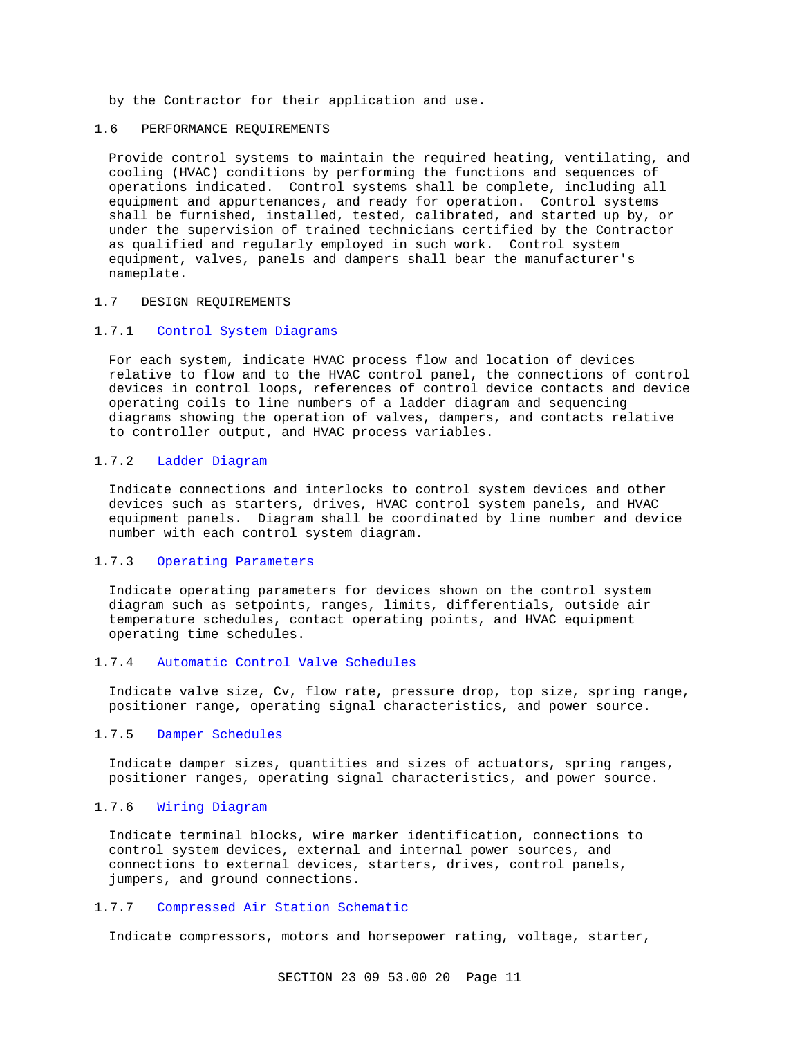by the Contractor for their application and use.

# 1.6 PERFORMANCE REQUIREMENTS

Provide control systems to maintain the required heating, ventilating, and cooling (HVAC) conditions by performing the functions and sequences of operations indicated. Control systems shall be complete, including all equipment and appurtenances, and ready for operation. Control systems shall be furnished, installed, tested, calibrated, and started up by, or under the supervision of trained technicians certified by the Contractor as qualified and regularly employed in such work. Control system equipment, valves, panels and dampers shall bear the manufacturer's nameplate.

# 1.7 DESIGN REQUIREMENTS

### 1.7.1 Control System Diagrams

For each system, indicate HVAC process flow and location of devices relative to flow and to the HVAC control panel, the connections of control devices in control loops, references of control device contacts and device operating coils to line numbers of a ladder diagram and sequencing diagrams showing the operation of valves, dampers, and contacts relative to controller output, and HVAC process variables.

## 1.7.2 Ladder Diagram

Indicate connections and interlocks to control system devices and other devices such as starters, drives, HVAC control system panels, and HVAC equipment panels. Diagram shall be coordinated by line number and device number with each control system diagram.

# 1.7.3 Operating Parameters

Indicate operating parameters for devices shown on the control system diagram such as setpoints, ranges, limits, differentials, outside air temperature schedules, contact operating points, and HVAC equipment operating time schedules.

# 1.7.4 Automatic Control Valve Schedules

Indicate valve size, Cv, flow rate, pressure drop, top size, spring range, positioner range, operating signal characteristics, and power source.

## 1.7.5 Damper Schedules

Indicate damper sizes, quantities and sizes of actuators, spring ranges, positioner ranges, operating signal characteristics, and power source.

# 1.7.6 Wiring Diagram

Indicate terminal blocks, wire marker identification, connections to control system devices, external and internal power sources, and connections to external devices, starters, drives, control panels, jumpers, and ground connections.

### 1.7.7 Compressed Air Station Schematic

Indicate compressors, motors and horsepower rating, voltage, starter,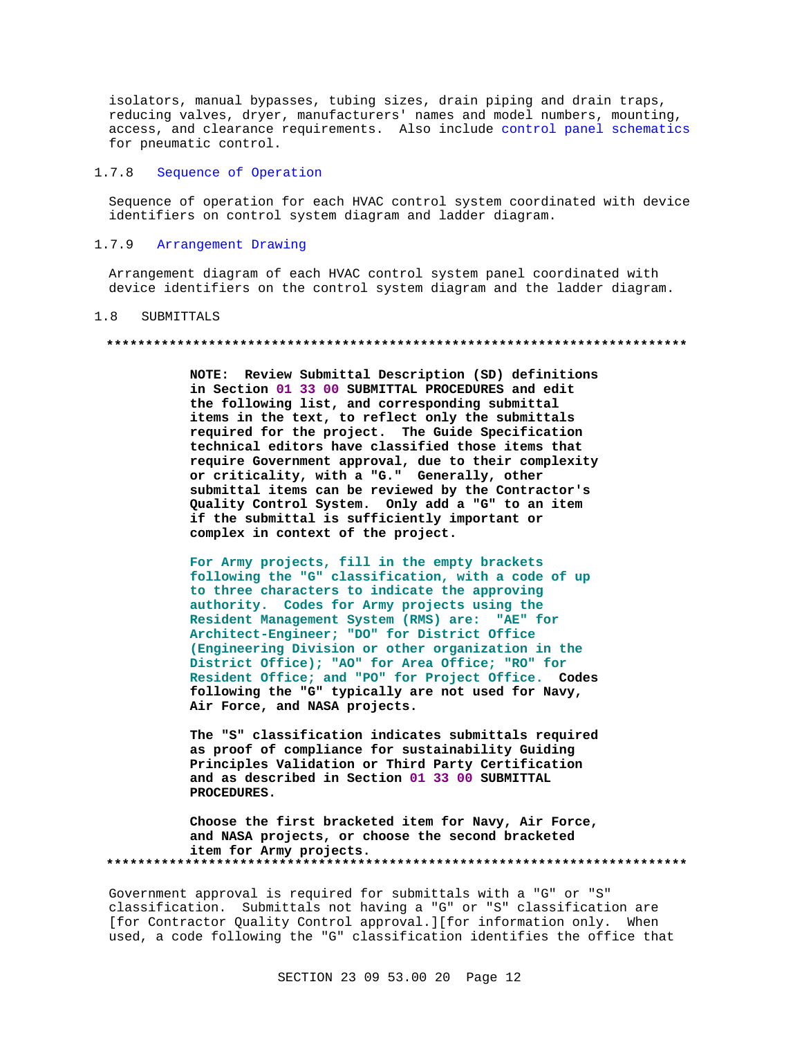isolators, manual bypasses, tubing sizes, drain piping and drain traps, reducing valves, dryer, manufacturers' names and model numbers, mounting, access, and clearance requirements. Also include control panel schematics for pneumatic control.

## 1.7.8 Sequence of Operation

Sequence of operation for each HVAC control system coordinated with device identifiers on control system diagram and ladder diagram.

### 1.7.9 Arrangement Drawing

Arrangement diagram of each HVAC control system panel coordinated with device identifiers on the control system diagram and the ladder diagram.

# 1.8 SUBMITTALS

**\*\*\*\*\*\*\*\*\*\*\*\*\*\*\*\*\*\*\*\*\*\*\*\*\*\*\*\*\*\*\*\*\*\*\*\*\*\*\*\*\*\*\*\*\*\*\*\*\*\*\*\*\*\*\*\*\*\*\*\*\*\*\*\*\*\*\*\*\*\*\*\*\*\***

**NOTE: Review Submittal Description (SD) definitions in Section 01 33 00 SUBMITTAL PROCEDURES and edit the following list, and corresponding submittal items in the text, to reflect only the submittals required for the project. The Guide Specification technical editors have classified those items that require Government approval, due to their complexity or criticality, with a "G." Generally, other submittal items can be reviewed by the Contractor's Quality Control System. Only add a "G" to an item if the submittal is sufficiently important or complex in context of the project.**

**For Army projects, fill in the empty brackets following the "G" classification, with a code of up to three characters to indicate the approving authority. Codes for Army projects using the Resident Management System (RMS) are: "AE" for Architect-Engineer; "DO" for District Office (Engineering Division or other organization in the District Office); "AO" for Area Office; "RO" for Resident Office; and "PO" for Project Office. Codes following the "G" typically are not used for Navy, Air Force, and NASA projects.**

**The "S" classification indicates submittals required as proof of compliance for sustainability Guiding Principles Validation or Third Party Certification and as described in Section 01 33 00 SUBMITTAL PROCEDURES.**

**Choose the first bracketed item for Navy, Air Force, and NASA projects, or choose the second bracketed item for Army projects. \*\*\*\*\*\*\*\*\*\*\*\*\*\*\*\*\*\*\*\*\*\*\*\*\*\*\*\*\*\*\*\*\*\*\*\*\*\*\*\*\*\*\*\*\*\*\*\*\*\*\*\*\*\*\*\*\*\*\*\*\*\*\*\*\*\*\*\*\*\*\*\*\*\***

Government approval is required for submittals with a "G" or "S" classification. Submittals not having a "G" or "S" classification are [for Contractor Quality Control approval.][for information only. When used, a code following the "G" classification identifies the office that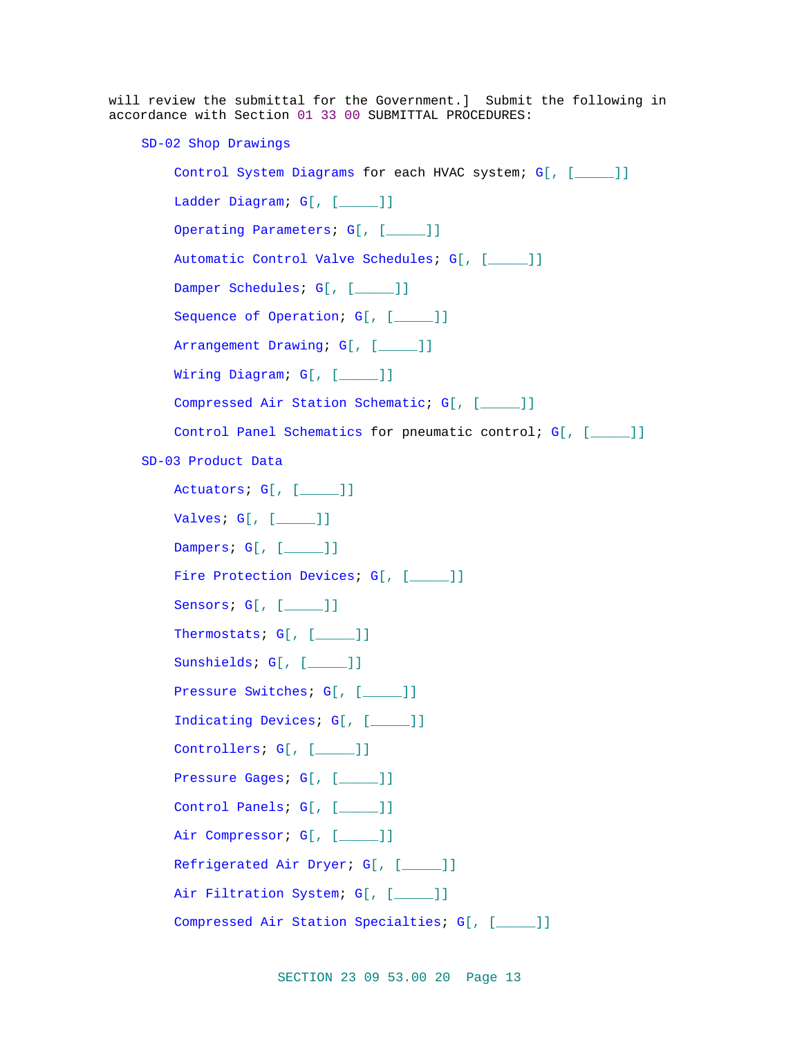will review the submittal for the Government.] Submit the following in accordance with Section 01 33 00 SUBMITTAL PROCEDURES:

SD-02 Shop Drawings

```
Control System Diagrams for each HVAC system; G[, [_____]]
    Ladder Diagram; G[, [____]]
    Operating Parameters; G[, [____]]
    Automatic Control Valve Schedules; G[, [_____]]
    Damper Schedules; G[, [____]]
    Sequence of Operation; G[, [____]]
    Arrangement Drawing; G[, [____]]
    Wiring Diagram; G[, [____]]
    Compressed Air Station Schematic; G[, [_____]]
    Control Panel Schematics for pneumatic control; G[, [_____]]
SD-03 Product Data
    Actuators; G[, [_____]]
    Valves; G[, [_____]]
    Dampers; G[, [____]]
    Fire Protection Devices; G[, [____]]
    Sensors; G[, [_____]]
    Thermostats; G[, [____]]
    Sunshields; G[, [_____]]
    Pressure Switches; G[, [____]]
    Indicating Devices; G[, [_____]]
    Controllers; G[, [_____]]
    Pressure Gages; G[, [____]]
    Control Panels; G[, [_____]]
    Air Compressor; G[, [____]]
    Refrigerated Air Dryer; G[, [____]]
    Air Filtration System; G[, [____]]
    Compressed Air Station Specialties; G[, [_____]]
```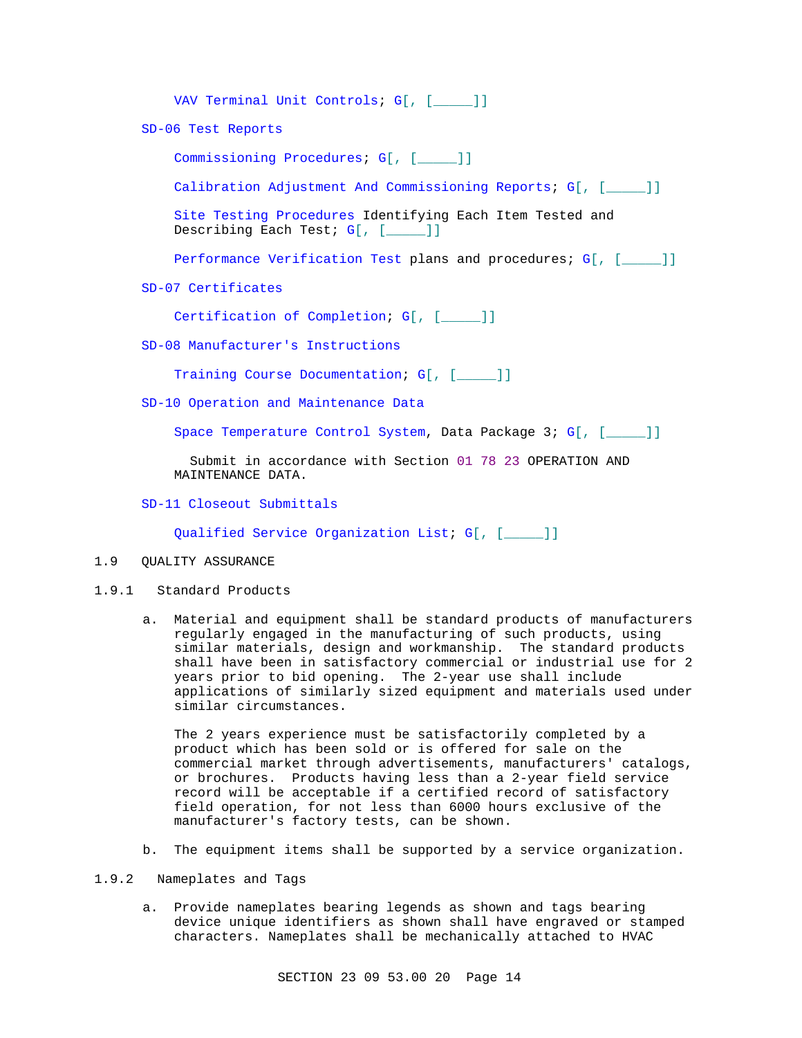VAV Terminal Unit Controls; G[, [\_\_\_\_\_]] SD-06 Test Reports Commissioning Procedures; G[, [\_\_\_\_\_]] Calibration Adjustment And Commissioning Reports; G[, [  $\qquad$  ]] Site Testing Procedures Identifying Each Item Tested and Describing Each Test; G[, [\_\_\_\_]] Performance Verification Test plans and procedures; G[, [\_\_\_\_]] SD-07 Certificates Certification of Completion; G[, [\_\_\_\_]] SD-08 Manufacturer's Instructions Training Course Documentation; G[, [\_\_\_\_\_]] SD-10 Operation and Maintenance Data Space Temperature Control System, Data Package 3; G[, [\_\_\_\_\_]] Submit in accordance with Section 01 78 23 OPERATION AND MAINTENANCE DATA. SD-11 Closeout Submittals Qualified Service Organization List; G[, [\_\_\_\_\_]]

# 1.9 QUALITY ASSURANCE

## 1.9.1 Standard Products

a. Material and equipment shall be standard products of manufacturers regularly engaged in the manufacturing of such products, using similar materials, design and workmanship. The standard products shall have been in satisfactory commercial or industrial use for 2 years prior to bid opening. The 2-year use shall include applications of similarly sized equipment and materials used under similar circumstances.

 The 2 years experience must be satisfactorily completed by a product which has been sold or is offered for sale on the commercial market through advertisements, manufacturers' catalogs, or brochures. Products having less than a 2-year field service record will be acceptable if a certified record of satisfactory field operation, for not less than 6000 hours exclusive of the manufacturer's factory tests, can be shown.

b. The equipment items shall be supported by a service organization.

## 1.9.2 Nameplates and Tags

a. Provide nameplates bearing legends as shown and tags bearing device unique identifiers as shown shall have engraved or stamped characters. Nameplates shall be mechanically attached to HVAC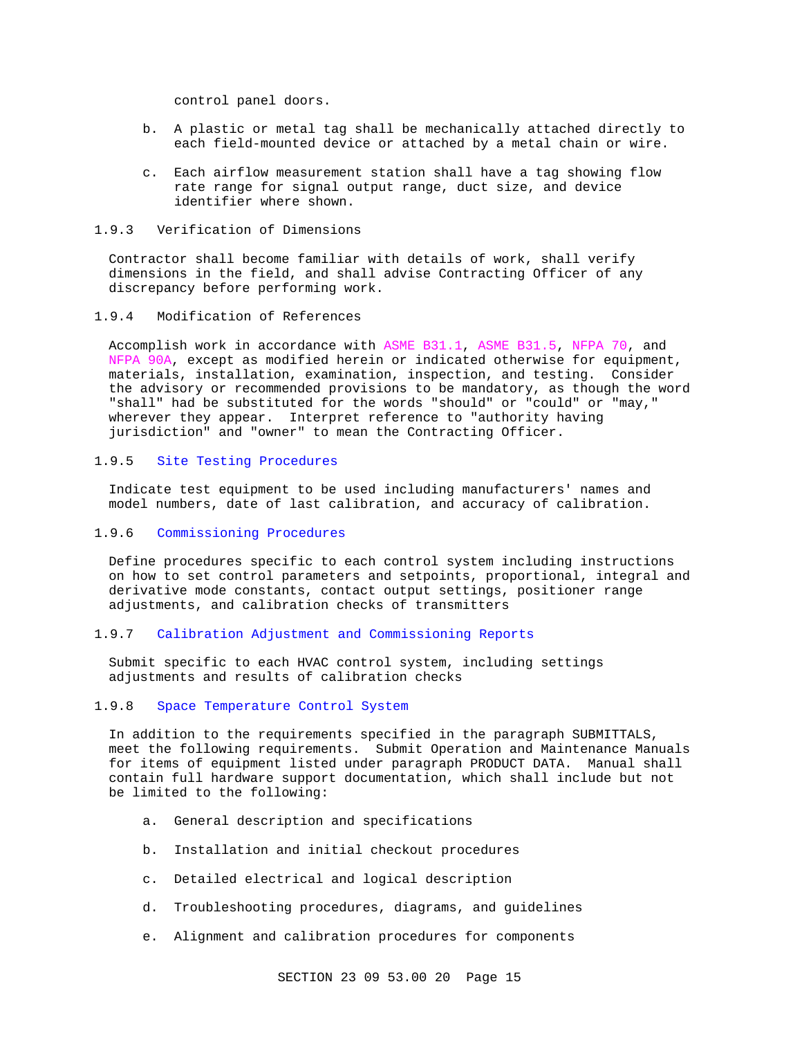control panel doors.

- b. A plastic or metal tag shall be mechanically attached directly to each field-mounted device or attached by a metal chain or wire.
- c. Each airflow measurement station shall have a tag showing flow rate range for signal output range, duct size, and device identifier where shown.
- 1.9.3 Verification of Dimensions

Contractor shall become familiar with details of work, shall verify dimensions in the field, and shall advise Contracting Officer of any discrepancy before performing work.

1.9.4 Modification of References

Accomplish work in accordance with ASME B31.1, ASME B31.5, NFPA 70, and NFPA 90A, except as modified herein or indicated otherwise for equipment, materials, installation, examination, inspection, and testing. Consider the advisory or recommended provisions to be mandatory, as though the word "shall" had be substituted for the words "should" or "could" or "may," wherever they appear. Interpret reference to "authority having jurisdiction" and "owner" to mean the Contracting Officer.

## 1.9.5 Site Testing Procedures

Indicate test equipment to be used including manufacturers' names and model numbers, date of last calibration, and accuracy of calibration.

## 1.9.6 Commissioning Procedures

Define procedures specific to each control system including instructions on how to set control parameters and setpoints, proportional, integral and derivative mode constants, contact output settings, positioner range adjustments, and calibration checks of transmitters

# 1.9.7 Calibration Adjustment and Commissioning Reports

Submit specific to each HVAC control system, including settings adjustments and results of calibration checks

## 1.9.8 Space Temperature Control System

In addition to the requirements specified in the paragraph SUBMITTALS, meet the following requirements. Submit Operation and Maintenance Manuals for items of equipment listed under paragraph PRODUCT DATA. Manual shall contain full hardware support documentation, which shall include but not be limited to the following:

- a. General description and specifications
- b. Installation and initial checkout procedures
- c. Detailed electrical and logical description
- d. Troubleshooting procedures, diagrams, and guidelines
- e. Alignment and calibration procedures for components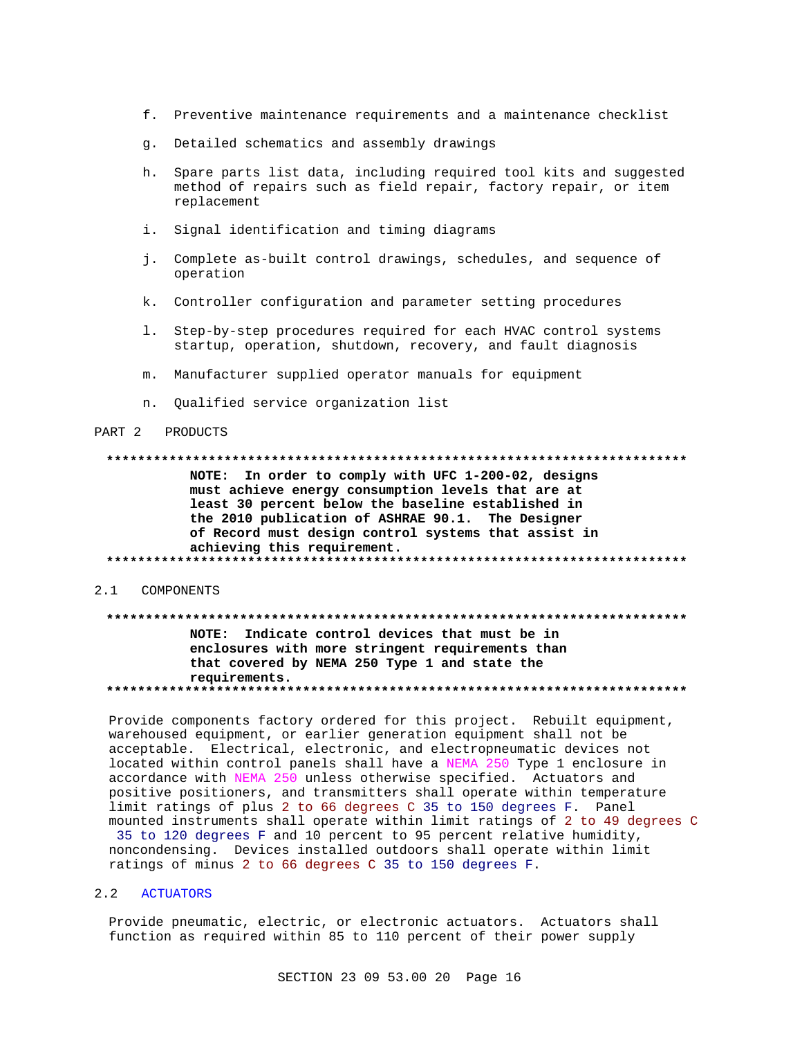- f. Preventive maintenance requirements and a maintenance checklist
- g. Detailed schematics and assembly drawings
- h. Spare parts list data, including required tool kits and suggested method of repairs such as field repair, factory repair, or item replacement
- i. Signal identification and timing diagrams
- j. Complete as-built control drawings, schedules, and sequence of operation
- k. Controller configuration and parameter setting procedures
- Step-by-step procedures required for each HVAC control systems 1. startup, operation, shutdown, recovery, and fault diagnosis
- m. Manufacturer supplied operator manuals for equipment
- n. Qualified service organization list

## PART 2 PRODUCTS

### 

NOTE: In order to comply with UFC 1-200-02, designs must achieve energy consumption levels that are at least 30 percent below the baseline established in the 2010 publication of ASHRAE 90.1. The Designer of Record must design control systems that assist in achieving this requirement. 

### 2.1 COMPONENTS

# NOTE: Indicate control devices that must be in enclosures with more stringent requirements than that covered by NEMA 250 Type 1 and state the requirements.

Provide components factory ordered for this project. Rebuilt equipment, warehoused equipment, or earlier generation equipment shall not be acceptable. Electrical, electronic, and electropneumatic devices not located within control panels shall have a NEMA 250 Type 1 enclosure in accordance with NEMA 250 unless otherwise specified. Actuators and positive positioners, and transmitters shall operate within temperature limit ratings of plus 2 to 66 degrees C 35 to 150 degrees F. Panel mounted instruments shall operate within limit ratings of 2 to 49 degrees C 35 to 120 degrees F and 10 percent to 95 percent relative humidity, noncondensing. Devices installed outdoors shall operate within limit ratings of minus 2 to 66 degrees C 35 to 150 degrees F.

#### $2.2$ **ACTUATORS**

Provide pneumatic, electric, or electronic actuators. Actuators shall function as required within 85 to 110 percent of their power supply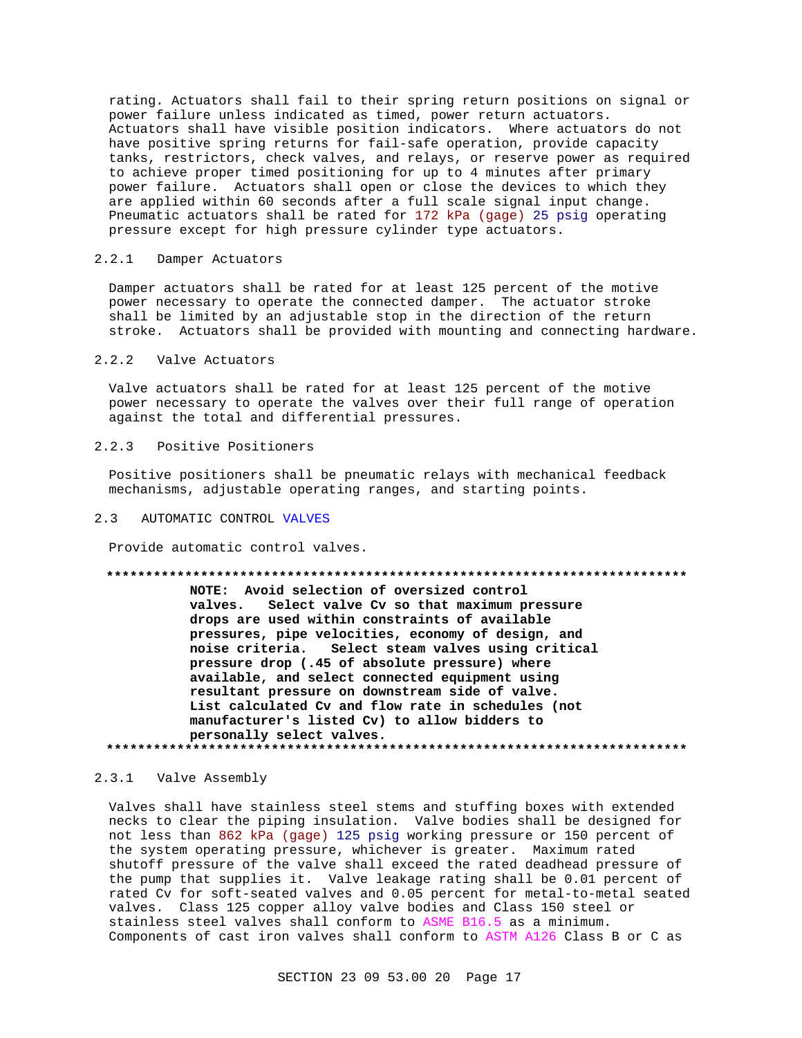rating. Actuators shall fail to their spring return positions on signal or power failure unless indicated as timed, power return actuators. Actuators shall have visible position indicators. Where actuators do not have positive spring returns for fail-safe operation, provide capacity tanks, restrictors, check valves, and relays, or reserve power as required to achieve proper timed positioning for up to 4 minutes after primary power failure. Actuators shall open or close the devices to which they are applied within 60 seconds after a full scale signal input change. Pneumatic actuators shall be rated for 172 kPa (gage) 25 psig operating pressure except for high pressure cylinder type actuators.

## 2.2.1 Damper Actuators

Damper actuators shall be rated for at least 125 percent of the motive power necessary to operate the connected damper. The actuator stroke shall be limited by an adjustable stop in the direction of the return stroke. Actuators shall be provided with mounting and connecting hardware.

## 2.2.2 Valve Actuators

Valve actuators shall be rated for at least 125 percent of the motive power necessary to operate the valves over their full range of operation against the total and differential pressures.

## 2.2.3 Positive Positioners

Positive positioners shall be pneumatic relays with mechanical feedback mechanisms, adjustable operating ranges, and starting points.

### 2.3 AUTOMATIC CONTROL VALVES

Provide automatic control valves.

### **\*\*\*\*\*\*\*\*\*\*\*\*\*\*\*\*\*\*\*\*\*\*\*\*\*\*\*\*\*\*\*\*\*\*\*\*\*\*\*\*\*\*\*\*\*\*\*\*\*\*\*\*\*\*\*\*\*\*\*\*\*\*\*\*\*\*\*\*\*\*\*\*\*\***

**NOTE: Avoid selection of oversized control valves. Select valve Cv so that maximum pressure drops are used within constraints of available pressures, pipe velocities, economy of design, and noise criteria. Select steam valves using critical pressure drop (.45 of absolute pressure) where available, and select connected equipment using resultant pressure on downstream side of valve. List calculated Cv and flow rate in schedules (not manufacturer's listed Cv) to allow bidders to personally select valves. \*\*\*\*\*\*\*\*\*\*\*\*\*\*\*\*\*\*\*\*\*\*\*\*\*\*\*\*\*\*\*\*\*\*\*\*\*\*\*\*\*\*\*\*\*\*\*\*\*\*\*\*\*\*\*\*\*\*\*\*\*\*\*\*\*\*\*\*\*\*\*\*\*\***

## 2.3.1 Valve Assembly

Valves shall have stainless steel stems and stuffing boxes with extended necks to clear the piping insulation. Valve bodies shall be designed for not less than 862 kPa (gage) 125 psig working pressure or 150 percent of the system operating pressure, whichever is greater. Maximum rated shutoff pressure of the valve shall exceed the rated deadhead pressure of the pump that supplies it. Valve leakage rating shall be 0.01 percent of rated Cv for soft-seated valves and 0.05 percent for metal-to-metal seated valves. Class 125 copper alloy valve bodies and Class 150 steel or stainless steel valves shall conform to ASME B16.5 as a minimum. Components of cast iron valves shall conform to ASTM A126 Class B or C as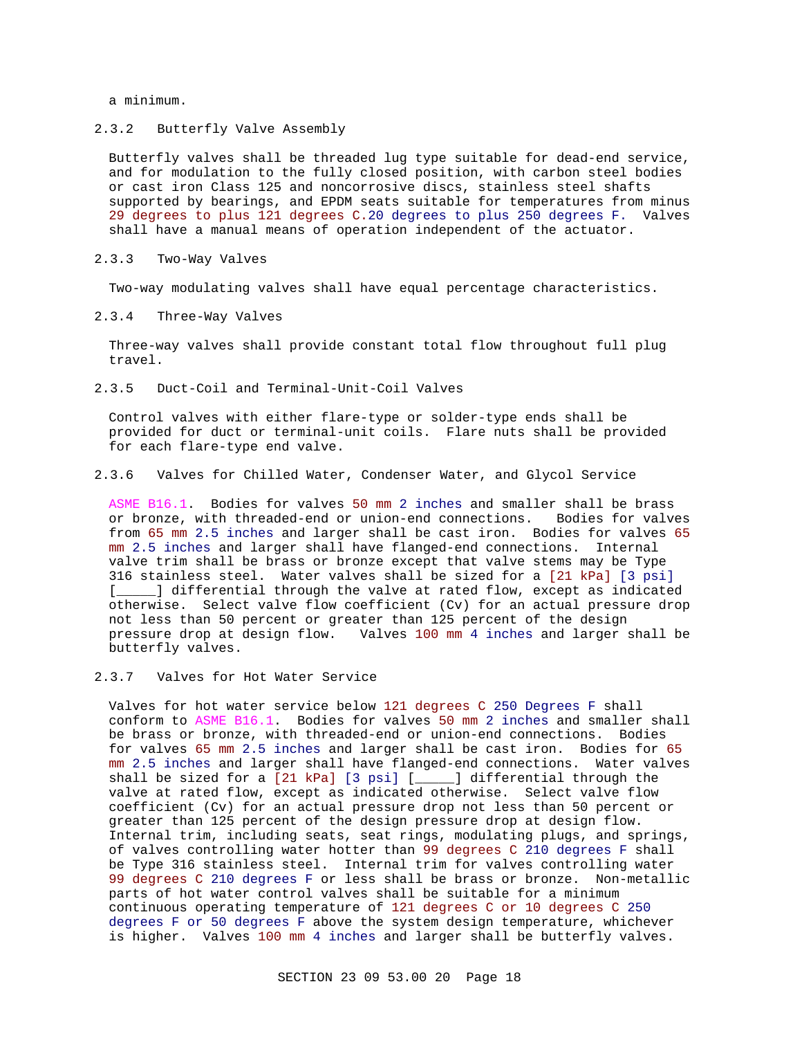a minimum.

2.3.2 Butterfly Valve Assembly

Butterfly valves shall be threaded lug type suitable for dead-end service, and for modulation to the fully closed position, with carbon steel bodies or cast iron Class 125 and noncorrosive discs, stainless steel shafts supported by bearings, and EPDM seats suitable for temperatures from minus 29 degrees to plus 121 degrees C.20 degrees to plus 250 degrees F. Valves shall have a manual means of operation independent of the actuator.

### 2.3.3 Two-Way Valves

Two-way modulating valves shall have equal percentage characteristics.

2.3.4 Three-Way Valves

Three-way valves shall provide constant total flow throughout full plug travel.

2.3.5 Duct-Coil and Terminal-Unit-Coil Valves

Control valves with either flare-type or solder-type ends shall be provided for duct or terminal-unit coils. Flare nuts shall be provided for each flare-type end valve.

2.3.6 Valves for Chilled Water, Condenser Water, and Glycol Service

ASME B16.1. Bodies for valves 50 mm 2 inches and smaller shall be brass or bronze, with threaded-end or union-end connections. Bodies for valves from 65 mm 2.5 inches and larger shall be cast iron. Bodies for valves 65 mm 2.5 inches and larger shall have flanged-end connections. Internal valve trim shall be brass or bronze except that valve stems may be Type 316 stainless steel. Water valves shall be sized for a [21 kPa] [3 psi] [\_\_\_\_\_] differential through the valve at rated flow, except as indicated otherwise. Select valve flow coefficient (Cv) for an actual pressure drop not less than 50 percent or greater than 125 percent of the design pressure drop at design flow. Valves 100 mm 4 inches and larger shall be butterfly valves.

2.3.7 Valves for Hot Water Service

Valves for hot water service below 121 degrees C 250 Degrees F shall conform to ASME B16.1. Bodies for valves 50 mm 2 inches and smaller shall be brass or bronze, with threaded-end or union-end connections. Bodies for valves 65 mm 2.5 inches and larger shall be cast iron. Bodies for 65 mm 2.5 inches and larger shall have flanged-end connections. Water valves shall be sized for a [21 kPa] [3 psi] [\_\_\_\_\_] differential through the valve at rated flow, except as indicated otherwise. Select valve flow coefficient (Cv) for an actual pressure drop not less than 50 percent or greater than 125 percent of the design pressure drop at design flow. Internal trim, including seats, seat rings, modulating plugs, and springs, of valves controlling water hotter than 99 degrees C 210 degrees F shall be Type 316 stainless steel. Internal trim for valves controlling water 99 degrees C 210 degrees F or less shall be brass or bronze. Non-metallic parts of hot water control valves shall be suitable for a minimum continuous operating temperature of 121 degrees C or 10 degrees C 250 degrees F or 50 degrees F above the system design temperature, whichever is higher. Valves 100 mm 4 inches and larger shall be butterfly valves.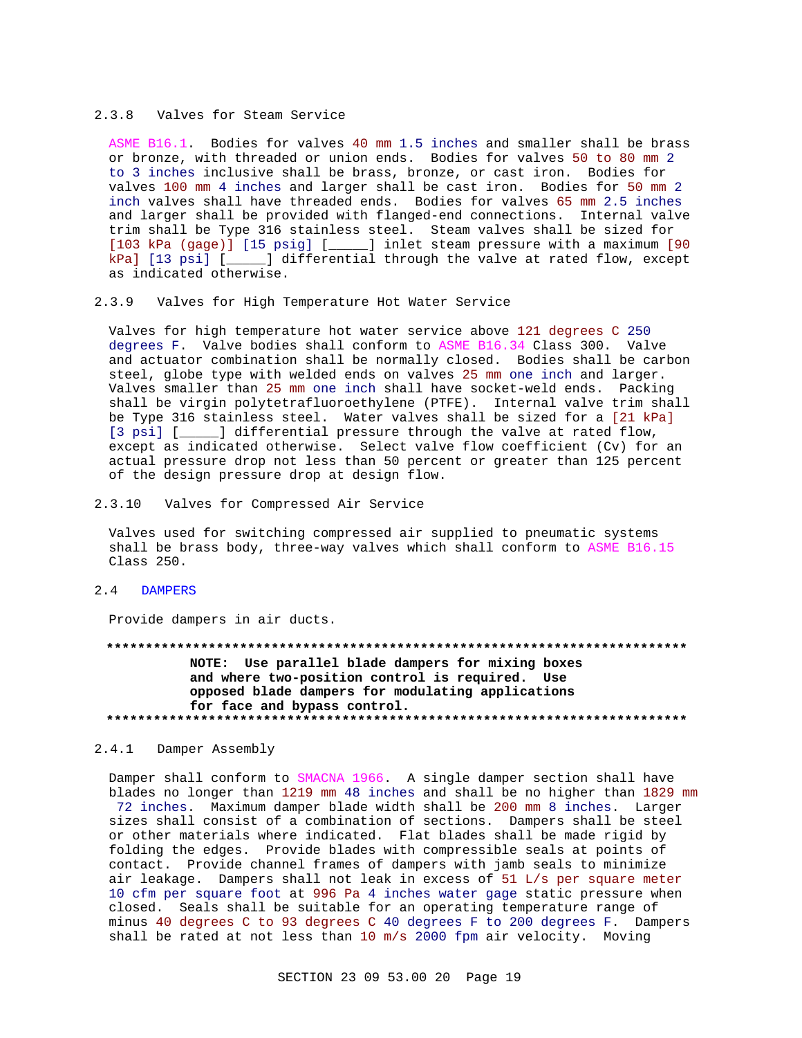## 2.3.8 Valves for Steam Service

ASME B16.1. Bodies for valves 40 mm 1.5 inches and smaller shall be brass or bronze, with threaded or union ends. Bodies for valves 50 to 80 mm 2 to 3 inches inclusive shall be brass, bronze, or cast iron. Bodies for valves 100 mm 4 inches and larger shall be cast iron. Bodies for 50 mm 2 inch valves shall have threaded ends. Bodies for valves 65 mm 2.5 inches and larger shall be provided with flanged-end connections. Internal valve trim shall be Type 316 stainless steel. Steam valves shall be sized for [103 kPa (gage)] [15 psig] [\_\_\_\_\_] inlet steam pressure with a maximum [90 kPa] [13 psi] [\_\_\_\_\_] differential through the valve at rated flow, except as indicated otherwise.

## 2.3.9 Valves for High Temperature Hot Water Service

Valves for high temperature hot water service above 121 degrees C 250 degrees F. Valve bodies shall conform to ASME B16.34 Class 300. Valve and actuator combination shall be normally closed. Bodies shall be carbon steel, globe type with welded ends on valves 25 mm one inch and larger. Valves smaller than 25 mm one inch shall have socket-weld ends. Packing shall be virgin polytetrafluoroethylene (PTFE). Internal valve trim shall be Type 316 stainless steel. Water valves shall be sized for a [21 kPa] [3 psi] [\_\_\_\_\_] differential pressure through the valve at rated flow, except as indicated otherwise. Select valve flow coefficient (Cv) for an actual pressure drop not less than 50 percent or greater than 125 percent of the design pressure drop at design flow.

## 2.3.10 Valves for Compressed Air Service

Valves used for switching compressed air supplied to pneumatic systems shall be brass body, three-way valves which shall conform to ASME B16.15 Class 250.

### 2.4 DAMPERS

Provide dampers in air ducts.

**\*\*\*\*\*\*\*\*\*\*\*\*\*\*\*\*\*\*\*\*\*\*\*\*\*\*\*\*\*\*\*\*\*\*\*\*\*\*\*\*\*\*\*\*\*\*\*\*\*\*\*\*\*\*\*\*\*\*\*\*\*\*\*\*\*\*\*\*\*\*\*\*\*\* NOTE: Use parallel blade dampers for mixing boxes and where two-position control is required. Use opposed blade dampers for modulating applications for face and bypass control. \*\*\*\*\*\*\*\*\*\*\*\*\*\*\*\*\*\*\*\*\*\*\*\*\*\*\*\*\*\*\*\*\*\*\*\*\*\*\*\*\*\*\*\*\*\*\*\*\*\*\*\*\*\*\*\*\*\*\*\*\*\*\*\*\*\*\*\*\*\*\*\*\*\***

## 2.4.1 Damper Assembly

Damper shall conform to SMACNA 1966. A single damper section shall have blades no longer than 1219 mm 48 inches and shall be no higher than 1829 mm 72 inches. Maximum damper blade width shall be 200 mm 8 inches. Larger sizes shall consist of a combination of sections. Dampers shall be steel or other materials where indicated. Flat blades shall be made rigid by folding the edges. Provide blades with compressible seals at points of contact. Provide channel frames of dampers with jamb seals to minimize air leakage. Dampers shall not leak in excess of 51 L/s per square meter 10 cfm per square foot at 996 Pa 4 inches water gage static pressure when closed. Seals shall be suitable for an operating temperature range of minus 40 degrees C to 93 degrees C 40 degrees F to 200 degrees F. Dampers shall be rated at not less than 10 m/s 2000 fpm air velocity. Moving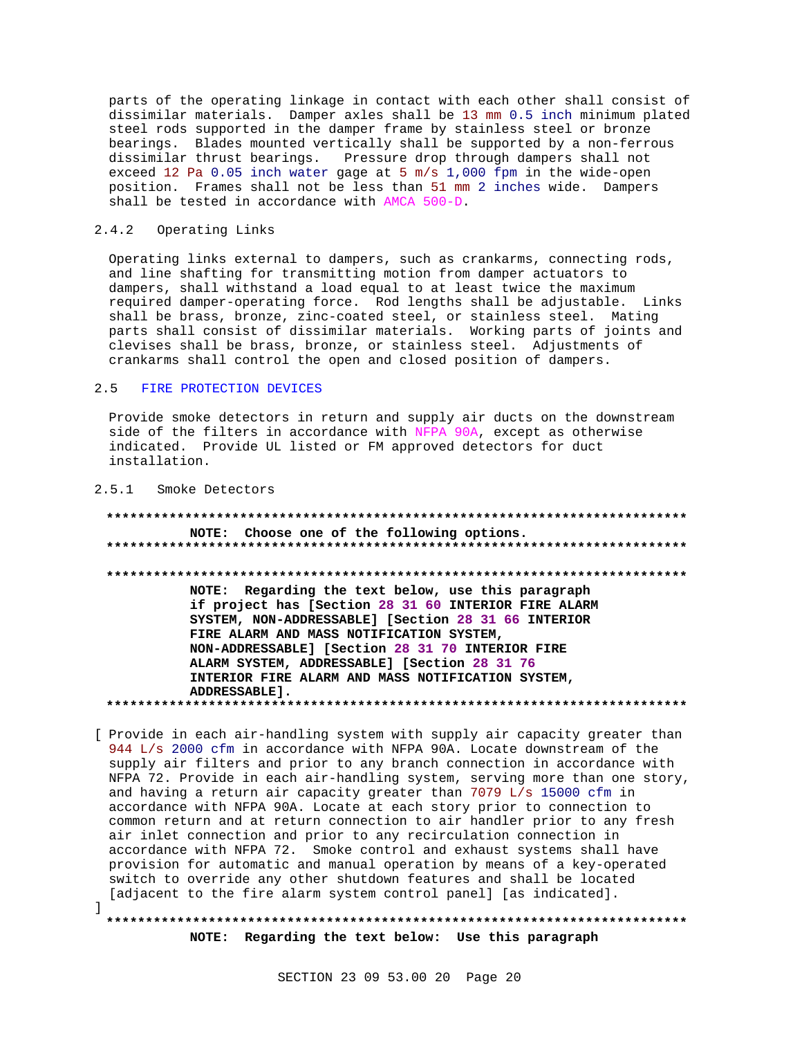parts of the operating linkage in contact with each other shall consist of dissimilar materials. Damper axles shall be 13 mm 0.5 inch minimum plated steel rods supported in the damper frame by stainless steel or bronze bearings. Blades mounted vertically shall be supported by a non-ferrous dissimilar thrust bearings. Pressure drop through dampers shall not exceed 12 Pa 0.05 inch water gage at 5 m/s 1,000 fpm in the wide-open position. Frames shall not be less than 51 mm 2 inches wide. Dampers shall be tested in accordance with AMCA 500-D.

#### $2.4.2$ Operating Links

Operating links external to dampers, such as crankarms, connecting rods, and line shafting for transmitting motion from damper actuators to dampers, shall withstand a load equal to at least twice the maximum required damper-operating force. Rod lengths shall be adjustable. Links shall be brass, bronze, zinc-coated steel, or stainless steel. Mating parts shall consist of dissimilar materials. Working parts of joints and clevises shall be brass, bronze, or stainless steel. Adjustments of crankarms shall control the open and closed position of dampers.

#### $2.5$ FIRE PROTECTION DEVICES

Provide smoke detectors in return and supply air ducts on the downstream side of the filters in accordance with NFPA 90A, except as otherwise indicated. Provide UL listed or FM approved detectors for duct installation.

#### $2.5.1$ Smoke Detectors

NOTE: Choose one of the following options. NOTE: Regarding the text below, use this paragraph if project has [Section 28 31 60 INTERIOR FIRE ALARM SYSTEM, NON-ADDRESSABLE] [Section 28 31 66 INTERIOR FIRE ALARM AND MASS NOTIFICATION SYSTEM, NON-ADDRESSABLE] [Section 28 31 70 INTERIOR FIRE ALARM SYSTEM, ADDRESSABLE] [Section 28 31 76 INTERIOR FIRE ALARM AND MASS NOTIFICATION SYSTEM, ADDRESSABLE1. 

[ Provide in each air-handling system with supply air capacity greater than 944 L/s 2000 cfm in accordance with NFPA 90A. Locate downstream of the supply air filters and prior to any branch connection in accordance with NFPA 72. Provide in each air-handling system, serving more than one story, and having a return air capacity greater than 7079 L/s 15000 cfm in accordance with NFPA 90A. Locate at each story prior to connection to common return and at return connection to air handler prior to any fresh air inlet connection and prior to any recirculation connection in accordance with NFPA 72. Smoke control and exhaust systems shall have provision for automatic and manual operation by means of a key-operated switch to override any other shutdown features and shall be located [adjacent to the fire alarm system control panel] [as indicated].  $\mathbf{1}$ 

NOTE: Regarding the text below: Use this paragraph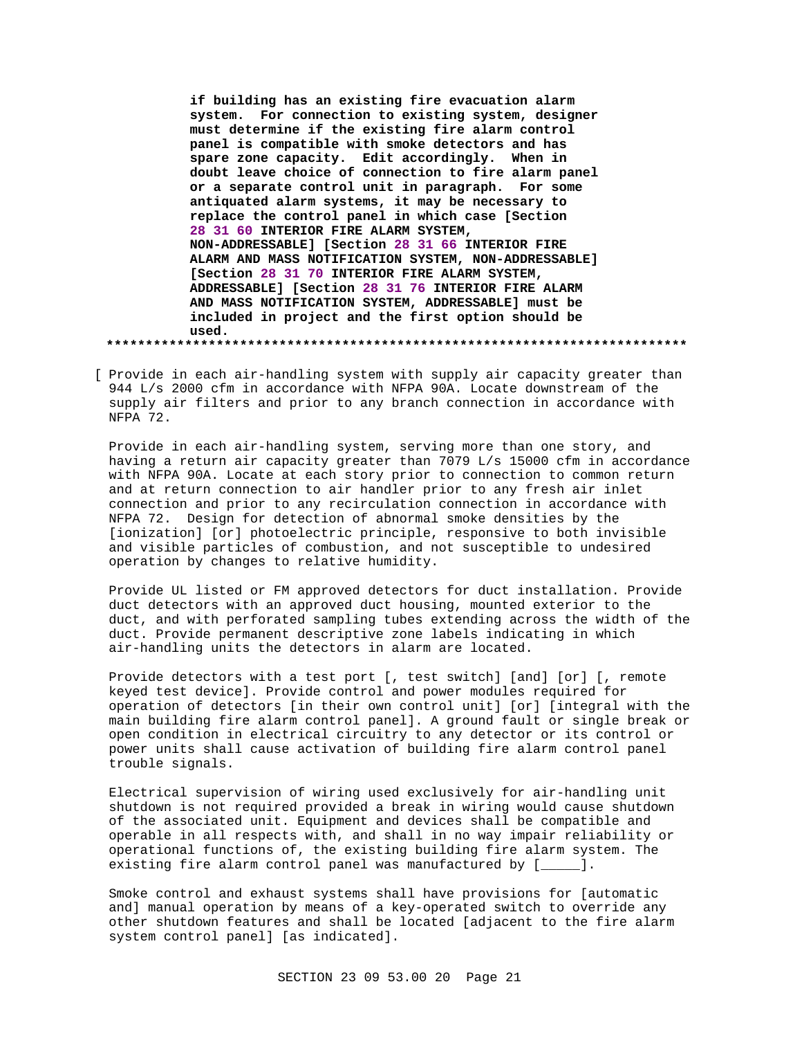**if building has an existing fire evacuation alarm system. For connection to existing system, designer must determine if the existing fire alarm control panel is compatible with smoke detectors and has spare zone capacity. Edit accordingly. When in doubt leave choice of connection to fire alarm panel or a separate control unit in paragraph. For some antiquated alarm systems, it may be necessary to replace the control panel in which case [Section 28 31 60 INTERIOR FIRE ALARM SYSTEM, NON-ADDRESSABLE] [Section 28 31 66 INTERIOR FIRE ALARM AND MASS NOTIFICATION SYSTEM, NON-ADDRESSABLE] [Section 28 31 70 INTERIOR FIRE ALARM SYSTEM, ADDRESSABLE] [Section 28 31 76 INTERIOR FIRE ALARM AND MASS NOTIFICATION SYSTEM, ADDRESSABLE] must be included in project and the first option should be used.**

**\*\*\*\*\*\*\*\*\*\*\*\*\*\*\*\*\*\*\*\*\*\*\*\*\*\*\*\*\*\*\*\*\*\*\*\*\*\*\*\*\*\*\*\*\*\*\*\*\*\*\*\*\*\*\*\*\*\*\*\*\*\*\*\*\*\*\*\*\*\*\*\*\*\***

[ Provide in each air-handling system with supply air capacity greater than 944 L/s 2000 cfm in accordance with NFPA 90A. Locate downstream of the supply air filters and prior to any branch connection in accordance with NFPA 72.

Provide in each air-handling system, serving more than one story, and having a return air capacity greater than 7079 L/s 15000 cfm in accordance with NFPA 90A. Locate at each story prior to connection to common return and at return connection to air handler prior to any fresh air inlet connection and prior to any recirculation connection in accordance with NFPA 72. Design for detection of abnormal smoke densities by the [ionization] [or] photoelectric principle, responsive to both invisible and visible particles of combustion, and not susceptible to undesired operation by changes to relative humidity.

Provide UL listed or FM approved detectors for duct installation. Provide duct detectors with an approved duct housing, mounted exterior to the duct, and with perforated sampling tubes extending across the width of the duct. Provide permanent descriptive zone labels indicating in which air-handling units the detectors in alarm are located.

Provide detectors with a test port [, test switch] [and] [or] [, remote keyed test device]. Provide control and power modules required for operation of detectors [in their own control unit] [or] [integral with the main building fire alarm control panel]. A ground fault or single break or open condition in electrical circuitry to any detector or its control or power units shall cause activation of building fire alarm control panel trouble signals.

Electrical supervision of wiring used exclusively for air-handling unit shutdown is not required provided a break in wiring would cause shutdown of the associated unit. Equipment and devices shall be compatible and operable in all respects with, and shall in no way impair reliability or operational functions of, the existing building fire alarm system. The existing fire alarm control panel was manufactured by [\_\_\_\_\_].

Smoke control and exhaust systems shall have provisions for [automatic and] manual operation by means of a key-operated switch to override any other shutdown features and shall be located [adjacent to the fire alarm system control panel] [as indicated].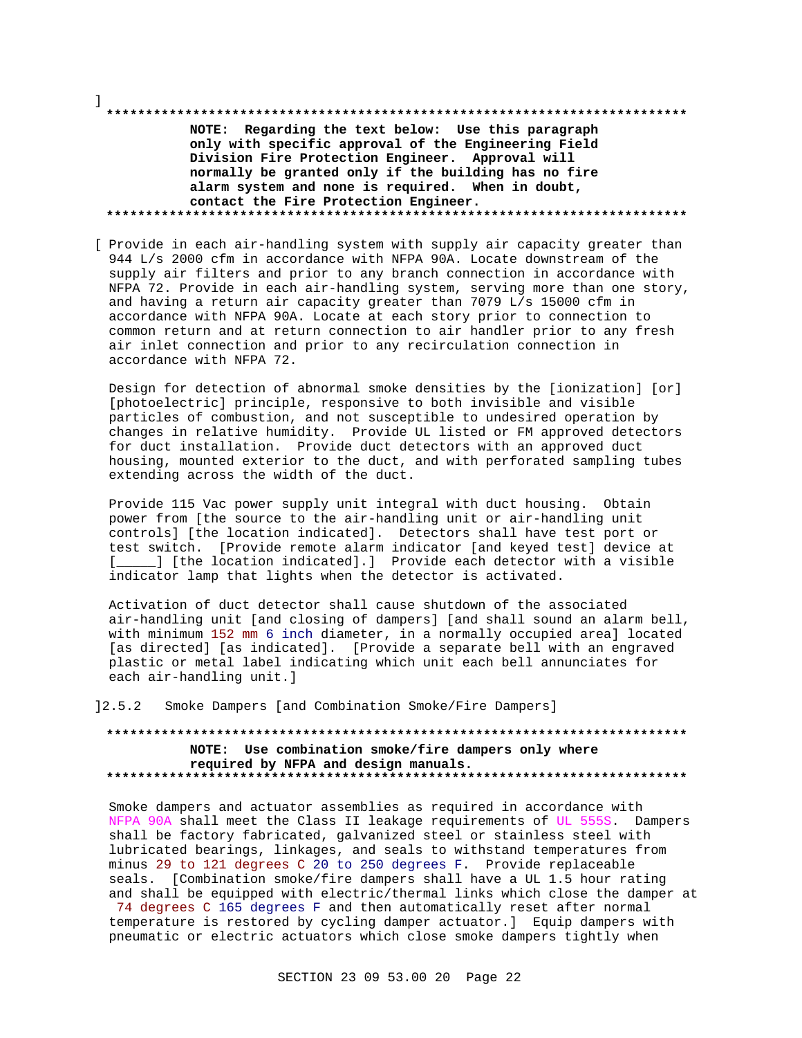$\mathbf{1}$ NOTE: Regarding the text below: Use this paragraph only with specific approval of the Engineering Field Division Fire Protection Engineer. Approval will normally be granted only if the building has no fire alarm system and none is required. When in doubt, contact the Fire Protection Engineer. 

[ Provide in each air-handling system with supply air capacity greater than 944 L/s 2000 cfm in accordance with NFPA 90A. Locate downstream of the supply air filters and prior to any branch connection in accordance with NFPA 72. Provide in each air-handling system, serving more than one story, and having a return air capacity greater than 7079 L/s 15000 cfm in accordance with NFPA 90A. Locate at each story prior to connection to common return and at return connection to air handler prior to any fresh air inlet connection and prior to any recirculation connection in accordance with NFPA 72.

Design for detection of abnormal smoke densities by the [ionization] [or] [photoelectric] principle, responsive to both invisible and visible particles of combustion, and not susceptible to undesired operation by changes in relative humidity. Provide UL listed or FM approved detectors for duct installation. Provide duct detectors with an approved duct housing, mounted exterior to the duct, and with perforated sampling tubes extending across the width of the duct.

Provide 115 Vac power supply unit integral with duct housing. Obtain power from [the source to the air-handling unit or air-handling unit controls] [the location indicated]. Detectors shall have test port or test switch. [Provide remote alarm indicator [and keyed test] device at [\_\_\_\_] [the location indicated].] Provide each detector with a visible indicator lamp that lights when the detector is activated.

Activation of duct detector shall cause shutdown of the associated air-handling unit [and closing of dampers] [and shall sound an alarm bell, with minimum 152 mm 6 inch diameter, in a normally occupied area] located [as directed] [as indicated]. [Provide a separate bell with an engraved plastic or metal label indicating which unit each bell annunciates for each air-handling unit.]

 $12.5.2$ Smoke Dampers [and Combination Smoke/Fire Dampers]

# NOTE: Use combination smoke/fire dampers only where required by NFPA and design manuals.

Smoke dampers and actuator assemblies as required in accordance with NFPA 90A shall meet the Class II leakage requirements of UL 555S. Dampers shall be factory fabricated, galvanized steel or stainless steel with lubricated bearings, linkages, and seals to withstand temperatures from minus 29 to 121 degrees C 20 to 250 degrees F. Provide replaceable seals. [Combination smoke/fire dampers shall have a UL 1.5 hour rating and shall be equipped with electric/thermal links which close the damper at

74 degrees C 165 degrees F and then automatically reset after normal temperature is restored by cycling damper actuator.] Equip dampers with pneumatic or electric actuators which close smoke dampers tightly when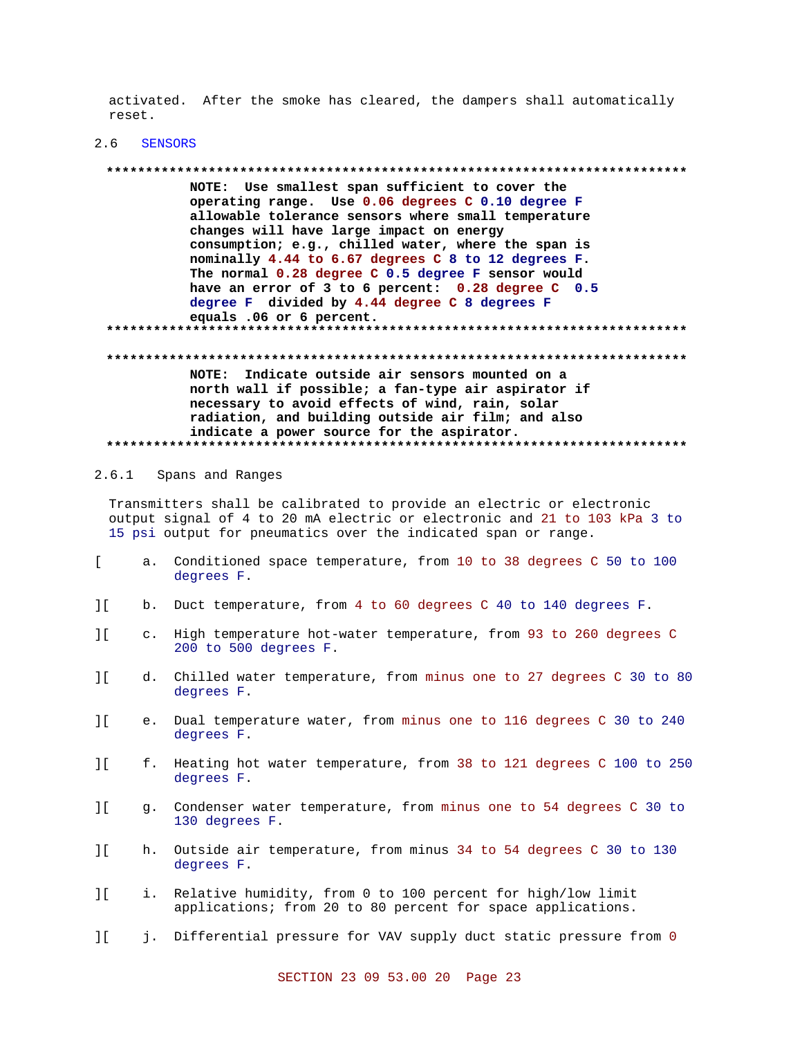activated. After the smoke has cleared, the dampers shall automatically reset.

#### **SENSORS**  $2.6$

NOTE: Use smallest span sufficient to cover the operating range. Use 0.06 degrees C 0.10 degree F allowable tolerance sensors where small temperature changes will have large impact on energy consumption; e.g., chilled water, where the span is nominally 4.44 to 6.67 degrees C 8 to 12 degrees F. The normal 0.28 degree C 0.5 degree F sensor would have an error of 3 to 6 percent: 0.28 degree C 0.5 degree F divided by 4.44 degree C 8 degrees F equals .06 or 6 percent. NOTE: Indicate outside air sensors mounted on a north wall if possible; a fan-type air aspirator if necessary to avoid effects of wind, rain, solar radiation, and building outside air film; and also

indicate a power source for the aspirator.

 $2.6.1$ Spans and Ranges

Transmitters shall be calibrated to provide an electric or electronic output signal of 4 to 20 mA electric or electronic and 21 to 103 kPa 3 to 15 psi output for pneumatics over the indicated span or range.

- $\mathbb{I}$ a. Conditioned space temperature, from 10 to 38 degrees C 50 to 100 degrees F.
- $\overline{\phantom{a}}$ b. Duct temperature, from 4 to 60 degrees C 40 to 140 degrees F.
- $\overline{11}$ High temperature hot-water temperature, from 93 to 260 degrees C  $\mathbf c$ . 200 to 500 degrees F.
- $1<sup>1</sup>$ d. Chilled water temperature, from minus one to 27 degrees C 30 to 80 degrees F.
- $\overline{11}$ e. Dual temperature water, from minus one to 116 degrees C 30 to 240 degrees F.
- $\Gamma$ f. Heating hot water temperature, from 38 to 121 degrees C 100 to 250 degrees F.
- $1<sup>1</sup>$ g. Condenser water temperature, from minus one to 54 degrees C 30 to 130 degrees F.
- $\overline{\phantom{a}}$ h. Outside air temperature, from minus 34 to 54 degrees C 30 to 130 degrees F.
- $1<sup>1</sup>$ i. Relative humidity, from 0 to 100 percent for high/low limit applications; from 20 to 80 percent for space applications.
- $\overline{\phantom{a}}$ j. Differential pressure for VAV supply duct static pressure from 0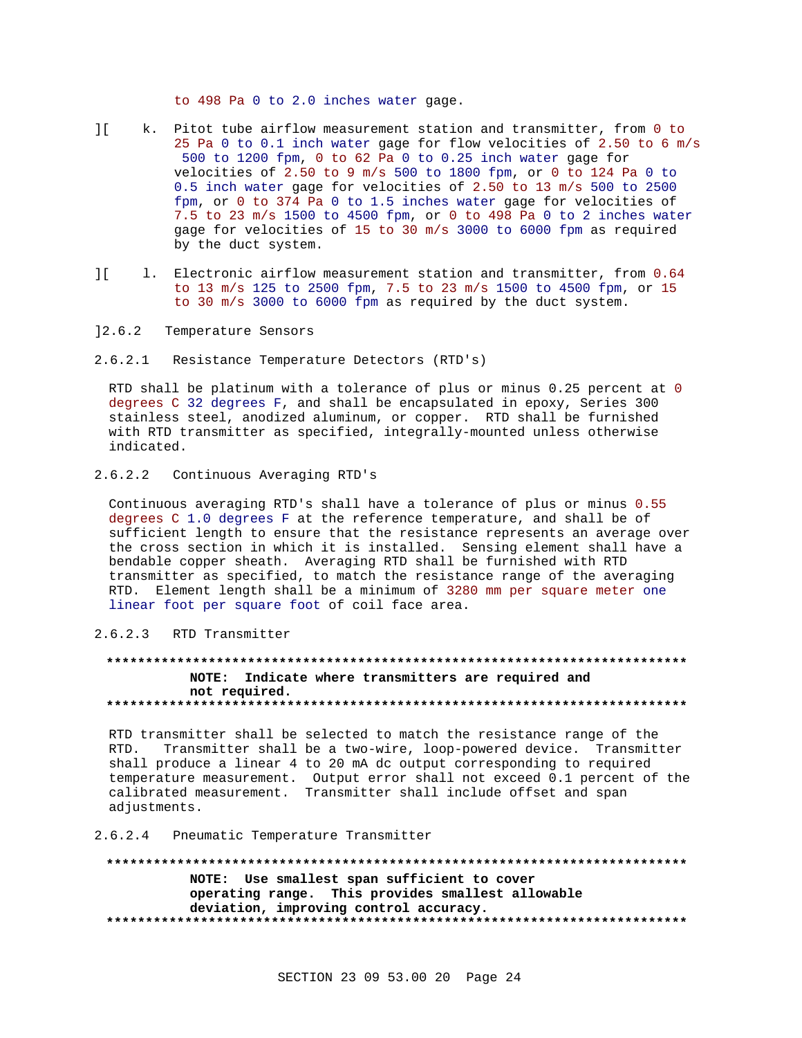to 498 Pa 0 to 2.0 inches water gage.

- ][ k. Pitot tube airflow measurement station and transmitter, from 0 to 25 Pa 0 to 0.1 inch water gage for flow velocities of 2.50 to 6 m/s 500 to 1200 fpm, 0 to 62 Pa 0 to 0.25 inch water gage for velocities of 2.50 to 9 m/s 500 to 1800 fpm, or 0 to 124 Pa 0 to 0.5 inch water gage for velocities of 2.50 to 13 m/s 500 to 2500 fpm, or 0 to 374 Pa 0 to 1.5 inches water gage for velocities of 7.5 to 23 m/s 1500 to 4500 fpm, or 0 to 498 Pa 0 to 2 inches water gage for velocities of 15 to 30 m/s 3000 to 6000 fpm as required by the duct system.
- ][ l. Electronic airflow measurement station and transmitter, from 0.64 to 13 m/s 125 to 2500 fpm, 7.5 to 23 m/s 1500 to 4500 fpm, or 15 to 30 m/s 3000 to 6000 fpm as required by the duct system.
- ]2.6.2 Temperature Sensors
- 2.6.2.1 Resistance Temperature Detectors (RTD's)

RTD shall be platinum with a tolerance of plus or minus 0.25 percent at 0 degrees C 32 degrees F, and shall be encapsulated in epoxy, Series 300 stainless steel, anodized aluminum, or copper. RTD shall be furnished with RTD transmitter as specified, integrally-mounted unless otherwise indicated.

2.6.2.2 Continuous Averaging RTD's

Continuous averaging RTD's shall have a tolerance of plus or minus 0.55 degrees C 1.0 degrees F at the reference temperature, and shall be of sufficient length to ensure that the resistance represents an average over the cross section in which it is installed. Sensing element shall have a bendable copper sheath. Averaging RTD shall be furnished with RTD transmitter as specified, to match the resistance range of the averaging RTD. Element length shall be a minimum of 3280 mm per square meter one linear foot per square foot of coil face area.

2.6.2.3 RTD Transmitter

# **\*\*\*\*\*\*\*\*\*\*\*\*\*\*\*\*\*\*\*\*\*\*\*\*\*\*\*\*\*\*\*\*\*\*\*\*\*\*\*\*\*\*\*\*\*\*\*\*\*\*\*\*\*\*\*\*\*\*\*\*\*\*\*\*\*\*\*\*\*\*\*\*\*\* NOTE: Indicate where transmitters are required and not required. \*\*\*\*\*\*\*\*\*\*\*\*\*\*\*\*\*\*\*\*\*\*\*\*\*\*\*\*\*\*\*\*\*\*\*\*\*\*\*\*\*\*\*\*\*\*\*\*\*\*\*\*\*\*\*\*\*\*\*\*\*\*\*\*\*\*\*\*\*\*\*\*\*\***

RTD transmitter shall be selected to match the resistance range of the RTD. Transmitter shall be a two-wire, loop-powered device. Transmitter shall produce a linear 4 to 20 mA dc output corresponding to required temperature measurement. Output error shall not exceed 0.1 percent of the calibrated measurement. Transmitter shall include offset and span adjustments.

## 2.6.2.4 Pneumatic Temperature Transmitter

**\*\*\*\*\*\*\*\*\*\*\*\*\*\*\*\*\*\*\*\*\*\*\*\*\*\*\*\*\*\*\*\*\*\*\*\*\*\*\*\*\*\*\*\*\*\*\*\*\*\*\*\*\*\*\*\*\*\*\*\*\*\*\*\*\*\*\*\*\*\*\*\*\*\* NOTE: Use smallest span sufficient to cover operating range. This provides smallest allowable deviation, improving control accuracy. \*\*\*\*\*\*\*\*\*\*\*\*\*\*\*\*\*\*\*\*\*\*\*\*\*\*\*\*\*\*\*\*\*\*\*\*\*\*\*\*\*\*\*\*\*\*\*\*\*\*\*\*\*\*\*\*\*\*\*\*\*\*\*\*\*\*\*\*\*\*\*\*\*\***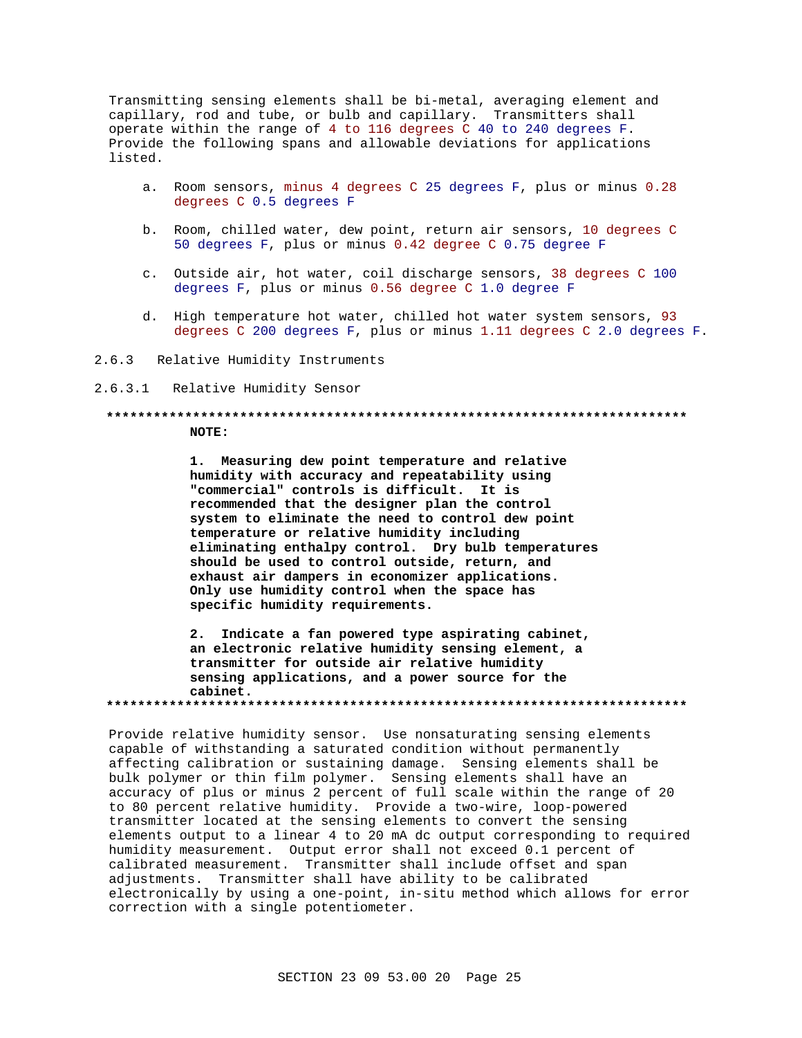Transmitting sensing elements shall be bi-metal, averaging element and capillary, rod and tube, or bulb and capillary. Transmitters shall operate within the range of 4 to 116 degrees C 40 to 240 degrees F. Provide the following spans and allowable deviations for applications listed.

- a. Room sensors, minus 4 degrees C 25 degrees F, plus or minus 0.28 degrees C 0.5 degrees F
- b. Room, chilled water, dew point, return air sensors, 10 degrees C 50 degrees F, plus or minus 0.42 degree C 0.75 degree F
- c. Outside air, hot water, coil discharge sensors, 38 degrees C 100 degrees F, plus or minus 0.56 degree C 1.0 degree F
- d. High temperature hot water, chilled hot water system sensors, 93 degrees C 200 degrees F, plus or minus 1.11 degrees C 2.0 degrees F.
- Relative Humidity Instruments  $263$
- 2.6.3.1 Relative Humidity Sensor

# NOTE:

1. Measuring dew point temperature and relative humidity with accuracy and repeatability using "commercial" controls is difficult. It is recommended that the designer plan the control system to eliminate the need to control dew point temperature or relative humidity including eliminating enthalpy control. Dry bulb temperatures should be used to control outside, return, and exhaust air dampers in economizer applications. Only use humidity control when the space has specific humidity requirements.

2. Indicate a fan powered type aspirating cabinet, an electronic relative humidity sensing element, a transmitter for outside air relative humidity sensing applications, and a power source for the cabinet. 

Provide relative humidity sensor. Use nonsaturating sensing elements capable of withstanding a saturated condition without permanently affecting calibration or sustaining damage. Sensing elements shall be bulk polymer or thin film polymer. Sensing elements shall have an accuracy of plus or minus 2 percent of full scale within the range of 20 to 80 percent relative humidity. Provide a two-wire, loop-powered transmitter located at the sensing elements to convert the sensing elements output to a linear 4 to 20 mA dc output corresponding to required humidity measurement. Output error shall not exceed 0.1 percent of calibrated measurement. Transmitter shall include offset and span adjustments. Transmitter shall have ability to be calibrated electronically by using a one-point, in-situ method which allows for error correction with a single potentiometer.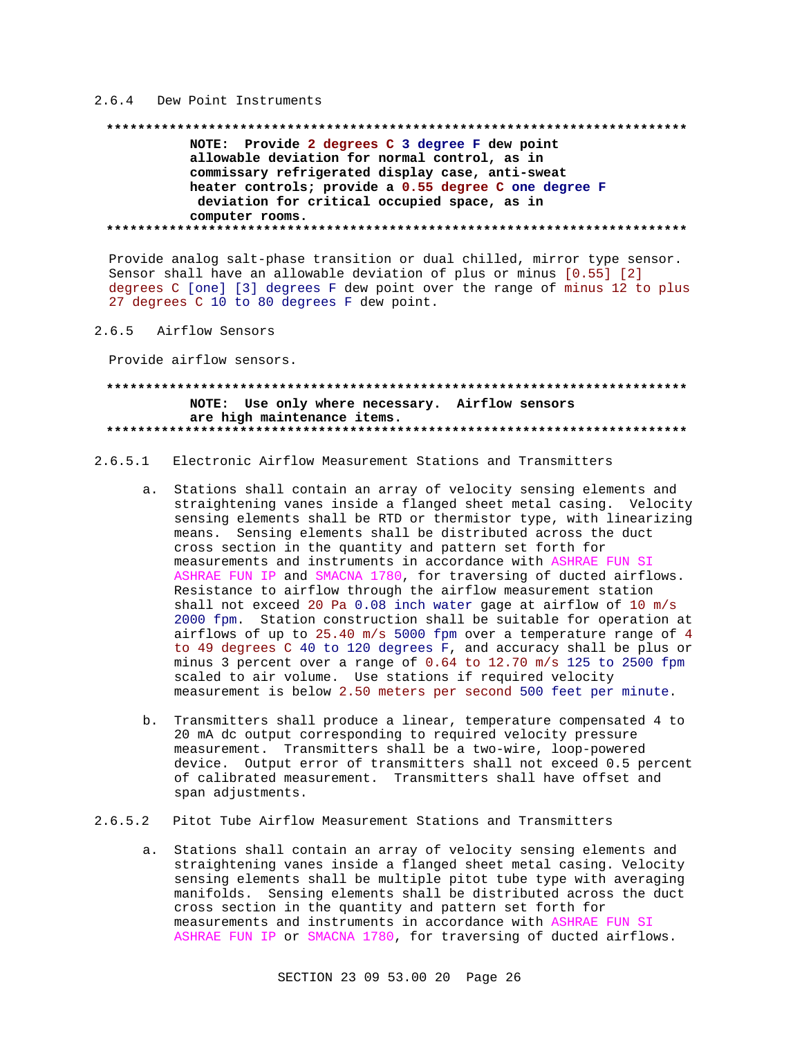## 2.6.4 Dew Point Instruments

# NOTE: Provide 2 degrees C 3 degree F dew point allowable deviation for normal control, as in commissary refrigerated display case, anti-sweat heater controls; provide a 0.55 degree C one degree F deviation for critical occupied space, as in computer rooms.

Provide analog salt-phase transition or dual chilled, mirror type sensor. Sensor shall have an allowable deviation of plus or minus [0.55] [2] degrees C [one] [3] degrees F dew point over the range of minus 12 to plus 27 degrees C 10 to 80 degrees F dew point.

#### $2.6.5$ Airflow Sensors

Provide airflow sensors.

NOTE: Use only where necessary. Airflow sensors are high maintenance items. 

## 2.6.5.1 Electronic Airflow Measurement Stations and Transmitters

- a. Stations shall contain an array of velocity sensing elements and straightening vanes inside a flanged sheet metal casing. Velocity sensing elements shall be RTD or thermistor type, with linearizing means. Sensing elements shall be distributed across the duct cross section in the quantity and pattern set forth for measurements and instruments in accordance with ASHRAE FUN SI ASHRAE FUN IP and SMACNA 1780, for traversing of ducted airflows. Resistance to airflow through the airflow measurement station shall not exceed 20 Pa 0.08 inch water gage at airflow of 10 m/s 2000 fpm. Station construction shall be suitable for operation at airflows of up to 25.40 m/s 5000 fpm over a temperature range of 4 to 49 degrees C 40 to 120 degrees F, and accuracy shall be plus or minus 3 percent over a range of 0.64 to 12.70 m/s 125 to 2500 fpm scaled to air volume. Use stations if required velocity measurement is below 2.50 meters per second 500 feet per minute.
- b. Transmitters shall produce a linear, temperature compensated 4 to 20 mA dc output corresponding to required velocity pressure measurement. Transmitters shall be a two-wire, loop-powered device. Output error of transmitters shall not exceed 0.5 percent of calibrated measurement. Transmitters shall have offset and span adjustments.

#### $2.6.5.2$ Pitot Tube Airflow Measurement Stations and Transmitters

a. Stations shall contain an array of velocity sensing elements and straightening vanes inside a flanged sheet metal casing. Velocity sensing elements shall be multiple pitot tube type with averaging manifolds. Sensing elements shall be distributed across the duct cross section in the quantity and pattern set forth for measurements and instruments in accordance with ASHRAE FUN SI ASHRAE FUN IP or SMACNA 1780, for traversing of ducted airflows.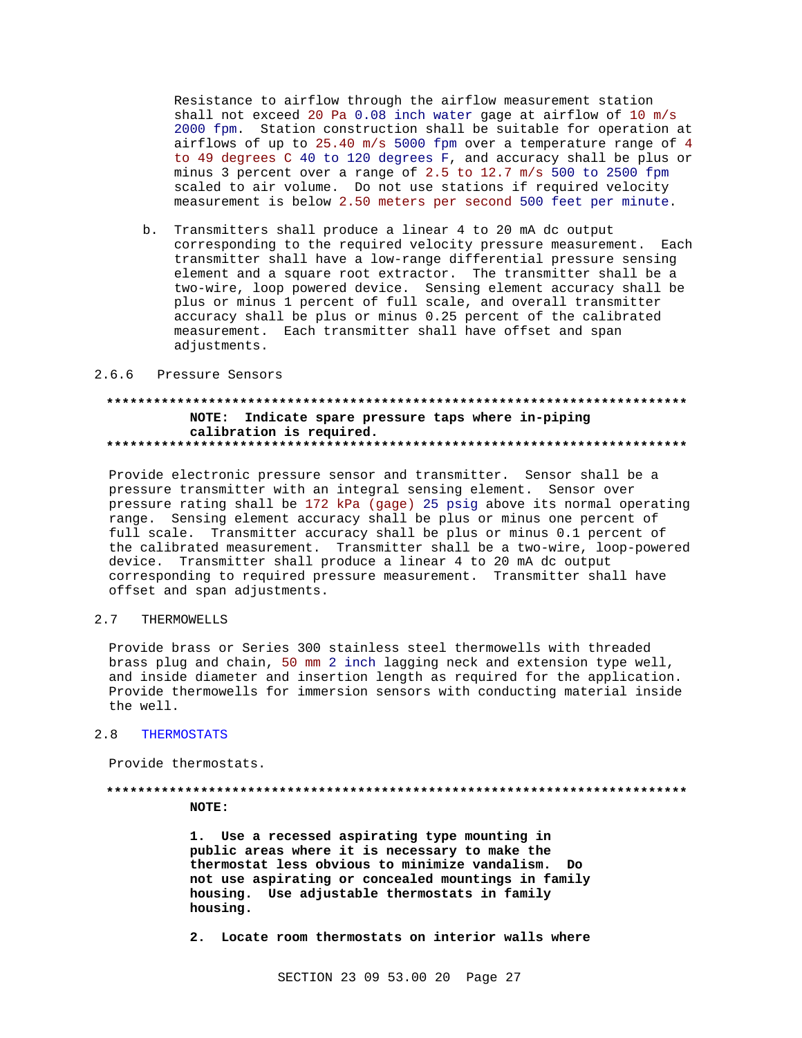Resistance to airflow through the airflow measurement station shall not exceed 20 Pa 0.08 inch water gage at airflow of 10 m/s 2000 fpm. Station construction shall be suitable for operation at airflows of up to 25.40 m/s 5000 fpm over a temperature range of 4 to 49 degrees C 40 to 120 degrees F, and accuracy shall be plus or minus 3 percent over a range of 2.5 to 12.7 m/s 500 to 2500 fpm scaled to air volume. Do not use stations if required velocity measurement is below 2.50 meters per second 500 feet per minute.

b. Transmitters shall produce a linear 4 to 20 mA dc output corresponding to the required velocity pressure measurement. Each transmitter shall have a low-range differential pressure sensing element and a square root extractor. The transmitter shall be a two-wire, loop powered device. Sensing element accuracy shall be plus or minus 1 percent of full scale, and overall transmitter accuracy shall be plus or minus 0.25 percent of the calibrated measurement. Each transmitter shall have offset and span adjustments.

## 2.6.6 Pressure Sensors

## **\*\*\*\*\*\*\*\*\*\*\*\*\*\*\*\*\*\*\*\*\*\*\*\*\*\*\*\*\*\*\*\*\*\*\*\*\*\*\*\*\*\*\*\*\*\*\*\*\*\*\*\*\*\*\*\*\*\*\*\*\*\*\*\*\*\*\*\*\*\*\*\*\*\* NOTE: Indicate spare pressure taps where in-piping calibration is required. \*\*\*\*\*\*\*\*\*\*\*\*\*\*\*\*\*\*\*\*\*\*\*\*\*\*\*\*\*\*\*\*\*\*\*\*\*\*\*\*\*\*\*\*\*\*\*\*\*\*\*\*\*\*\*\*\*\*\*\*\*\*\*\*\*\*\*\*\*\*\*\*\*\***

Provide electronic pressure sensor and transmitter. Sensor shall be a pressure transmitter with an integral sensing element. Sensor over pressure rating shall be 172 kPa (gage) 25 psig above its normal operating range. Sensing element accuracy shall be plus or minus one percent of full scale. Transmitter accuracy shall be plus or minus 0.1 percent of the calibrated measurement. Transmitter shall be a two-wire, loop-powered device. Transmitter shall produce a linear 4 to 20 mA dc output corresponding to required pressure measurement. Transmitter shall have offset and span adjustments.

### 2.7 THERMOWELLS

Provide brass or Series 300 stainless steel thermowells with threaded brass plug and chain, 50 mm 2 inch lagging neck and extension type well, and inside diameter and insertion length as required for the application. Provide thermowells for immersion sensors with conducting material inside the well.

# 2.8 THERMOSTATS

Provide thermostats.

**\*\*\*\*\*\*\*\*\*\*\*\*\*\*\*\*\*\*\*\*\*\*\*\*\*\*\*\*\*\*\*\*\*\*\*\*\*\*\*\*\*\*\*\*\*\*\*\*\*\*\*\*\*\*\*\*\*\*\*\*\*\*\*\*\*\*\*\*\*\*\*\*\*\* NOTE:**

> **1. Use a recessed aspirating type mounting in public areas where it is necessary to make the thermostat less obvious to minimize vandalism. Do not use aspirating or concealed mountings in family housing. Use adjustable thermostats in family housing.**

> **2. Locate room thermostats on interior walls where**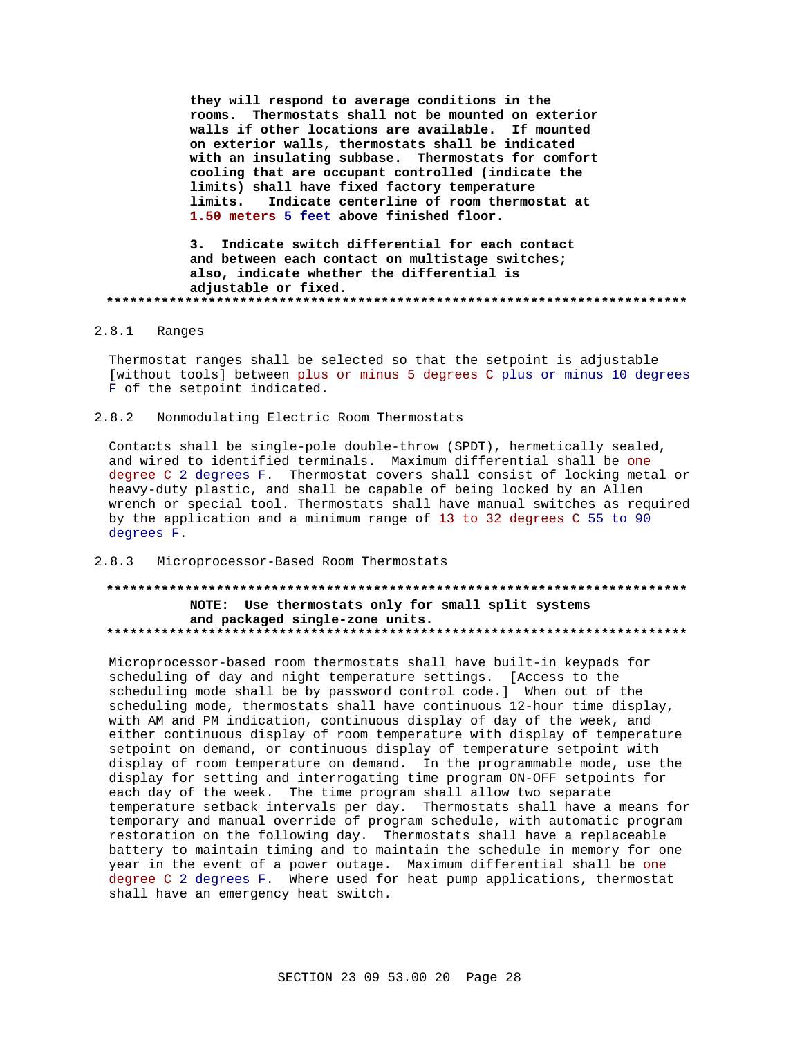they will respond to average conditions in the rooms. Thermostats shall not be mounted on exterior walls if other locations are available. If mounted on exterior walls, thermostats shall be indicated with an insulating subbase. Thermostats for comfort cooling that are occupant controlled (indicate the limits) shall have fixed factory temperature limits. Indicate centerline of room thermostat at 1.50 meters 5 feet above finished floor.

 $\overline{3}$ . Indicate switch differential for each contact and between each contact on multistage switches; also, indicate whether the differential is adjustable or fixed. 

#### $2.8.1$ Ranges

Thermostat ranges shall be selected so that the setpoint is adjustable [without tools] between plus or minus 5 degrees C plus or minus 10 degrees F of the setpoint indicated.

 $2.8.2$ Nonmodulating Electric Room Thermostats

Contacts shall be single-pole double-throw (SPDT), hermetically sealed, and wired to identified terminals. Maximum differential shall be one degree C 2 degrees F. Thermostat covers shall consist of locking metal or heavy-duty plastic, and shall be capable of being locked by an Allen wrench or special tool. Thermostats shall have manual switches as required by the application and a minimum range of 13 to 32 degrees C 55 to 90 degrees F.

#### $2.8.3$ Microprocessor-Based Room Thermostats

# NOTE: Use thermostats only for small split systems and packaged single-zone units.

Microprocessor-based room thermostats shall have built-in keypads for scheduling of day and night temperature settings. [Access to the scheduling mode shall be by password control code.] When out of the scheduling mode, thermostats shall have continuous 12-hour time display, with AM and PM indication, continuous display of day of the week, and either continuous display of room temperature with display of temperature setpoint on demand, or continuous display of temperature setpoint with display of room temperature on demand. In the programmable mode, use the display for setting and interrogating time program ON-OFF setpoints for each day of the week. The time program shall allow two separate temperature setback intervals per day. Thermostats shall have a means for temporary and manual override of program schedule, with automatic program restoration on the following day. Thermostats shall have a replaceable battery to maintain timing and to maintain the schedule in memory for one year in the event of a power outage. Maximum differential shall be one degree C 2 degrees F. Where used for heat pump applications, thermostat shall have an emergency heat switch.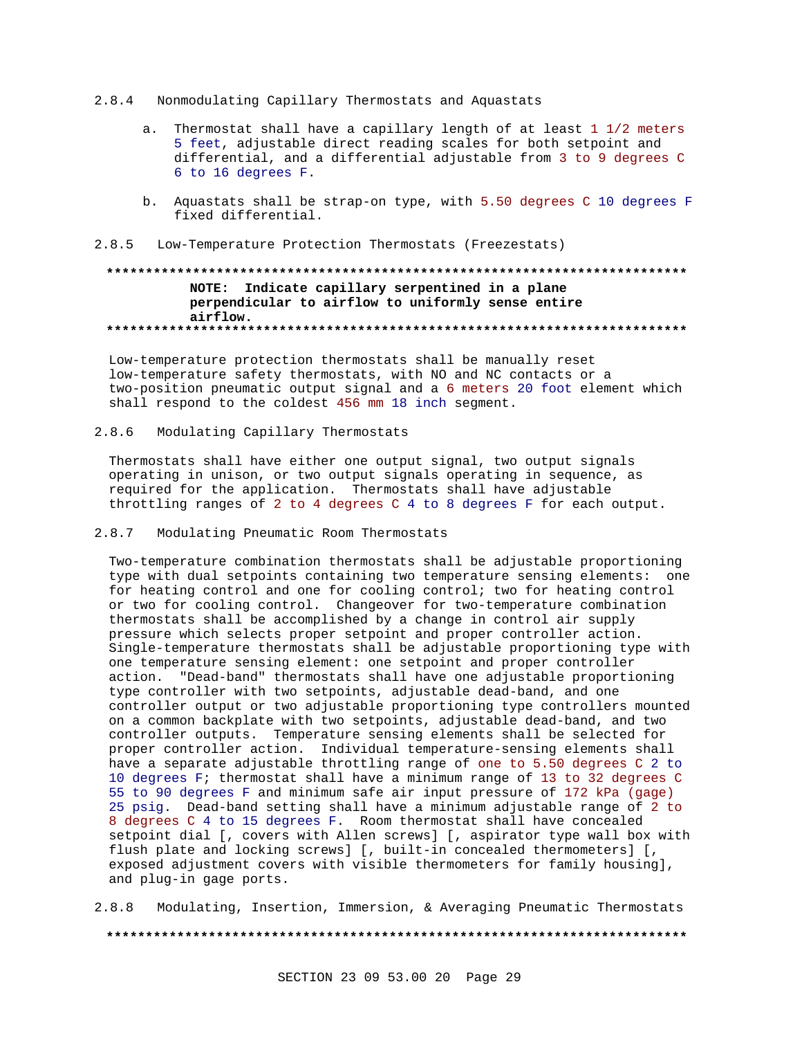- Nonmodulating Capillary Thermostats and Aquastats  $284$ 
	- a. Thermostat shall have a capillary length of at least 1 1/2 meters 5 feet, adjustable direct reading scales for both setpoint and differential, and a differential adjustable from 3 to 9 degrees C 6 to 16 degrees F.
	- b. Aquastats shall be strap-on type, with 5.50 degrees C 10 degrees F fixed differential.
- 2.8.5 Low-Temperature Protection Thermostats (Freezestats)

# NOTE: Indicate capillary serpentined in a plane perpendicular to airflow to uniformly sense entire airflow.

Low-temperature protection thermostats shall be manually reset low-temperature safety thermostats, with NO and NC contacts or a two-position pneumatic output signal and a 6 meters 20 foot element which shall respond to the coldest 456 mm 18 inch segment.

 $2.8.6$ Modulating Capillary Thermostats

Thermostats shall have either one output signal, two output signals operating in unison, or two output signals operating in sequence, as required for the application. Thermostats shall have adjustable throttling ranges of 2 to 4 degrees C 4 to 8 degrees F for each output.

 $2.8.7$ Modulating Pneumatic Room Thermostats

Two-temperature combination thermostats shall be adjustable proportioning type with dual setpoints containing two temperature sensing elements: one for heating control and one for cooling control; two for heating control or two for cooling control. Changeover for two-temperature combination thermostats shall be accomplished by a change in control air supply pressure which selects proper setpoint and proper controller action. Single-temperature thermostats shall be adjustable proportioning type with one temperature sensing element: one setpoint and proper controller action. "Dead-band" thermostats shall have one adjustable proportioning type controller with two setpoints, adjustable dead-band, and one controller output or two adjustable proportioning type controllers mounted on a common backplate with two setpoints, adjustable dead-band, and two controller outputs. Temperature sensing elements shall be selected for proper controller action. Individual temperature-sensing elements shall have a separate adjustable throttling range of one to 5.50 degrees C 2 to 10 degrees F; thermostat shall have a minimum range of 13 to 32 degrees C 55 to 90 degrees F and minimum safe air input pressure of 172 kPa (gage) 25 psig. Dead-band setting shall have a minimum adjustable range of 2 to 8 degrees C 4 to 15 degrees F. Room thermostat shall have concealed setpoint dial [, covers with Allen screws] [, aspirator type wall box with flush plate and locking screws] [, built-in concealed thermometers] [, exposed adjustment covers with visible thermometers for family housing], and plug-in gage ports.

 $2.8.8$ Modulating, Insertion, Immersion, & Averaging Pneumatic Thermostats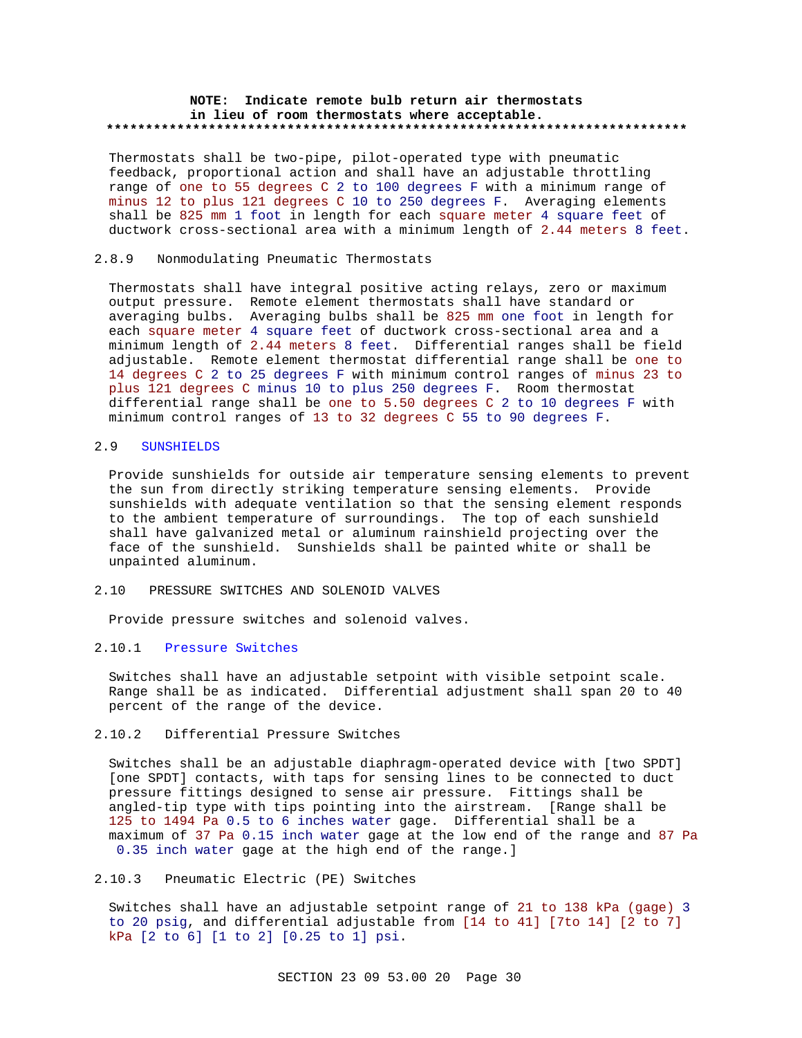## **NOTE: Indicate remote bulb return air thermostats in lieu of room thermostats where acceptable. \*\*\*\*\*\*\*\*\*\*\*\*\*\*\*\*\*\*\*\*\*\*\*\*\*\*\*\*\*\*\*\*\*\*\*\*\*\*\*\*\*\*\*\*\*\*\*\*\*\*\*\*\*\*\*\*\*\*\*\*\*\*\*\*\*\*\*\*\*\*\*\*\*\***

Thermostats shall be two-pipe, pilot-operated type with pneumatic feedback, proportional action and shall have an adjustable throttling range of one to 55 degrees C 2 to 100 degrees F with a minimum range of minus 12 to plus 121 degrees C 10 to 250 degrees F. Averaging elements shall be 825 mm 1 foot in length for each square meter 4 square feet of ductwork cross-sectional area with a minimum length of 2.44 meters 8 feet.

## 2.8.9 Nonmodulating Pneumatic Thermostats

Thermostats shall have integral positive acting relays, zero or maximum output pressure. Remote element thermostats shall have standard or averaging bulbs. Averaging bulbs shall be 825 mm one foot in length for each square meter 4 square feet of ductwork cross-sectional area and a minimum length of 2.44 meters 8 feet. Differential ranges shall be field adjustable. Remote element thermostat differential range shall be one to 14 degrees C 2 to 25 degrees F with minimum control ranges of minus 23 to plus 121 degrees C minus 10 to plus 250 degrees F. Room thermostat differential range shall be one to 5.50 degrees C 2 to 10 degrees F with minimum control ranges of 13 to 32 degrees C 55 to 90 degrees F.

## 2.9 SUNSHIELDS

Provide sunshields for outside air temperature sensing elements to prevent the sun from directly striking temperature sensing elements. Provide sunshields with adequate ventilation so that the sensing element responds to the ambient temperature of surroundings. The top of each sunshield shall have galvanized metal or aluminum rainshield projecting over the face of the sunshield. Sunshields shall be painted white or shall be unpainted aluminum.

## 2.10 PRESSURE SWITCHES AND SOLENOID VALVES

Provide pressure switches and solenoid valves.

# 2.10.1 Pressure Switches

Switches shall have an adjustable setpoint with visible setpoint scale. Range shall be as indicated. Differential adjustment shall span 20 to 40 percent of the range of the device.

# 2.10.2 Differential Pressure Switches

Switches shall be an adjustable diaphragm-operated device with [two SPDT] [one SPDT] contacts, with taps for sensing lines to be connected to duct pressure fittings designed to sense air pressure. Fittings shall be angled-tip type with tips pointing into the airstream. [Range shall be 125 to 1494 Pa 0.5 to 6 inches water gage. Differential shall be a maximum of 37 Pa 0.15 inch water gage at the low end of the range and 87 Pa 0.35 inch water gage at the high end of the range.]

## 2.10.3 Pneumatic Electric (PE) Switches

Switches shall have an adjustable setpoint range of 21 to 138 kPa (gage) 3 to 20 psig, and differential adjustable from [14 to 41] [7to 14] [2 to 7] kPa [2 to 6] [1 to 2] [0.25 to 1] psi.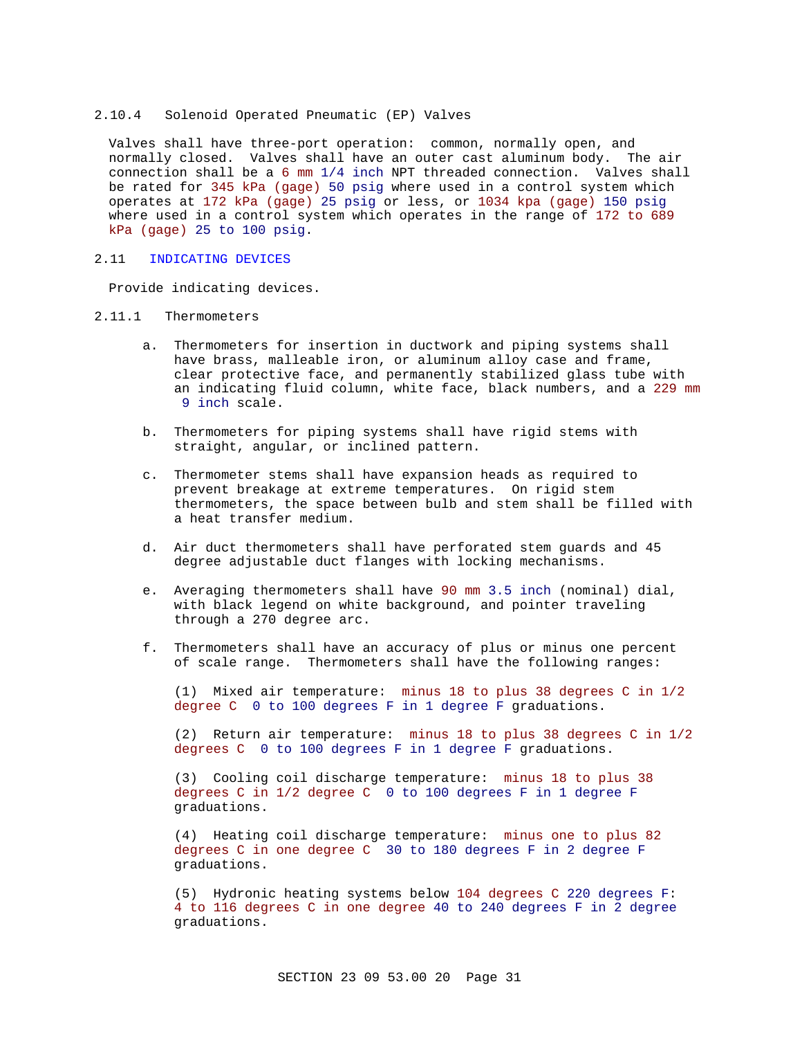## 2.10.4 Solenoid Operated Pneumatic (EP) Valves

Valves shall have three-port operation: common, normally open, and normally closed. Valves shall have an outer cast aluminum body. The air connection shall be a 6 mm 1/4 inch NPT threaded connection. Valves shall be rated for 345 kPa (gage) 50 psig where used in a control system which operates at 172 kPa (gage) 25 psig or less, or 1034 kpa (gage) 150 psig where used in a control system which operates in the range of 172 to 689 kPa (gage) 25 to 100 psig.

# 2.11 INDICATING DEVICES

Provide indicating devices.

# 2.11.1 Thermometers

- a. Thermometers for insertion in ductwork and piping systems shall have brass, malleable iron, or aluminum alloy case and frame, clear protective face, and permanently stabilized glass tube with an indicating fluid column, white face, black numbers, and a 229 mm 9 inch scale.
- b. Thermometers for piping systems shall have rigid stems with straight, angular, or inclined pattern.
- c. Thermometer stems shall have expansion heads as required to prevent breakage at extreme temperatures. On rigid stem thermometers, the space between bulb and stem shall be filled with a heat transfer medium.
- d. Air duct thermometers shall have perforated stem guards and 45 degree adjustable duct flanges with locking mechanisms.
- e. Averaging thermometers shall have 90 mm 3.5 inch (nominal) dial, with black legend on white background, and pointer traveling through a 270 degree arc.
- f. Thermometers shall have an accuracy of plus or minus one percent of scale range. Thermometers shall have the following ranges:

(1) Mixed air temperature: minus 18 to plus 38 degrees C in 1/2 degree C 0 to 100 degrees F in 1 degree F graduations.

(2) Return air temperature: minus 18 to plus 38 degrees C in 1/2 degrees C 0 to 100 degrees F in 1 degree F graduations.

(3) Cooling coil discharge temperature: minus 18 to plus 38 degrees C in 1/2 degree C 0 to 100 degrees F in 1 degree F graduations.

(4) Heating coil discharge temperature: minus one to plus 82 degrees C in one degree C 30 to 180 degrees F in 2 degree F graduations.

(5) Hydronic heating systems below 104 degrees C 220 degrees F: 4 to 116 degrees C in one degree 40 to 240 degrees F in 2 degree graduations.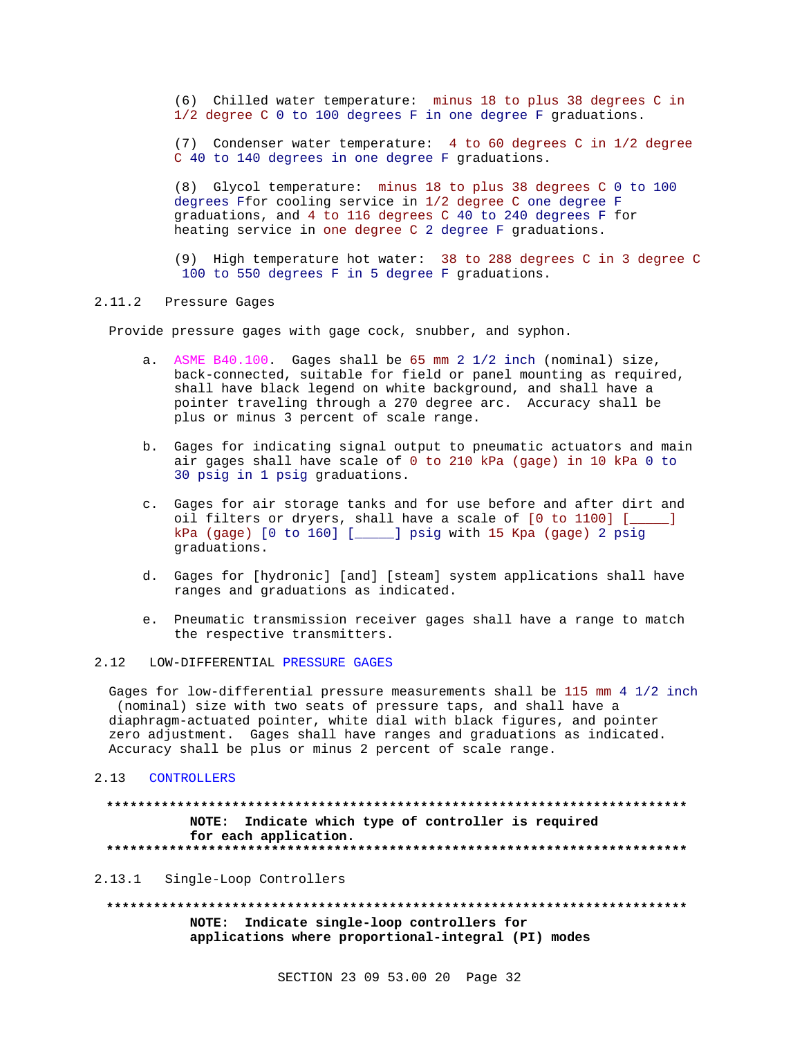(6) Chilled water temperature: minus 18 to plus 38 degrees C in 1/2 degree C 0 to 100 degrees F in one degree F graduations.

(7) Condenser water temperature: 4 to 60 degrees C in 1/2 degree C 40 to 140 degrees in one degree F graduations.

(8) Glycol temperature: minus 18 to plus 38 degrees C 0 to 100 degrees Ffor cooling service in 1/2 degree C one degree F graduations, and 4 to 116 degrees C 40 to 240 degrees F for heating service in one degree C 2 degree F graduations.

(9) High temperature hot water: 38 to 288 degrees C in 3 degree C 100 to 550 degrees F in 5 degree F graduations.

## 2.11.2 Pressure Gages

Provide pressure gages with gage cock, snubber, and syphon.

- a. ASME B40.100. Gages shall be 65 mm 2 1/2 inch (nominal) size, back-connected, suitable for field or panel mounting as required, shall have black legend on white background, and shall have a pointer traveling through a 270 degree arc. Accuracy shall be plus or minus 3 percent of scale range.
- b. Gages for indicating signal output to pneumatic actuators and main air gages shall have scale of 0 to 210 kPa (gage) in 10 kPa 0 to 30 psig in 1 psig graduations.
- c. Gages for air storage tanks and for use before and after dirt and oil filters or dryers, shall have a scale of [0 to 1100] [\_\_\_\_\_] kPa (gage) [0 to 160] [\_\_\_\_\_] psig with 15 Kpa (gage) 2 psig graduations.
- d. Gages for [hydronic] [and] [steam] system applications shall have ranges and graduations as indicated.
- e. Pneumatic transmission receiver gages shall have a range to match the respective transmitters.

# 2.12 LOW-DIFFERENTIAL PRESSURE GAGES

Gages for low-differential pressure measurements shall be 115 mm 4 1/2 inch (nominal) size with two seats of pressure taps, and shall have a diaphragm-actuated pointer, white dial with black figures, and pointer zero adjustment. Gages shall have ranges and graduations as indicated. Accuracy shall be plus or minus 2 percent of scale range.

## 2.13 CONTROLLERS

# **\*\*\*\*\*\*\*\*\*\*\*\*\*\*\*\*\*\*\*\*\*\*\*\*\*\*\*\*\*\*\*\*\*\*\*\*\*\*\*\*\*\*\*\*\*\*\*\*\*\*\*\*\*\*\*\*\*\*\*\*\*\*\*\*\*\*\*\*\*\*\*\*\*\* NOTE: Indicate which type of controller is required for each application. \*\*\*\*\*\*\*\*\*\*\*\*\*\*\*\*\*\*\*\*\*\*\*\*\*\*\*\*\*\*\*\*\*\*\*\*\*\*\*\*\*\*\*\*\*\*\*\*\*\*\*\*\*\*\*\*\*\*\*\*\*\*\*\*\*\*\*\*\*\*\*\*\*\***

## 2.13.1 Single-Loop Controllers

**\*\*\*\*\*\*\*\*\*\*\*\*\*\*\*\*\*\*\*\*\*\*\*\*\*\*\*\*\*\*\*\*\*\*\*\*\*\*\*\*\*\*\*\*\*\*\*\*\*\*\*\*\*\*\*\*\*\*\*\*\*\*\*\*\*\*\*\*\*\*\*\*\*\* NOTE: Indicate single-loop controllers for applications where proportional-integral (PI) modes**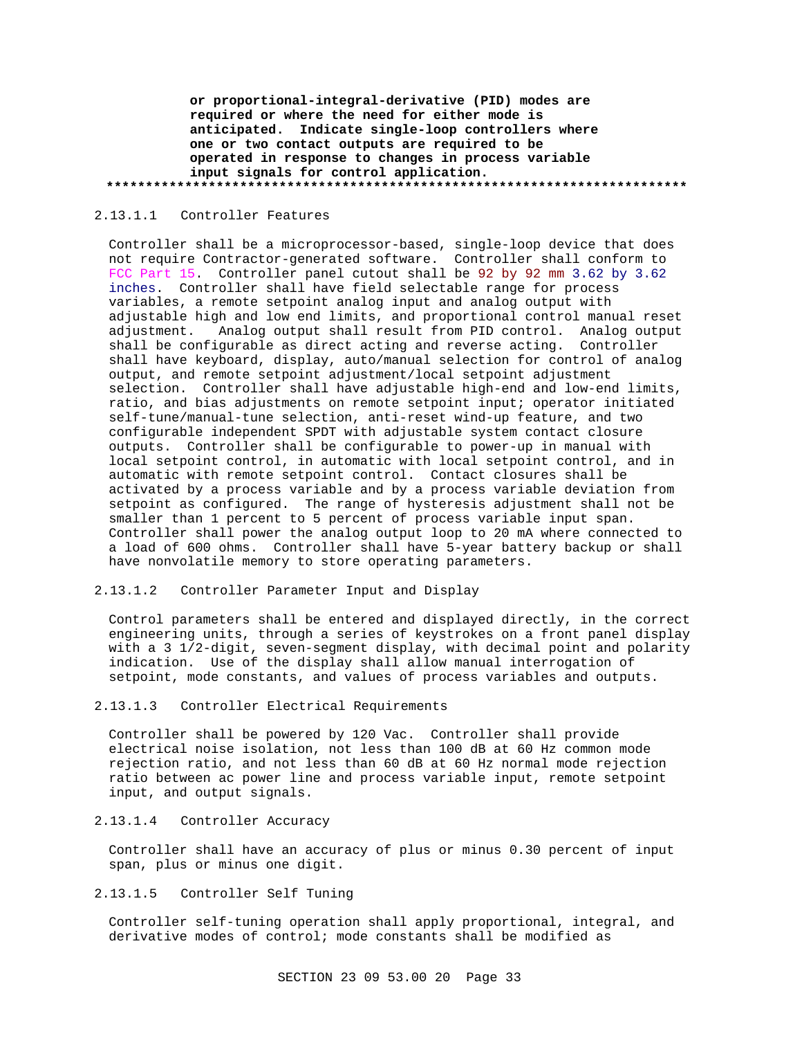**or proportional-integral-derivative (PID) modes are required or where the need for either mode is anticipated. Indicate single-loop controllers where one or two contact outputs are required to be operated in response to changes in process variable input signals for control application. \*\*\*\*\*\*\*\*\*\*\*\*\*\*\*\*\*\*\*\*\*\*\*\*\*\*\*\*\*\*\*\*\*\*\*\*\*\*\*\*\*\*\*\*\*\*\*\*\*\*\*\*\*\*\*\*\*\*\*\*\*\*\*\*\*\*\*\*\*\*\*\*\*\***

## 2.13.1.1 Controller Features

Controller shall be a microprocessor-based, single-loop device that does not require Contractor-generated software. Controller shall conform to FCC Part 15. Controller panel cutout shall be 92 by 92 mm 3.62 by 3.62 inches. Controller shall have field selectable range for process variables, a remote setpoint analog input and analog output with adjustable high and low end limits, and proportional control manual reset adjustment. Analog output shall result from PID control. Analog output shall be configurable as direct acting and reverse acting. Controller shall have keyboard, display, auto/manual selection for control of analog output, and remote setpoint adjustment/local setpoint adjustment selection. Controller shall have adjustable high-end and low-end limits, ratio, and bias adjustments on remote setpoint input; operator initiated self-tune/manual-tune selection, anti-reset wind-up feature, and two configurable independent SPDT with adjustable system contact closure outputs. Controller shall be configurable to power-up in manual with local setpoint control, in automatic with local setpoint control, and in automatic with remote setpoint control. Contact closures shall be activated by a process variable and by a process variable deviation from setpoint as configured. The range of hysteresis adjustment shall not be smaller than 1 percent to 5 percent of process variable input span. Controller shall power the analog output loop to 20 mA where connected to a load of 600 ohms. Controller shall have 5-year battery backup or shall have nonvolatile memory to store operating parameters.

## 2.13.1.2 Controller Parameter Input and Display

Control parameters shall be entered and displayed directly, in the correct engineering units, through a series of keystrokes on a front panel display with a 3 1/2-digit, seven-segment display, with decimal point and polarity indication. Use of the display shall allow manual interrogation of setpoint, mode constants, and values of process variables and outputs.

## 2.13.1.3 Controller Electrical Requirements

Controller shall be powered by 120 Vac. Controller shall provide electrical noise isolation, not less than 100 dB at 60 Hz common mode rejection ratio, and not less than 60 dB at 60 Hz normal mode rejection ratio between ac power line and process variable input, remote setpoint input, and output signals.

# 2.13.1.4 Controller Accuracy

Controller shall have an accuracy of plus or minus 0.30 percent of input span, plus or minus one digit.

2.13.1.5 Controller Self Tuning

Controller self-tuning operation shall apply proportional, integral, and derivative modes of control; mode constants shall be modified as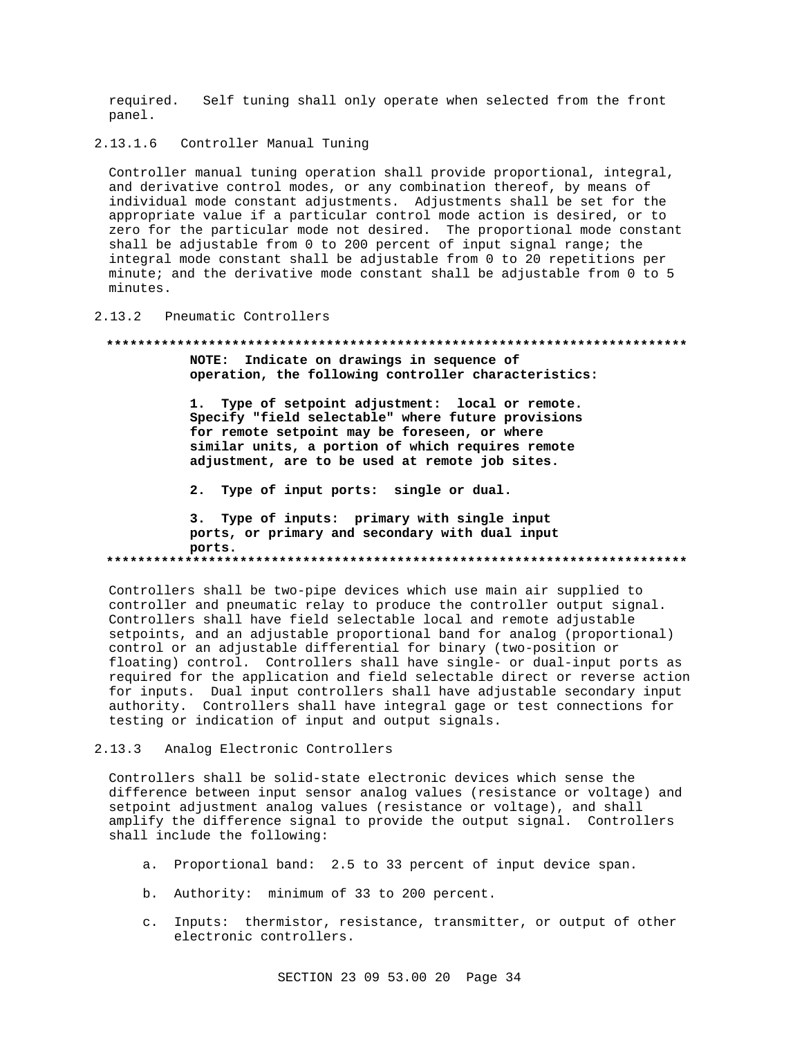required. Self tuning shall only operate when selected from the front panel.

# 2.13.1.6 Controller Manual Tuning

Controller manual tuning operation shall provide proportional, integral, and derivative control modes, or any combination thereof, by means of individual mode constant adjustments. Adjustments shall be set for the appropriate value if a particular control mode action is desired, or to zero for the particular mode not desired. The proportional mode constant shall be adjustable from 0 to 200 percent of input signal range; the integral mode constant shall be adjustable from 0 to 20 repetitions per minute; and the derivative mode constant shall be adjustable from 0 to 5 minutes.

2.13.2 Pneumatic Controllers

NOTE: Indicate on drawings in sequence of operation, the following controller characteristics:

 $1.$ Type of setpoint adjustment: local or remote. Specify "field selectable" where future provisions for remote setpoint may be foreseen, or where similar units, a portion of which requires remote adjustment, are to be used at remote job sites.

 $2.$ Type of input ports: single or dual.

Type of inputs: primary with single input  $3.$ ports, or primary and secondary with dual input ports. 

Controllers shall be two-pipe devices which use main air supplied to controller and pneumatic relay to produce the controller output signal. Controllers shall have field selectable local and remote adjustable setpoints, and an adjustable proportional band for analog (proportional) control or an adjustable differential for binary (two-position or floating) control. Controllers shall have single- or dual-input ports as required for the application and field selectable direct or reverse action for inputs. Dual input controllers shall have adjustable secondary input authority. Controllers shall have integral gage or test connections for testing or indication of input and output signals.

#### $2.13.3$ Analog Electronic Controllers

Controllers shall be solid-state electronic devices which sense the difference between input sensor analog values (resistance or voltage) and setpoint adjustment analog values (resistance or voltage), and shall amplify the difference signal to provide the output signal. Controllers shall include the following:

- a. Proportional band: 2.5 to 33 percent of input device span.
- b. Authority: minimum of 33 to 200 percent.
- c. Inputs: thermistor, resistance, transmitter, or output of other electronic controllers.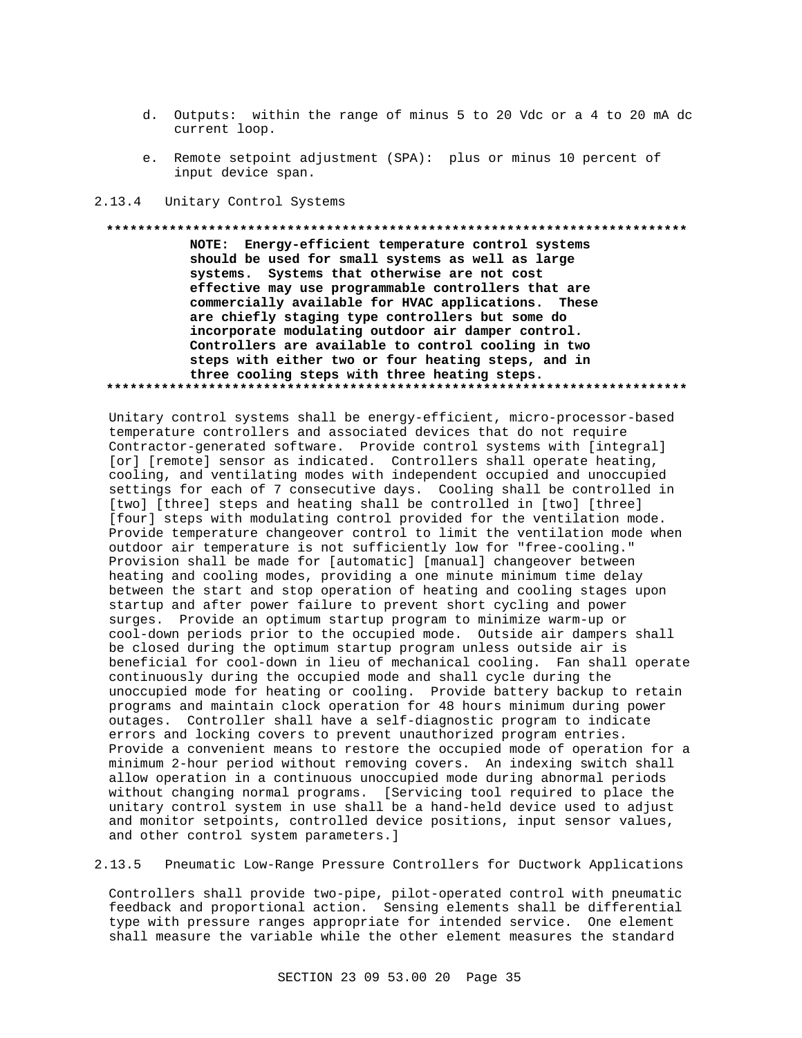- d. Outputs: within the range of minus 5 to 20 Vdc or a 4 to 20 mA dc current loop.
- e. Remote setpoint adjustment (SPA): plus or minus 10 percent of input device span.

## 2.13.4 Unitary Control Systems

### 

NOTE: Energy-efficient temperature control systems should be used for small systems as well as large systems. Systems that otherwise are not cost effective may use programmable controllers that are commercially available for HVAC applications. These are chiefly staging type controllers but some do incorporate modulating outdoor air damper control. Controllers are available to control cooling in two steps with either two or four heating steps, and in three cooling steps with three heating steps. 

Unitary control systems shall be energy-efficient, micro-processor-based temperature controllers and associated devices that do not require Contractor-generated software. Provide control systems with [integral] [or] [remote] sensor as indicated. Controllers shall operate heating, cooling, and ventilating modes with independent occupied and unoccupied settings for each of 7 consecutive days. Cooling shall be controlled in [two] [three] steps and heating shall be controlled in [two] [three] [four] steps with modulating control provided for the ventilation mode. Provide temperature changeover control to limit the ventilation mode when outdoor air temperature is not sufficiently low for "free-cooling." Provision shall be made for [automatic] [manual] changeover between heating and cooling modes, providing a one minute minimum time delay between the start and stop operation of heating and cooling stages upon startup and after power failure to prevent short cycling and power surges. Provide an optimum startup program to minimize warm-up or cool-down periods prior to the occupied mode. Outside air dampers shall be closed during the optimum startup program unless outside air is beneficial for cool-down in lieu of mechanical cooling. Fan shall operate continuously during the occupied mode and shall cycle during the unoccupied mode for heating or cooling. Provide battery backup to retain programs and maintain clock operation for 48 hours minimum during power outages. Controller shall have a self-diagnostic program to indicate errors and locking covers to prevent unauthorized program entries. Provide a convenient means to restore the occupied mode of operation for a minimum 2-hour period without removing covers. An indexing switch shall allow operation in a continuous unoccupied mode during abnormal periods without changing normal programs. [Servicing tool required to place the unitary control system in use shall be a hand-held device used to adjust and monitor setpoints, controlled device positions, input sensor values, and other control system parameters.]

#### $2.13.5$ Pneumatic Low-Range Pressure Controllers for Ductwork Applications

Controllers shall provide two-pipe, pilot-operated control with pneumatic feedback and proportional action. Sensing elements shall be differential type with pressure ranges appropriate for intended service. One element shall measure the variable while the other element measures the standard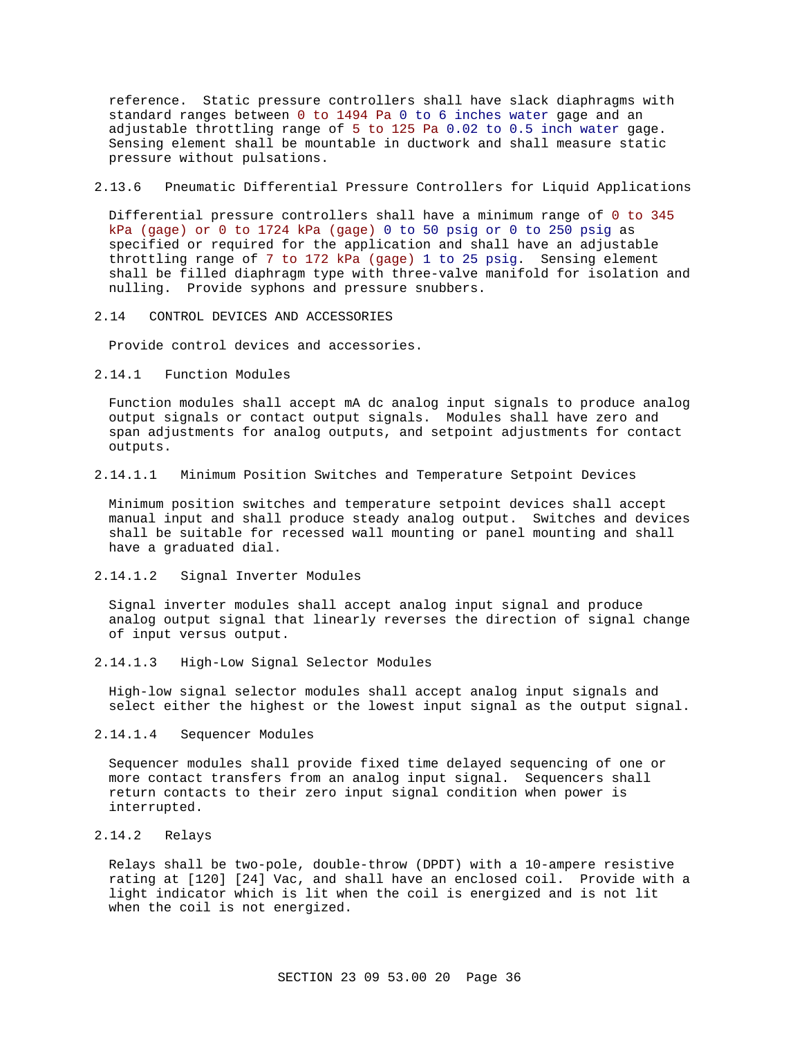reference. Static pressure controllers shall have slack diaphragms with standard ranges between 0 to 1494 Pa 0 to 6 inches water gage and an adjustable throttling range of 5 to 125 Pa 0.02 to 0.5 inch water gage. Sensing element shall be mountable in ductwork and shall measure static pressure without pulsations.

### 2.13.6 Pneumatic Differential Pressure Controllers for Liquid Applications

Differential pressure controllers shall have a minimum range of 0 to 345 kPa (gage) or 0 to 1724 kPa (gage) 0 to 50 psig or 0 to 250 psig as specified or required for the application and shall have an adjustable throttling range of 7 to 172 kPa (gage) 1 to 25 psig. Sensing element shall be filled diaphragm type with three-valve manifold for isolation and nulling. Provide syphons and pressure snubbers.

## 2.14 CONTROL DEVICES AND ACCESSORIES

Provide control devices and accessories.

2.14.1 Function Modules

Function modules shall accept mA dc analog input signals to produce analog output signals or contact output signals. Modules shall have zero and span adjustments for analog outputs, and setpoint adjustments for contact outputs.

2.14.1.1 Minimum Position Switches and Temperature Setpoint Devices

Minimum position switches and temperature setpoint devices shall accept manual input and shall produce steady analog output. Switches and devices shall be suitable for recessed wall mounting or panel mounting and shall have a graduated dial.

2.14.1.2 Signal Inverter Modules

Signal inverter modules shall accept analog input signal and produce analog output signal that linearly reverses the direction of signal change of input versus output.

2.14.1.3 High-Low Signal Selector Modules

High-low signal selector modules shall accept analog input signals and select either the highest or the lowest input signal as the output signal.

2.14.1.4 Sequencer Modules

Sequencer modules shall provide fixed time delayed sequencing of one or more contact transfers from an analog input signal. Sequencers shall return contacts to their zero input signal condition when power is interrupted.

2.14.2 Relays

Relays shall be two-pole, double-throw (DPDT) with a 10-ampere resistive rating at [120] [24] Vac, and shall have an enclosed coil. Provide with a light indicator which is lit when the coil is energized and is not lit when the coil is not energized.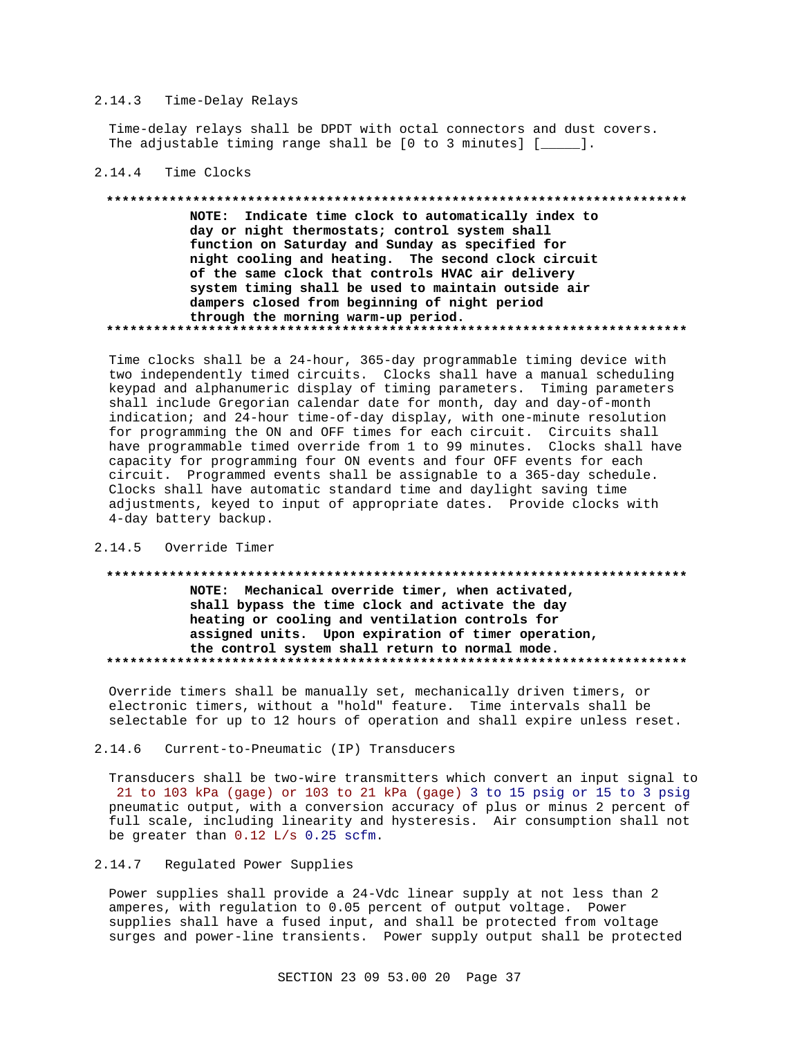#### 2.14.3 Time-Delay Relays

Time-delay relays shall be DPDT with octal connectors and dust covers. The adjustable timing range shall be  $[0 \text{ to } 3 \text{ minutes}]$   $[$  \_\_\_\_].

## 2.14.4 Time Clocks

# NOTE: Indicate time clock to automatically index to day or night thermostats; control system shall function on Saturday and Sunday as specified for night cooling and heating. The second clock circuit of the same clock that controls HVAC air delivery system timing shall be used to maintain outside air dampers closed from beginning of night period through the morning warm-up period.

Time clocks shall be a 24-hour, 365-day programmable timing device with two independently timed circuits. Clocks shall have a manual scheduling keypad and alphanumeric display of timing parameters. Timing parameters shall include Gregorian calendar date for month, day and day-of-month indication; and 24-hour time-of-day display, with one-minute resolution for programming the ON and OFF times for each circuit. Circuits shall have programmable timed override from 1 to 99 minutes. Clocks shall have capacity for programming four ON events and four OFF events for each circuit. Programmed events shall be assignable to a 365-day schedule. Clocks shall have automatic standard time and daylight saving time adjustments, keyed to input of appropriate dates. Provide clocks with 4-day battery backup.

## 2.14.5 Override Timer

# NOTE: Mechanical override timer, when activated, shall bypass the time clock and activate the day heating or cooling and ventilation controls for assigned units. Upon expiration of timer operation, the control system shall return to normal mode.

Override timers shall be manually set, mechanically driven timers, or electronic timers, without a "hold" feature. Time intervals shall be selectable for up to 12 hours of operation and shall expire unless reset.

#### $2.14.6$ Current-to-Pneumatic (IP) Transducers

Transducers shall be two-wire transmitters which convert an input signal to 21 to 103 kPa (gage) or 103 to 21 kPa (gage) 3 to 15 psig or 15 to 3 psig pneumatic output, with a conversion accuracy of plus or minus 2 percent of full scale, including linearity and hysteresis. Air consumption shall not be greater than  $0.12$  L/s  $0.25$  scfm.

#### 2.14.7 Regulated Power Supplies

Power supplies shall provide a 24-Vdc linear supply at not less than 2 amperes, with regulation to 0.05 percent of output voltage. Power supplies shall have a fused input, and shall be protected from voltage surges and power-line transients. Power supply output shall be protected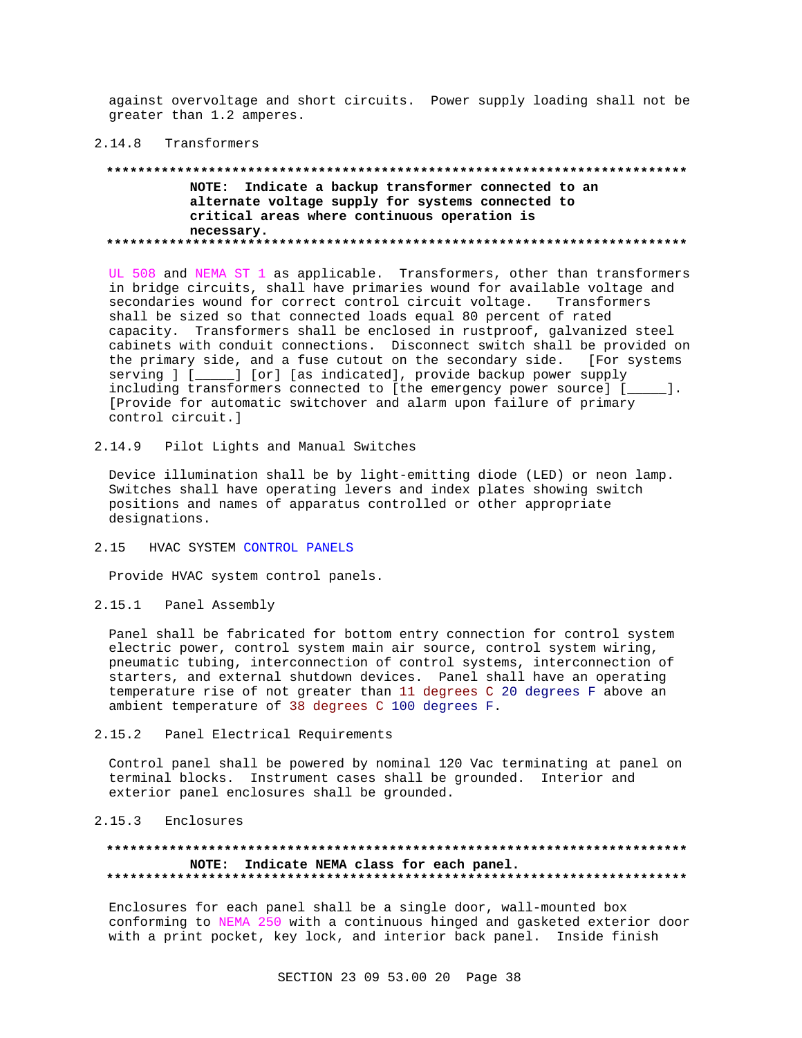against overvoltage and short circuits. Power supply loading shall not be greater than 1.2 amperes.

## 2.14.8 Transformers

## **\*\*\*\*\*\*\*\*\*\*\*\*\*\*\*\*\*\*\*\*\*\*\*\*\*\*\*\*\*\*\*\*\*\*\*\*\*\*\*\*\*\*\*\*\*\*\*\*\*\*\*\*\*\*\*\*\*\*\*\*\*\*\*\*\*\*\*\*\*\*\*\*\*\* NOTE: Indicate a backup transformer connected to an alternate voltage supply for systems connected to critical areas where continuous operation is necessary. \*\*\*\*\*\*\*\*\*\*\*\*\*\*\*\*\*\*\*\*\*\*\*\*\*\*\*\*\*\*\*\*\*\*\*\*\*\*\*\*\*\*\*\*\*\*\*\*\*\*\*\*\*\*\*\*\*\*\*\*\*\*\*\*\*\*\*\*\*\*\*\*\*\***

UL 508 and NEMA ST 1 as applicable. Transformers, other than transformers in bridge circuits, shall have primaries wound for available voltage and secondaries wound for correct control circuit voltage. Transformers shall be sized so that connected loads equal 80 percent of rated capacity. Transformers shall be enclosed in rustproof, galvanized steel cabinets with conduit connections. Disconnect switch shall be provided on the primary side, and a fuse cutout on the secondary side. [For systems serving ] [\_\_\_\_\_] [or] [as indicated], provide backup power supply including transformers connected to [the emergency power source] [\_\_\_\_\_]. [Provide for automatic switchover and alarm upon failure of primary control circuit.]

2.14.9 Pilot Lights and Manual Switches

Device illumination shall be by light-emitting diode (LED) or neon lamp. Switches shall have operating levers and index plates showing switch positions and names of apparatus controlled or other appropriate designations.

### 2.15 HVAC SYSTEM CONTROL PANELS

Provide HVAC system control panels.

## 2.15.1 Panel Assembly

Panel shall be fabricated for bottom entry connection for control system electric power, control system main air source, control system wiring, pneumatic tubing, interconnection of control systems, interconnection of starters, and external shutdown devices. Panel shall have an operating temperature rise of not greater than 11 degrees C 20 degrees F above an ambient temperature of 38 degrees C 100 degrees F.

2.15.2 Panel Electrical Requirements

Control panel shall be powered by nominal 120 Vac terminating at panel on terminal blocks. Instrument cases shall be grounded. Interior and exterior panel enclosures shall be grounded.

# 2.15.3 Enclosures

# **\*\*\*\*\*\*\*\*\*\*\*\*\*\*\*\*\*\*\*\*\*\*\*\*\*\*\*\*\*\*\*\*\*\*\*\*\*\*\*\*\*\*\*\*\*\*\*\*\*\*\*\*\*\*\*\*\*\*\*\*\*\*\*\*\*\*\*\*\*\*\*\*\*\* NOTE: Indicate NEMA class for each panel. \*\*\*\*\*\*\*\*\*\*\*\*\*\*\*\*\*\*\*\*\*\*\*\*\*\*\*\*\*\*\*\*\*\*\*\*\*\*\*\*\*\*\*\*\*\*\*\*\*\*\*\*\*\*\*\*\*\*\*\*\*\*\*\*\*\*\*\*\*\*\*\*\*\***

Enclosures for each panel shall be a single door, wall-mounted box conforming to NEMA 250 with a continuous hinged and gasketed exterior door with a print pocket, key lock, and interior back panel. Inside finish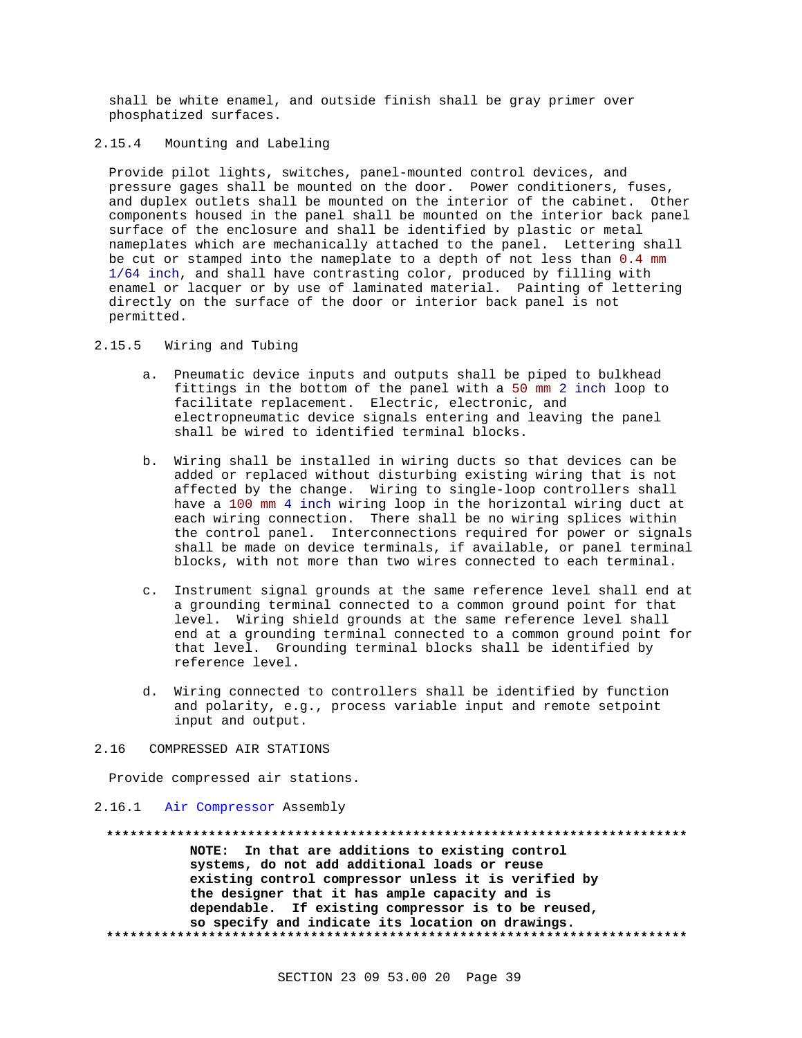shall be white enamel, and outside finish shall be gray primer over phosphatized surfaces.

# 2.15.4 Mounting and Labeling

Provide pilot lights, switches, panel-mounted control devices, and pressure gages shall be mounted on the door. Power conditioners, fuses, and duplex outlets shall be mounted on the interior of the cabinet. Other components housed in the panel shall be mounted on the interior back panel surface of the enclosure and shall be identified by plastic or metal nameplates which are mechanically attached to the panel. Lettering shall be cut or stamped into the nameplate to a depth of not less than 0.4 mm 1/64 inch, and shall have contrasting color, produced by filling with enamel or lacquer or by use of laminated material. Painting of lettering directly on the surface of the door or interior back panel is not permitted.

## 2.15.5 Wiring and Tubing

- a. Pneumatic device inputs and outputs shall be piped to bulkhead fittings in the bottom of the panel with a 50 mm 2 inch loop to facilitate replacement. Electric, electronic, and electropneumatic device signals entering and leaving the panel shall be wired to identified terminal blocks.
- b. Wiring shall be installed in wiring ducts so that devices can be added or replaced without disturbing existing wiring that is not affected by the change. Wiring to single-loop controllers shall have a 100 mm 4 inch wiring loop in the horizontal wiring duct at each wiring connection. There shall be no wiring splices within the control panel. Interconnections required for power or signals shall be made on device terminals, if available, or panel terminal blocks, with not more than two wires connected to each terminal.
- c. Instrument signal grounds at the same reference level shall end at a grounding terminal connected to a common ground point for that level. Wiring shield grounds at the same reference level shall end at a grounding terminal connected to a common ground point for that level. Grounding terminal blocks shall be identified by reference level.
- d. Wiring connected to controllers shall be identified by function and polarity, e.g., process variable input and remote setpoint input and output.

### 2.16 COMPRESSED AIR STATIONS

Provide compressed air stations.

## 2.16.1 Air Compressor Assembly

### **\*\*\*\*\*\*\*\*\*\*\*\*\*\*\*\*\*\*\*\*\*\*\*\*\*\*\*\*\*\*\*\*\*\*\*\*\*\*\*\*\*\*\*\*\*\*\*\*\*\*\*\*\*\*\*\*\*\*\*\*\*\*\*\*\*\*\*\*\*\*\*\*\*\***

**NOTE: In that are additions to existing control systems, do not add additional loads or reuse existing control compressor unless it is verified by the designer that it has ample capacity and is dependable. If existing compressor is to be reused, so specify and indicate its location on drawings. \*\*\*\*\*\*\*\*\*\*\*\*\*\*\*\*\*\*\*\*\*\*\*\*\*\*\*\*\*\*\*\*\*\*\*\*\*\*\*\*\*\*\*\*\*\*\*\*\*\*\*\*\*\*\*\*\*\*\*\*\*\*\*\*\*\*\*\*\*\*\*\*\*\***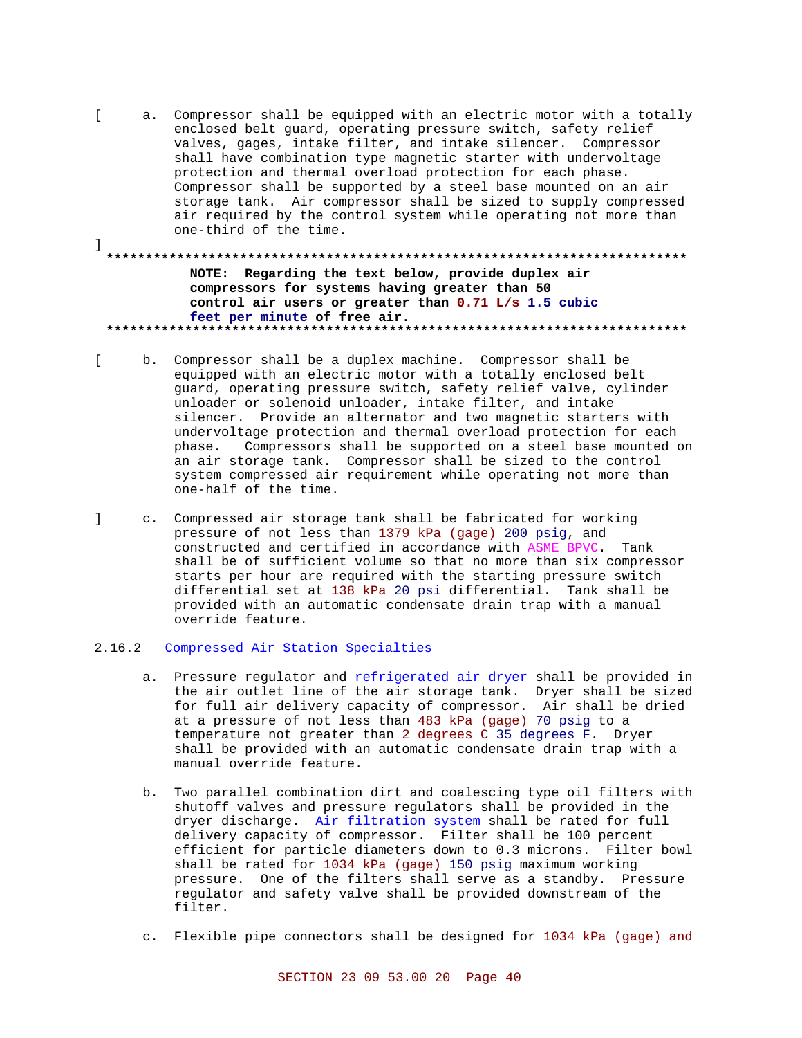- $\mathbb{R}$ a. Compressor shall be equipped with an electric motor with a totally enclosed belt guard, operating pressure switch, safety relief valves, gages, intake filter, and intake silencer. Compressor shall have combination type magnetic starter with undervoltage protection and thermal overload protection for each phase. Compressor shall be supported by a steel base mounted on an air storage tank. Air compressor shall be sized to supply compressed air required by the control system while operating not more than one-third of the time.
- NOTE: Regarding the text below, provide duplex air compressors for systems having greater than 50 control air users or greater than 0.71 L/s 1.5 cubic feet per minute of free air.
- $\Gamma$ b. Compressor shall be a duplex machine. Compressor shall be equipped with an electric motor with a totally enclosed belt guard, operating pressure switch, safety relief valve, cylinder unloader or solenoid unloader, intake filter, and intake silencer. Provide an alternator and two magnetic starters with undervoltage protection and thermal overload protection for each phase. Compressors shall be supported on a steel base mounted on an air storage tank. Compressor shall be sized to the control system compressed air requirement while operating not more than one-half of the time.
- $\mathbf{I}$ c. Compressed air storage tank shall be fabricated for working pressure of not less than 1379 kPa (gage) 200 psig, and constructed and certified in accordance with ASME BPVC. Tank shall be of sufficient volume so that no more than six compressor starts per hour are required with the starting pressure switch differential set at 138 kPa 20 psi differential. Tank shall be provided with an automatic condensate drain trap with a manual override feature.

## 2.16.2 Compressed Air Station Specialties

 $\mathbb{I}$ 

- a. Pressure regulator and refrigerated air dryer shall be provided in the air outlet line of the air storage tank. Dryer shall be sized for full air delivery capacity of compressor. Air shall be dried at a pressure of not less than 483 kPa (gage) 70 psig to a temperature not greater than 2 degrees C 35 degrees F. Dryer shall be provided with an automatic condensate drain trap with a manual override feature.
- b. Two parallel combination dirt and coalescing type oil filters with shutoff valves and pressure regulators shall be provided in the dryer discharge. Air filtration system shall be rated for full delivery capacity of compressor. Filter shall be 100 percent efficient for particle diameters down to 0.3 microns. Filter bowl shall be rated for 1034 kPa (gage) 150 psig maximum working pressure. One of the filters shall serve as a standby. Pressure regulator and safety valve shall be provided downstream of the filter.
- c. Flexible pipe connectors shall be designed for 1034 kPa (gage) and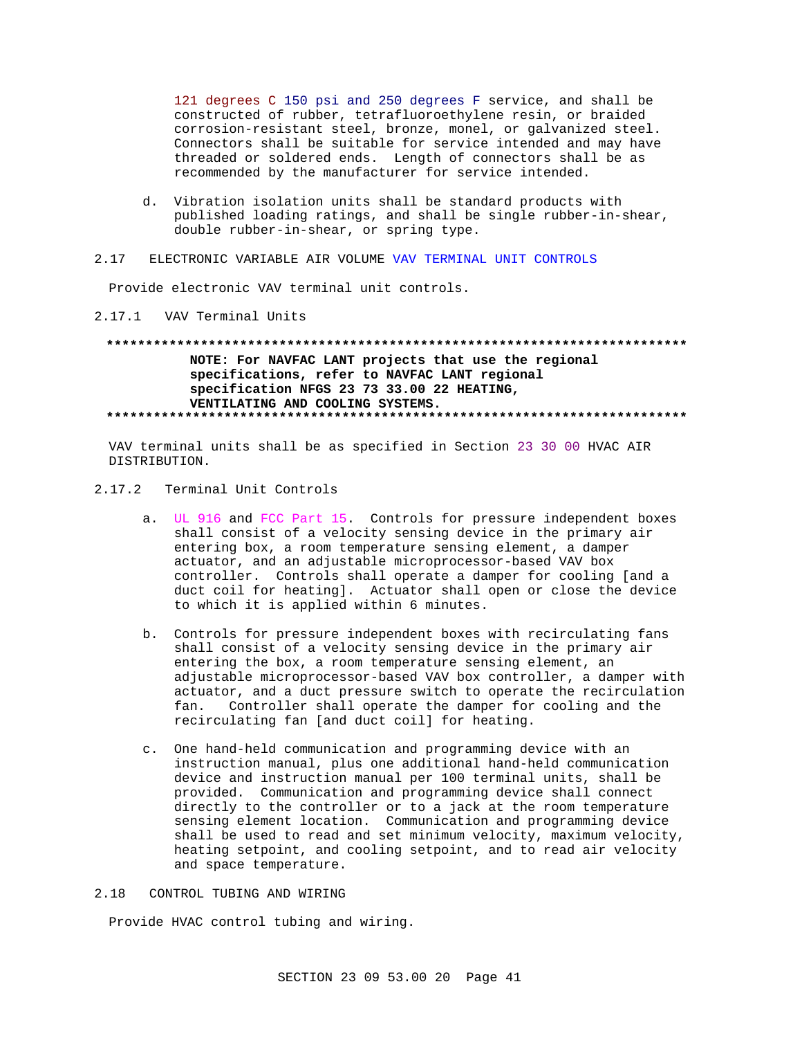121 degrees C 150 psi and 250 degrees F service, and shall be constructed of rubber, tetrafluoroethylene resin, or braided corrosion-resistant steel, bronze, monel, or galvanized steel. Connectors shall be suitable for service intended and may have threaded or soldered ends. Length of connectors shall be as recommended by the manufacturer for service intended.

d. Vibration isolation units shall be standard products with published loading ratings, and shall be single rubber-in-shear, double rubber-in-shear, or spring type.

#### 2.17 ELECTRONIC VARIABLE AIR VOLUME VAV TERMINAL UNIT CONTROLS

Provide electronic VAV terminal unit controls.

2.17.1 VAV Terminal Units

# NOTE: For NAVFAC LANT projects that use the regional specifications, refer to NAVFAC LANT regional specification NFGS 23 73 33.00 22 HEATING, VENTILATING AND COOLING SYSTEMS.

VAV terminal units shall be as specified in Section 23 30 00 HVAC AIR DISTRIBUTION.

- 2 1 7 2 Terminal Unit Controls
	- a. UL 916 and FCC Part 15. Controls for pressure independent boxes shall consist of a velocity sensing device in the primary air entering box, a room temperature sensing element, a damper actuator, and an adjustable microprocessor-based VAV box controller. Controls shall operate a damper for cooling [and a duct coil for heating]. Actuator shall open or close the device to which it is applied within 6 minutes.
	- b. Controls for pressure independent boxes with recirculating fans shall consist of a velocity sensing device in the primary air entering the box, a room temperature sensing element, an adjustable microprocessor-based VAV box controller, a damper with actuator, and a duct pressure switch to operate the recirculation Controller shall operate the damper for cooling and the  $f$ an recirculating fan [and duct coil] for heating.
	- c. One hand-held communication and programming device with an instruction manual, plus one additional hand-held communication device and instruction manual per 100 terminal units, shall be provided. Communication and programming device shall connect directly to the controller or to a jack at the room temperature sensing element location. Communication and programming device shall be used to read and set minimum velocity, maximum velocity, heating setpoint, and cooling setpoint, and to read air velocity and space temperature.

# 2.18 CONTROL TUBING AND WIRING

Provide HVAC control tubing and wiring.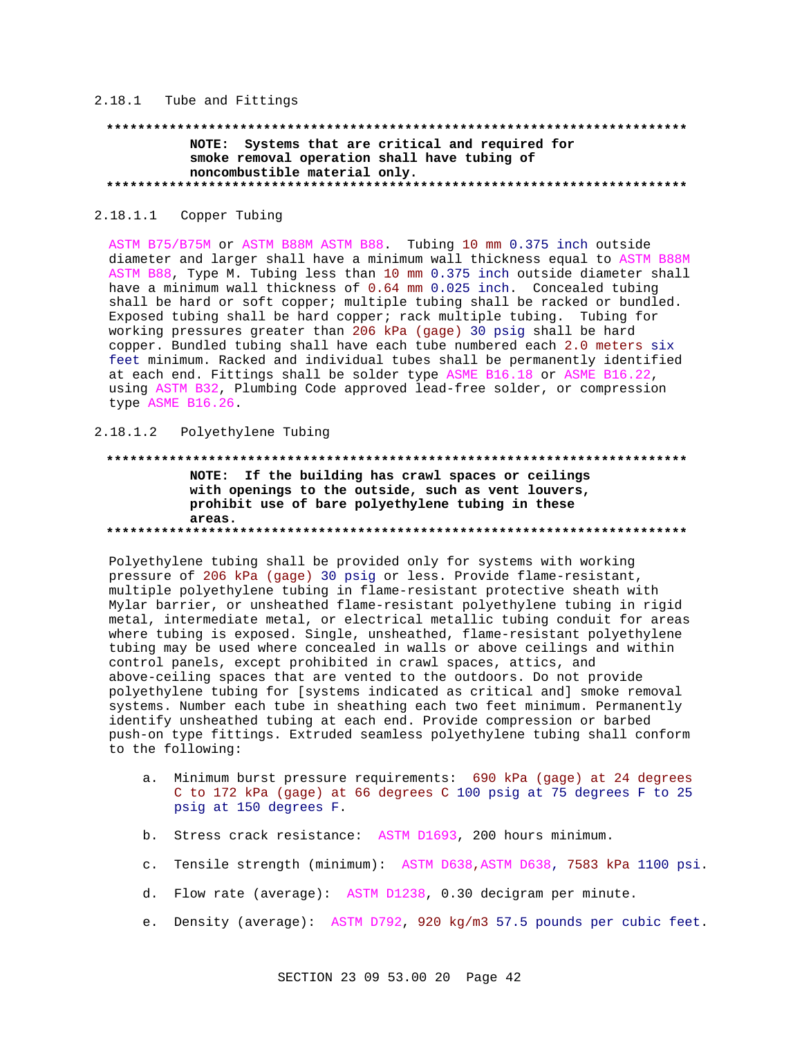## 2.18.1 Tube and Fittings

# NOTE: Systems that are critical and required for smoke removal operation shall have tubing of noncombustible material only.

## 2.18.1.1 Copper Tubing

ASTM B75/B75M or ASTM B88M ASTM B88. Tubing 10 mm 0.375 inch outside diameter and larger shall have a minimum wall thickness equal to ASTM B88M ASTM B88, Type M. Tubing less than 10 mm 0.375 inch outside diameter shall have a minimum wall thickness of 0.64 mm 0.025 inch. Concealed tubing shall be hard or soft copper; multiple tubing shall be racked or bundled. Exposed tubing shall be hard copper; rack multiple tubing. Tubing for working pressures greater than 206 kPa (gage) 30 psig shall be hard copper. Bundled tubing shall have each tube numbered each 2.0 meters six feet minimum. Racked and individual tubes shall be permanently identified at each end. Fittings shall be solder type ASME B16.18 or ASME B16.22, using ASTM B32, Plumbing Code approved lead-free solder, or compression type ASME B16.26.

#### $2.18.1.2$ Polyethylene Tubing

# NOTE: If the building has crawl spaces or ceilings with openings to the outside, such as vent louvers, prohibit use of bare polyethylene tubing in these areas.

Polyethylene tubing shall be provided only for systems with working pressure of 206 kPa (gage) 30 psig or less. Provide flame-resistant, multiple polyethylene tubing in flame-resistant protective sheath with Mylar barrier, or unsheathed flame-resistant polyethylene tubing in rigid metal, intermediate metal, or electrical metallic tubing conduit for areas where tubing is exposed. Single, unsheathed, flame-resistant polyethylene tubing may be used where concealed in walls or above ceilings and within control panels, except prohibited in crawl spaces, attics, and above-ceiling spaces that are vented to the outdoors. Do not provide polyethylene tubing for [systems indicated as critical and] smoke removal systems. Number each tube in sheathing each two feet minimum. Permanently identify unsheathed tubing at each end. Provide compression or barbed push-on type fittings. Extruded seamless polyethylene tubing shall conform to the following:

- a. Minimum burst pressure requirements: 690 kPa (gage) at 24 degrees C to 172 kPa (gage) at 66 degrees C 100 psig at 75 degrees F to 25 psig at 150 degrees F.
- b. Stress crack resistance: ASTM D1693, 200 hours minimum.
- c. Tensile strength (minimum): ASTM D638, ASTM D638, 7583 kPa 1100 psi.
- d. Flow rate (average): ASTM D1238, 0.30 decigram per minute.
- e. Density (average): ASTM D792, 920 kg/m3 57.5 pounds per cubic feet.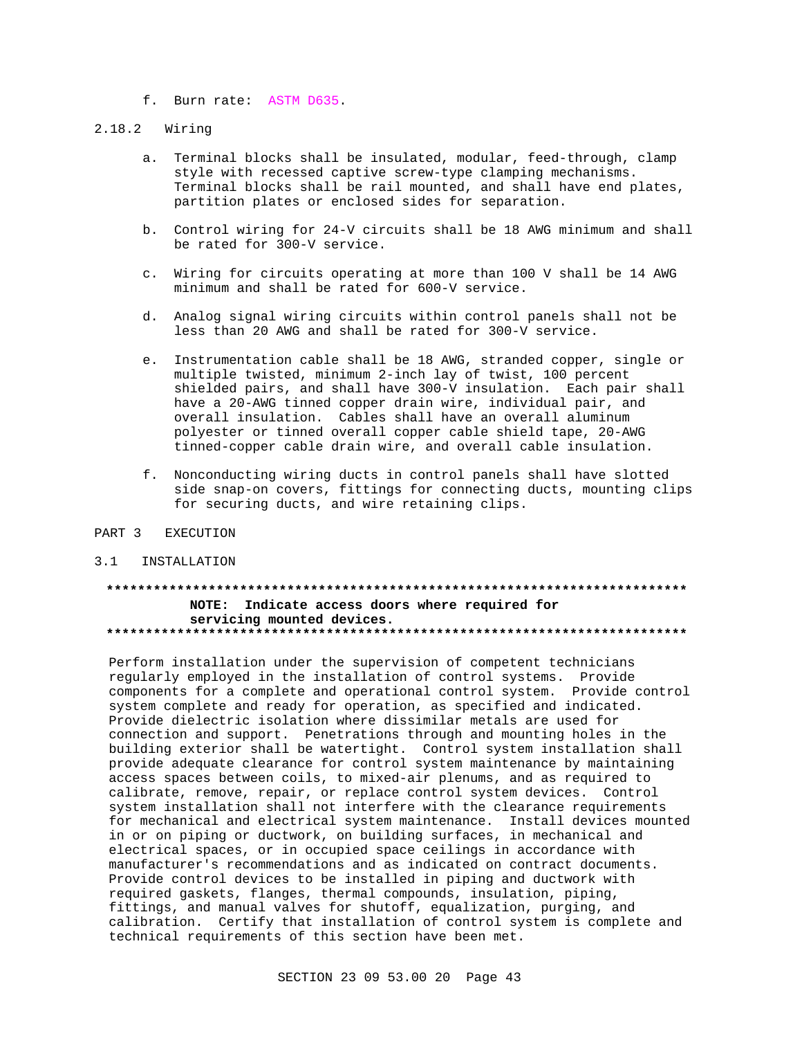f. Burn rate: ASTM D635.

# 2.18.2 Wiring

- a. Terminal blocks shall be insulated, modular, feed-through, clamp style with recessed captive screw-type clamping mechanisms. Terminal blocks shall be rail mounted, and shall have end plates, partition plates or enclosed sides for separation.
- b. Control wiring for 24-V circuits shall be 18 AWG minimum and shall be rated for 300-V service.
- c. Wiring for circuits operating at more than 100 V shall be 14 AWG minimum and shall be rated for 600-V service.
- d. Analog signal wiring circuits within control panels shall not be less than 20 AWG and shall be rated for 300-V service.
- Instrumentation cable shall be 18 AWG, stranded copper, single or e. multiple twisted, minimum 2-inch lay of twist, 100 percent shielded pairs, and shall have 300-V insulation. Each pair shall have a 20-AWG tinned copper drain wire, individual pair, and overall insulation. Cables shall have an overall aluminum polyester or tinned overall copper cable shield tape, 20-AWG tinned-copper cable drain wire, and overall cable insulation.
- f. Nonconducting wiring ducts in control panels shall have slotted side snap-on covers, fittings for connecting ducts, mounting clips for securing ducts, and wire retaining clips.

### PART 3 EXECUTION

## 3.1 INSTALLATION

## NOTE: Indicate access doors where required for servicing mounted devices.

Perform installation under the supervision of competent technicians regularly employed in the installation of control systems. Provide components for a complete and operational control system. Provide control system complete and ready for operation, as specified and indicated. Provide dielectric isolation where dissimilar metals are used for connection and support. Penetrations through and mounting holes in the building exterior shall be watertight. Control system installation shall provide adequate clearance for control system maintenance by maintaining access spaces between coils, to mixed-air plenums, and as required to calibrate, remove, repair, or replace control system devices. Control system installation shall not interfere with the clearance requirements for mechanical and electrical system maintenance. Install devices mounted in or on piping or ductwork, on building surfaces, in mechanical and electrical spaces, or in occupied space ceilings in accordance with manufacturer's recommendations and as indicated on contract documents. Provide control devices to be installed in piping and ductwork with required gaskets, flanges, thermal compounds, insulation, piping, fittings, and manual valves for shutoff, equalization, purging, and calibration. Certify that installation of control system is complete and technical requirements of this section have been met.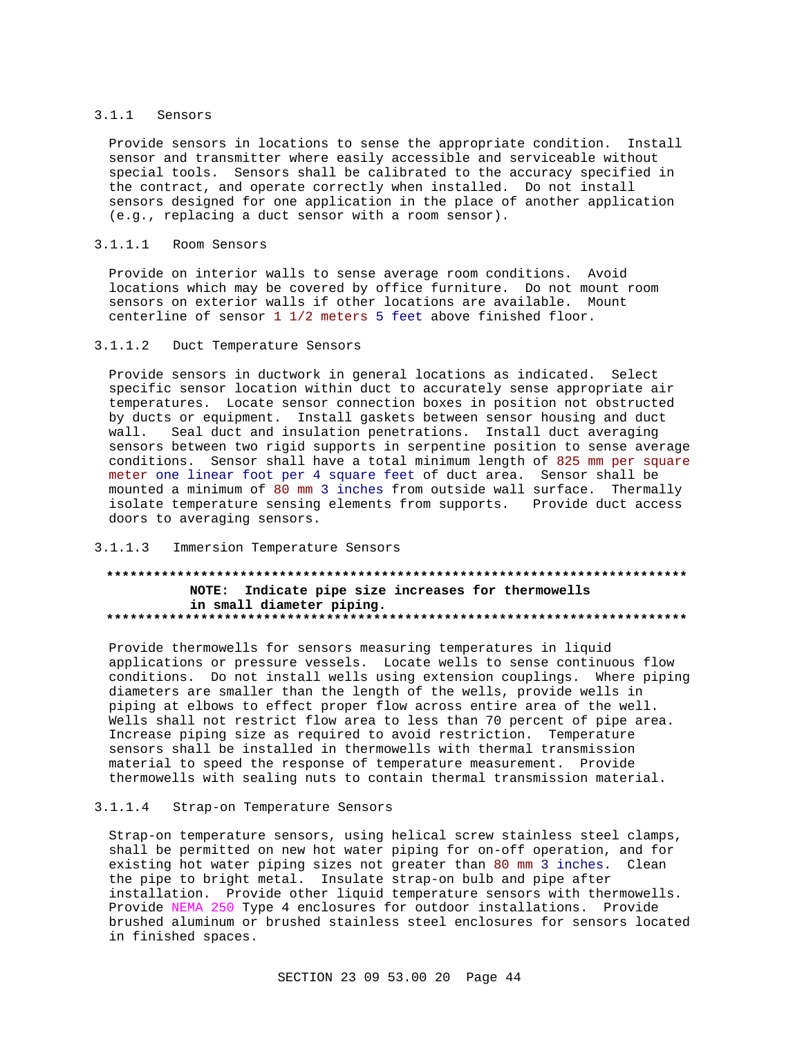### $3.1.1$  Sensors

Provide sensors in locations to sense the appropriate condition. Install sensor and transmitter where easily accessible and serviceable without special tools. Sensors shall be calibrated to the accuracy specified in the contract, and operate correctly when installed. Do not install sensors designed for one application in the place of another application (e.g., replacing a duct sensor with a room sensor).

#### $3.1.1.1$ Room Sensors

Provide on interior walls to sense average room conditions. Avoid locations which may be covered by office furniture. Do not mount room sensors on exterior walls if other locations are available. Mount centerline of sensor 1 1/2 meters 5 feet above finished floor.

#### $3.1.1.2$ Duct Temperature Sensors

Provide sensors in ductwork in general locations as indicated. Select specific sensor location within duct to accurately sense appropriate air temperatures. Locate sensor connection boxes in position not obstructed by ducts or equipment. Install gaskets between sensor housing and duct Seal duct and insulation penetrations. Install duct averaging wall. sensors between two rigid supports in serpentine position to sense average conditions. Sensor shall have a total minimum length of 825 mm per square meter one linear foot per 4 square feet of duct area. Sensor shall be mounted a minimum of 80 mm 3 inches from outside wall surface. Thermally isolate temperature sensing elements from supports. Provide duct access doors to averaging sensors.

#### $3.1.1.3$ Immersion Temperature Sensors

## NOTE: Indicate pipe size increases for thermowells in small diameter piping.

Provide thermowells for sensors measuring temperatures in liquid applications or pressure vessels. Locate wells to sense continuous flow conditions. Do not install wells using extension couplings. Where piping diameters are smaller than the length of the wells, provide wells in piping at elbows to effect proper flow across entire area of the well. Wells shall not restrict flow area to less than 70 percent of pipe area. Increase piping size as required to avoid restriction. Temperature sensors shall be installed in thermowells with thermal transmission material to speed the response of temperature measurement. Provide thermowells with sealing nuts to contain thermal transmission material.

#### $3.1.1.4$ Strap-on Temperature Sensors

Strap-on temperature sensors, using helical screw stainless steel clamps, shall be permitted on new hot water piping for on-off operation, and for existing hot water piping sizes not greater than 80 mm 3 inches. Clean the pipe to bright metal. Insulate strap-on bulb and pipe after installation. Provide other liquid temperature sensors with thermowells. Provide NEMA 250 Type 4 enclosures for outdoor installations. Provide brushed aluminum or brushed stainless steel enclosures for sensors located in finished spaces.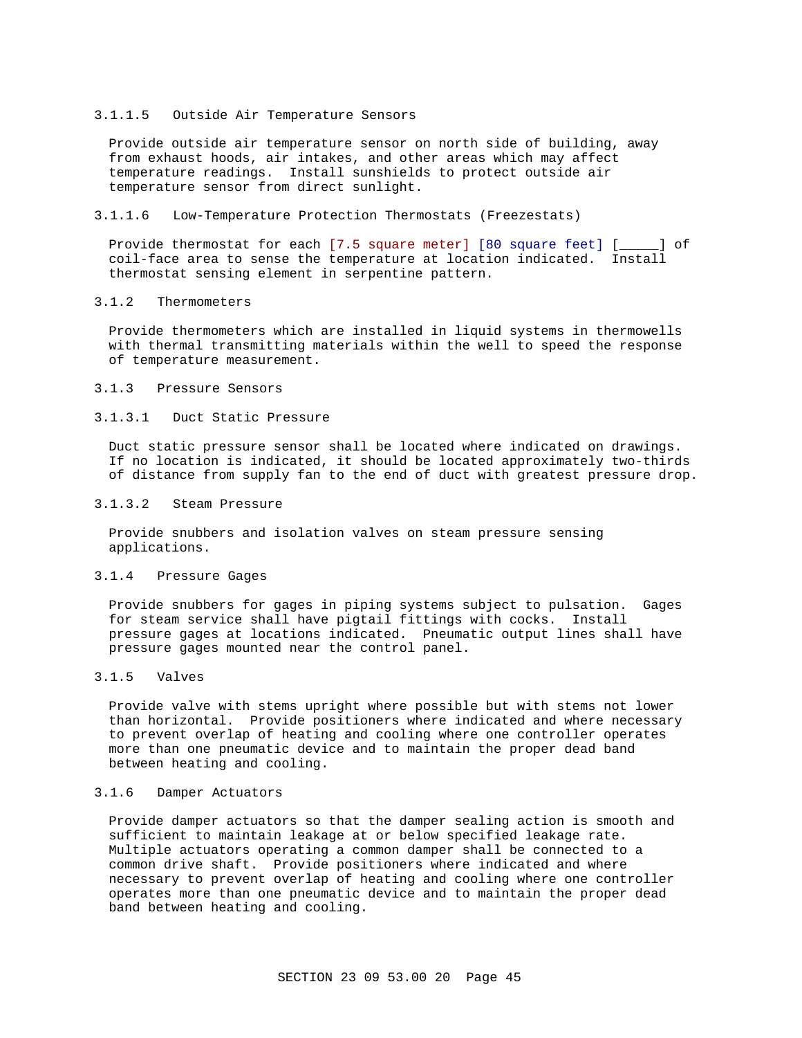### 3.1.1.5 Outside Air Temperature Sensors

Provide outside air temperature sensor on north side of building, away from exhaust hoods, air intakes, and other areas which may affect temperature readings. Install sunshields to protect outside air temperature sensor from direct sunlight.

## 3.1.1.6 Low-Temperature Protection Thermostats (Freezestats)

Provide thermostat for each [7.5 square meter] [80 square feet] [\_\_\_\_\_] of coil-face area to sense the temperature at location indicated. Install thermostat sensing element in serpentine pattern.

## 3.1.2 Thermometers

Provide thermometers which are installed in liquid systems in thermowells with thermal transmitting materials within the well to speed the response of temperature measurement.

## 3.1.3 Pressure Sensors

## 3.1.3.1 Duct Static Pressure

Duct static pressure sensor shall be located where indicated on drawings. If no location is indicated, it should be located approximately two-thirds of distance from supply fan to the end of duct with greatest pressure drop.

## 3.1.3.2 Steam Pressure

Provide snubbers and isolation valves on steam pressure sensing applications.

# 3.1.4 Pressure Gages

Provide snubbers for gages in piping systems subject to pulsation. Gages for steam service shall have pigtail fittings with cocks. Install pressure gages at locations indicated. Pneumatic output lines shall have pressure gages mounted near the control panel.

## 3.1.5 Valves

Provide valve with stems upright where possible but with stems not lower than horizontal. Provide positioners where indicated and where necessary to prevent overlap of heating and cooling where one controller operates more than one pneumatic device and to maintain the proper dead band between heating and cooling.

## 3.1.6 Damper Actuators

Provide damper actuators so that the damper sealing action is smooth and sufficient to maintain leakage at or below specified leakage rate. Multiple actuators operating a common damper shall be connected to a common drive shaft. Provide positioners where indicated and where necessary to prevent overlap of heating and cooling where one controller operates more than one pneumatic device and to maintain the proper dead band between heating and cooling.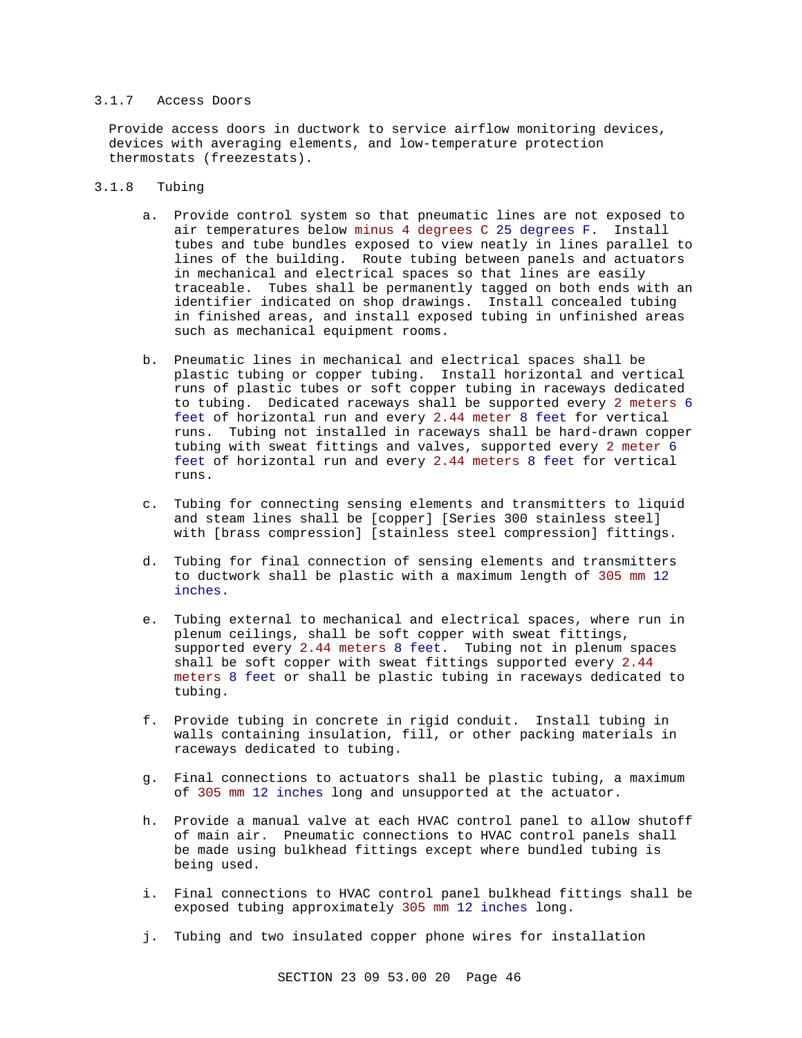## 3.1.7 Access Doors

Provide access doors in ductwork to service airflow monitoring devices, devices with averaging elements, and low-temperature protection thermostats (freezestats).

- 3.1.8 Tubing
	- a. Provide control system so that pneumatic lines are not exposed to air temperatures below minus 4 degrees C 25 degrees F. Install tubes and tube bundles exposed to view neatly in lines parallel to lines of the building. Route tubing between panels and actuators in mechanical and electrical spaces so that lines are easily traceable. Tubes shall be permanently tagged on both ends with an identifier indicated on shop drawings. Install concealed tubing in finished areas, and install exposed tubing in unfinished areas such as mechanical equipment rooms.
	- b. Pneumatic lines in mechanical and electrical spaces shall be plastic tubing or copper tubing. Install horizontal and vertical runs of plastic tubes or soft copper tubing in raceways dedicated to tubing. Dedicated raceways shall be supported every 2 meters 6 feet of horizontal run and every 2.44 meter 8 feet for vertical runs. Tubing not installed in raceways shall be hard-drawn copper tubing with sweat fittings and valves, supported every 2 meter 6 feet of horizontal run and every 2.44 meters 8 feet for vertical runs.
	- c. Tubing for connecting sensing elements and transmitters to liquid and steam lines shall be [copper] [Series 300 stainless steel] with [brass compression] [stainless steel compression] fittings.
	- d. Tubing for final connection of sensing elements and transmitters to ductwork shall be plastic with a maximum length of 305 mm 12 inches.
	- e. Tubing external to mechanical and electrical spaces, where run in plenum ceilings, shall be soft copper with sweat fittings, supported every 2.44 meters 8 feet. Tubing not in plenum spaces shall be soft copper with sweat fittings supported every 2.44 meters 8 feet or shall be plastic tubing in raceways dedicated to tubing.
	- f. Provide tubing in concrete in rigid conduit. Install tubing in walls containing insulation, fill, or other packing materials in raceways dedicated to tubing.
	- g. Final connections to actuators shall be plastic tubing, a maximum of 305 mm 12 inches long and unsupported at the actuator.
	- h. Provide a manual valve at each HVAC control panel to allow shutoff of main air. Pneumatic connections to HVAC control panels shall be made using bulkhead fittings except where bundled tubing is being used.
	- i. Final connections to HVAC control panel bulkhead fittings shall be exposed tubing approximately 305 mm 12 inches long.
	- j. Tubing and two insulated copper phone wires for installation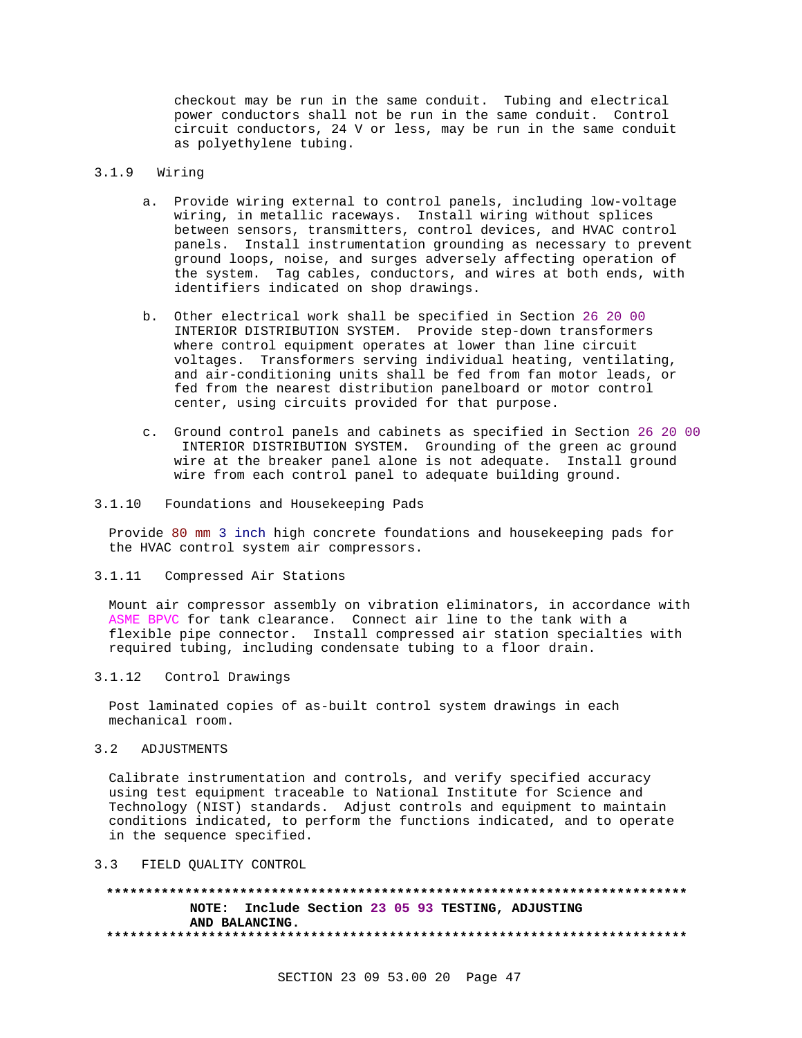checkout may be run in the same conduit. Tubing and electrical power conductors shall not be run in the same conduit. Control circuit conductors, 24 V or less, may be run in the same conduit as polyethylene tubing.

## 3.1.9 Wiring

- a. Provide wiring external to control panels, including low-voltage wiring, in metallic raceways. Install wiring without splices between sensors, transmitters, control devices, and HVAC control panels. Install instrumentation grounding as necessary to prevent ground loops, noise, and surges adversely affecting operation of the system. Tag cables, conductors, and wires at both ends, with identifiers indicated on shop drawings.
- b. Other electrical work shall be specified in Section 26 20 00 INTERIOR DISTRIBUTION SYSTEM. Provide step-down transformers where control equipment operates at lower than line circuit voltages. Transformers serving individual heating, ventilating, and air-conditioning units shall be fed from fan motor leads, or fed from the nearest distribution panelboard or motor control center, using circuits provided for that purpose.
- c. Ground control panels and cabinets as specified in Section 26 20 00 INTERIOR DISTRIBUTION SYSTEM. Grounding of the green ac ground wire at the breaker panel alone is not adequate. Install ground wire from each control panel to adequate building ground.

## 3.1.10 Foundations and Housekeeping Pads

Provide 80 mm 3 inch high concrete foundations and housekeeping pads for the HVAC control system air compressors.

## 3.1.11 Compressed Air Stations

Mount air compressor assembly on vibration eliminators, in accordance with ASME BPVC for tank clearance. Connect air line to the tank with a flexible pipe connector. Install compressed air station specialties with required tubing, including condensate tubing to a floor drain.

## 3.1.12 Control Drawings

Post laminated copies of as-built control system drawings in each mechanical room.

## 3.2 ADJUSTMENTS

Calibrate instrumentation and controls, and verify specified accuracy using test equipment traceable to National Institute for Science and Technology (NIST) standards. Adjust controls and equipment to maintain conditions indicated, to perform the functions indicated, and to operate in the sequence specified.

## 3.3 FIELD QUALITY CONTROL

## **\*\*\*\*\*\*\*\*\*\*\*\*\*\*\*\*\*\*\*\*\*\*\*\*\*\*\*\*\*\*\*\*\*\*\*\*\*\*\*\*\*\*\*\*\*\*\*\*\*\*\*\*\*\*\*\*\*\*\*\*\*\*\*\*\*\*\*\*\*\*\*\*\*\* NOTE: Include Section 23 05 93 TESTING, ADJUSTING AND BALANCING. \*\*\*\*\*\*\*\*\*\*\*\*\*\*\*\*\*\*\*\*\*\*\*\*\*\*\*\*\*\*\*\*\*\*\*\*\*\*\*\*\*\*\*\*\*\*\*\*\*\*\*\*\*\*\*\*\*\*\*\*\*\*\*\*\*\*\*\*\*\*\*\*\*\***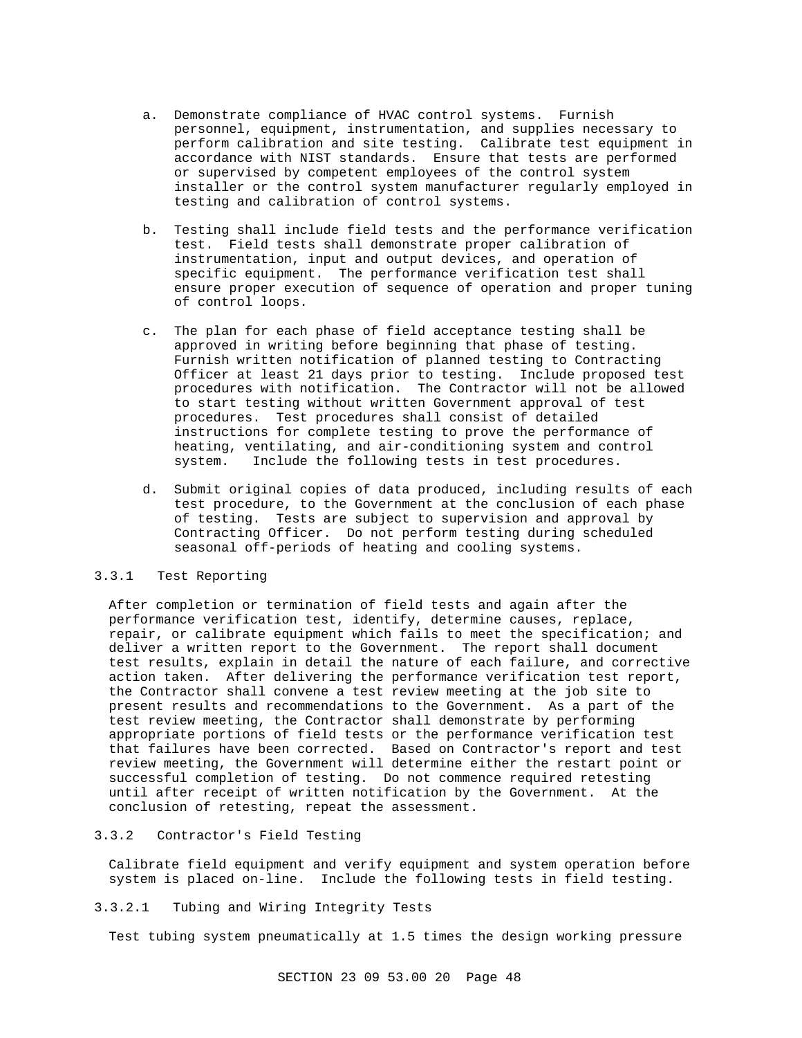- a. Demonstrate compliance of HVAC control systems. Furnish personnel, equipment, instrumentation, and supplies necessary to perform calibration and site testing. Calibrate test equipment in accordance with NIST standards. Ensure that tests are performed or supervised by competent employees of the control system installer or the control system manufacturer regularly employed in testing and calibration of control systems.
- b. Testing shall include field tests and the performance verification test. Field tests shall demonstrate proper calibration of instrumentation, input and output devices, and operation of specific equipment. The performance verification test shall ensure proper execution of sequence of operation and proper tuning of control loops.
- c. The plan for each phase of field acceptance testing shall be approved in writing before beginning that phase of testing. Furnish written notification of planned testing to Contracting Officer at least 21 days prior to testing. Include proposed test procedures with notification. The Contractor will not be allowed to start testing without written Government approval of test procedures. Test procedures shall consist of detailed instructions for complete testing to prove the performance of heating, ventilating, and air-conditioning system and control system. Include the following tests in test procedures.
- d. Submit original copies of data produced, including results of each test procedure, to the Government at the conclusion of each phase of testing. Tests are subject to supervision and approval by Contracting Officer. Do not perform testing during scheduled seasonal off-periods of heating and cooling systems.

# 3.3.1 Test Reporting

After completion or termination of field tests and again after the performance verification test, identify, determine causes, replace, repair, or calibrate equipment which fails to meet the specification; and deliver a written report to the Government. The report shall document test results, explain in detail the nature of each failure, and corrective action taken. After delivering the performance verification test report, the Contractor shall convene a test review meeting at the job site to present results and recommendations to the Government. As a part of the test review meeting, the Contractor shall demonstrate by performing appropriate portions of field tests or the performance verification test that failures have been corrected. Based on Contractor's report and test review meeting, the Government will determine either the restart point or successful completion of testing. Do not commence required retesting until after receipt of written notification by the Government. At the conclusion of retesting, repeat the assessment.

# 3.3.2 Contractor's Field Testing

Calibrate field equipment and verify equipment and system operation before system is placed on-line. Include the following tests in field testing.

3.3.2.1 Tubing and Wiring Integrity Tests

Test tubing system pneumatically at 1.5 times the design working pressure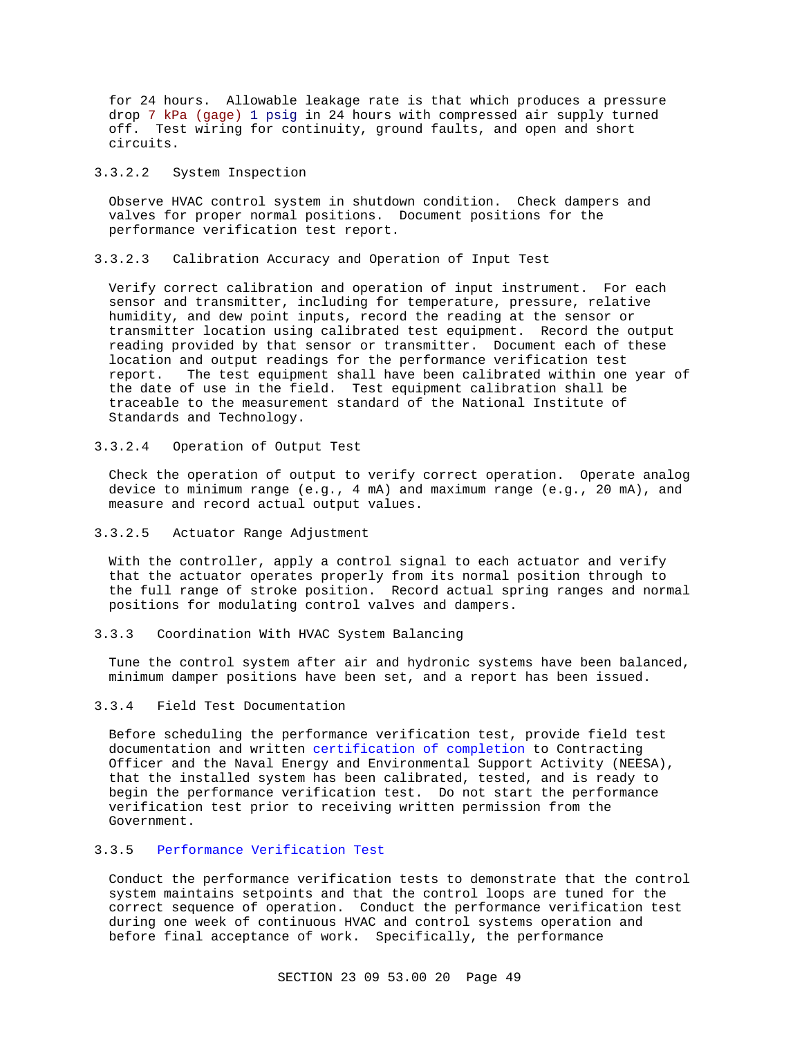for 24 hours. Allowable leakage rate is that which produces a pressure drop 7 kPa (gage) 1 psig in 24 hours with compressed air supply turned off. Test wiring for continuity, ground faults, and open and short circuits.

## 3.3.2.2 System Inspection

Observe HVAC control system in shutdown condition. Check dampers and valves for proper normal positions. Document positions for the performance verification test report.

3.3.2.3 Calibration Accuracy and Operation of Input Test

Verify correct calibration and operation of input instrument. For each sensor and transmitter, including for temperature, pressure, relative humidity, and dew point inputs, record the reading at the sensor or transmitter location using calibrated test equipment. Record the output reading provided by that sensor or transmitter. Document each of these location and output readings for the performance verification test report. The test equipment shall have been calibrated within one year of the date of use in the field. Test equipment calibration shall be traceable to the measurement standard of the National Institute of Standards and Technology.

3.3.2.4 Operation of Output Test

Check the operation of output to verify correct operation. Operate analog device to minimum range (e.g., 4 mA) and maximum range (e.g., 20 mA), and measure and record actual output values.

3.3.2.5 Actuator Range Adjustment

With the controller, apply a control signal to each actuator and verify that the actuator operates properly from its normal position through to the full range of stroke position. Record actual spring ranges and normal positions for modulating control valves and dampers.

3.3.3 Coordination With HVAC System Balancing

Tune the control system after air and hydronic systems have been balanced, minimum damper positions have been set, and a report has been issued.

3.3.4 Field Test Documentation

Before scheduling the performance verification test, provide field test documentation and written certification of completion to Contracting Officer and the Naval Energy and Environmental Support Activity (NEESA), that the installed system has been calibrated, tested, and is ready to begin the performance verification test. Do not start the performance verification test prior to receiving written permission from the Government.

## 3.3.5 Performance Verification Test

Conduct the performance verification tests to demonstrate that the control system maintains setpoints and that the control loops are tuned for the correct sequence of operation. Conduct the performance verification test during one week of continuous HVAC and control systems operation and before final acceptance of work. Specifically, the performance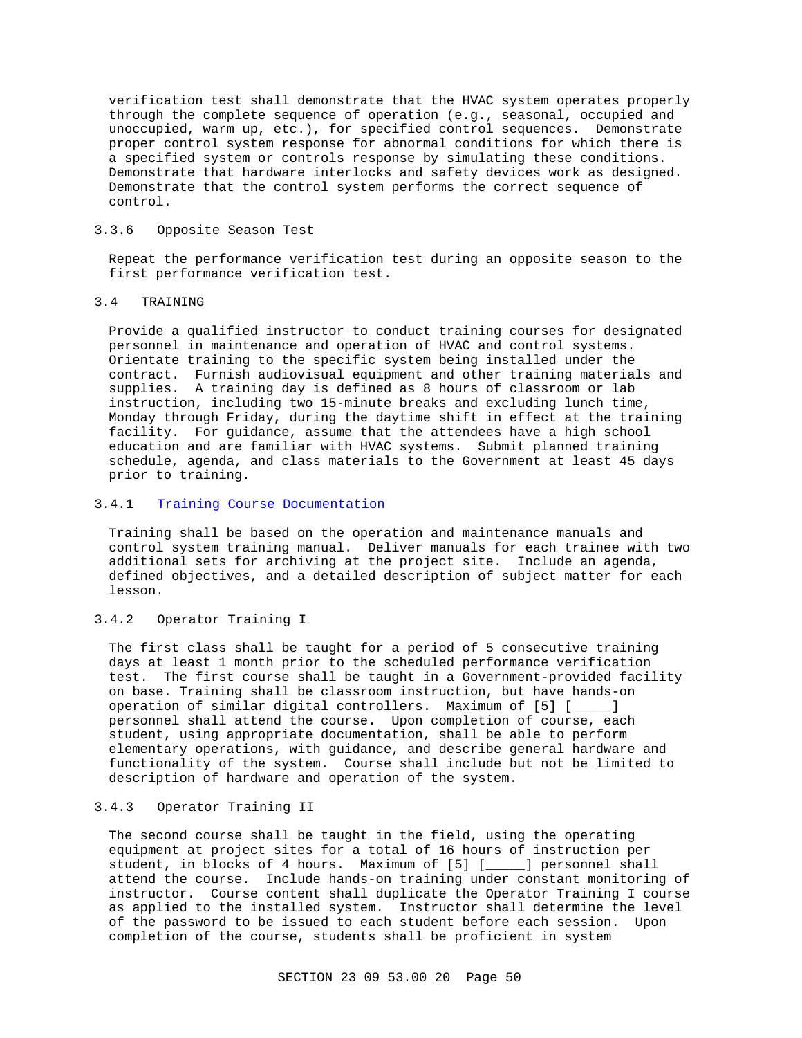verification test shall demonstrate that the HVAC system operates properly through the complete sequence of operation (e.g., seasonal, occupied and unoccupied, warm up, etc.), for specified control sequences. Demonstrate proper control system response for abnormal conditions for which there is a specified system or controls response by simulating these conditions. Demonstrate that hardware interlocks and safety devices work as designed. Demonstrate that the control system performs the correct sequence of control.

# 3.3.6 Opposite Season Test

Repeat the performance verification test during an opposite season to the first performance verification test.

# 3.4 TRAINING

Provide a qualified instructor to conduct training courses for designated personnel in maintenance and operation of HVAC and control systems. Orientate training to the specific system being installed under the contract. Furnish audiovisual equipment and other training materials and supplies. A training day is defined as 8 hours of classroom or lab instruction, including two 15-minute breaks and excluding lunch time, Monday through Friday, during the daytime shift in effect at the training facility. For guidance, assume that the attendees have a high school education and are familiar with HVAC systems. Submit planned training schedule, agenda, and class materials to the Government at least 45 days prior to training.

## 3.4.1 Training Course Documentation

Training shall be based on the operation and maintenance manuals and control system training manual. Deliver manuals for each trainee with two additional sets for archiving at the project site. Include an agenda, defined objectives, and a detailed description of subject matter for each lesson.

## 3.4.2 Operator Training I

The first class shall be taught for a period of 5 consecutive training days at least 1 month prior to the scheduled performance verification test. The first course shall be taught in a Government-provided facility on base. Training shall be classroom instruction, but have hands-on operation of similar digital controllers. Maximum of [5] [\_\_\_\_\_] personnel shall attend the course. Upon completion of course, each student, using appropriate documentation, shall be able to perform elementary operations, with guidance, and describe general hardware and functionality of the system. Course shall include but not be limited to description of hardware and operation of the system.

## 3.4.3 Operator Training II

The second course shall be taught in the field, using the operating equipment at project sites for a total of 16 hours of instruction per student, in blocks of 4 hours. Maximum of [5] [\_\_\_\_\_] personnel shall attend the course. Include hands-on training under constant monitoring of instructor. Course content shall duplicate the Operator Training I course as applied to the installed system. Instructor shall determine the level of the password to be issued to each student before each session. Upon completion of the course, students shall be proficient in system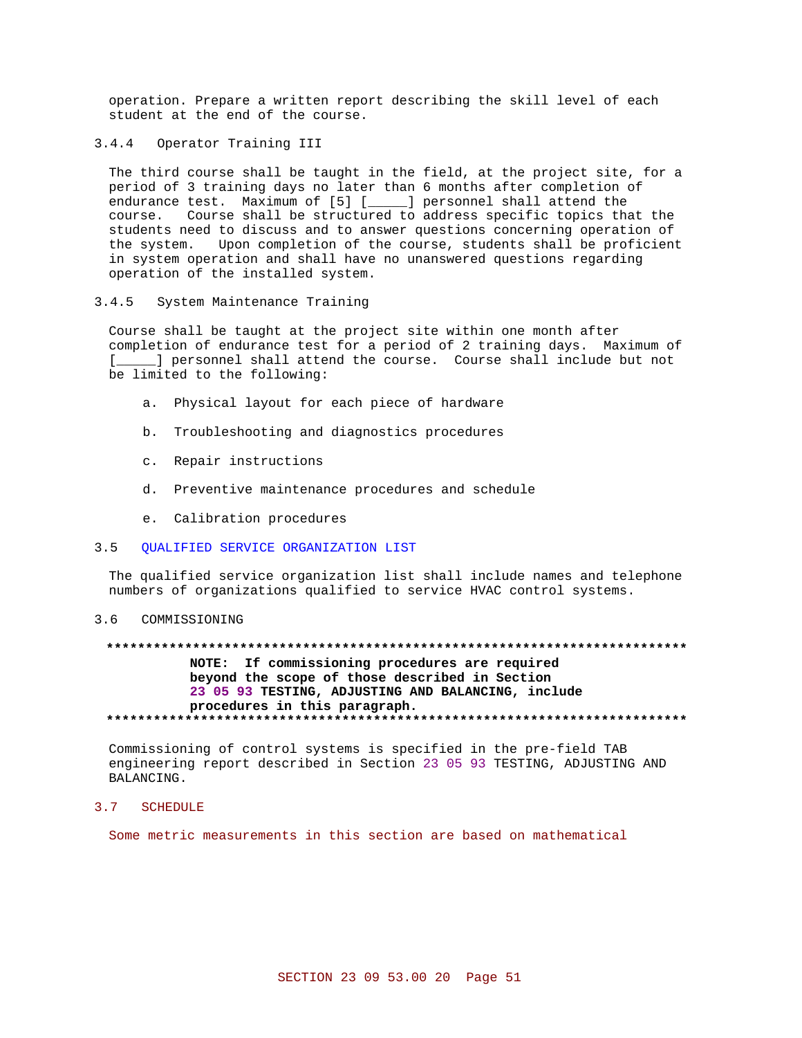operation. Prepare a written report describing the skill level of each student at the end of the course.

#### $3.4.4$ Operator Training III

The third course shall be taught in the field, at the project site, for a period of 3 training days no later than 6 months after completion of endurance test. Maximum of [5] [\_\_\_\_\_] personnel shall attend the course. Course shall be structured to address specific topics that the students need to discuss and to answer questions concerning operation of the system. Upon completion of the course, students shall be proficient in system operation and shall have no unanswered questions regarding operation of the installed system.

#### $3.4.5$ System Maintenance Training

Course shall be taught at the project site within one month after completion of endurance test for a period of 2 training days. Maximum of [\_\_\_\_\_] personnel shall attend the course. Course shall include but not be limited to the following:

- a. Physical layout for each piece of hardware
- b. Troubleshooting and diagnostics procedures
- c. Repair instructions
- d. Preventive maintenance procedures and schedule
- e. Calibration procedures

#### $3.5$ QUALIFIED SERVICE ORGANIZATION LIST

The qualified service organization list shall include names and telephone numbers of organizations qualified to service HVAC control systems.

#### $3.6$ COMMISSIONING

# NOTE: If commissioning procedures are required beyond the scope of those described in Section 23 05 93 TESTING, ADJUSTING AND BALANCING, include procedures in this paragraph.

Commissioning of control systems is specified in the pre-field TAB engineering report described in Section 23 05 93 TESTING, ADJUSTING AND BALANCING.

#### $3.7$ **SCHEDULE**

Some metric measurements in this section are based on mathematical